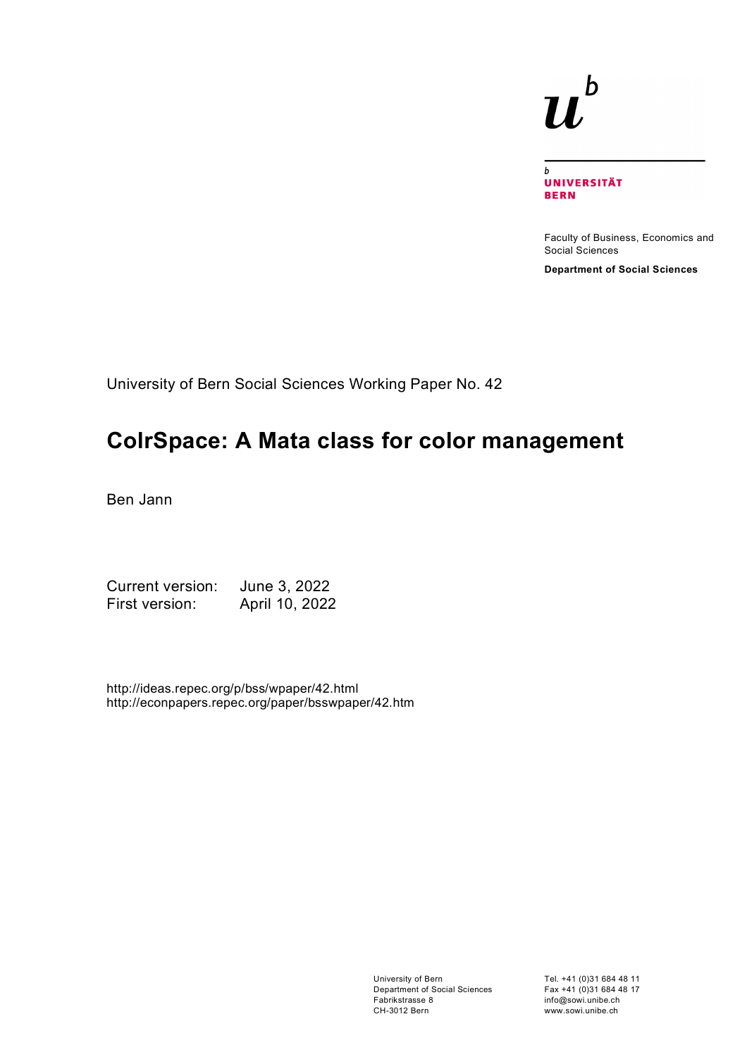# $\bm{b}$ **IJ**

 $\mathbf{h}$ **UNIVERSITÄT BERN** 

Faculty of Business, Economics and Social Sciences

**Department of Social Sciences**

University of Bern Social Sciences Working Paper No. 42

# **ColrSpace: A Mata class for color management**

Ben Jann

Current version: June 3, 2022 First version: April 10, 2022

http://ideas.repec.org/p/bss/wpaper/42.html http://econpapers.repec.org/paper/bsswpaper/42.htm

> University of Bern Department of Social Sciences Fabrikstrasse 8 CH-3012 Bern

Tel. +41 (0)31 684 48 11 Fax +41 (0)31 684 48 17 info@sowi.unibe.ch www.sowi.unibe.ch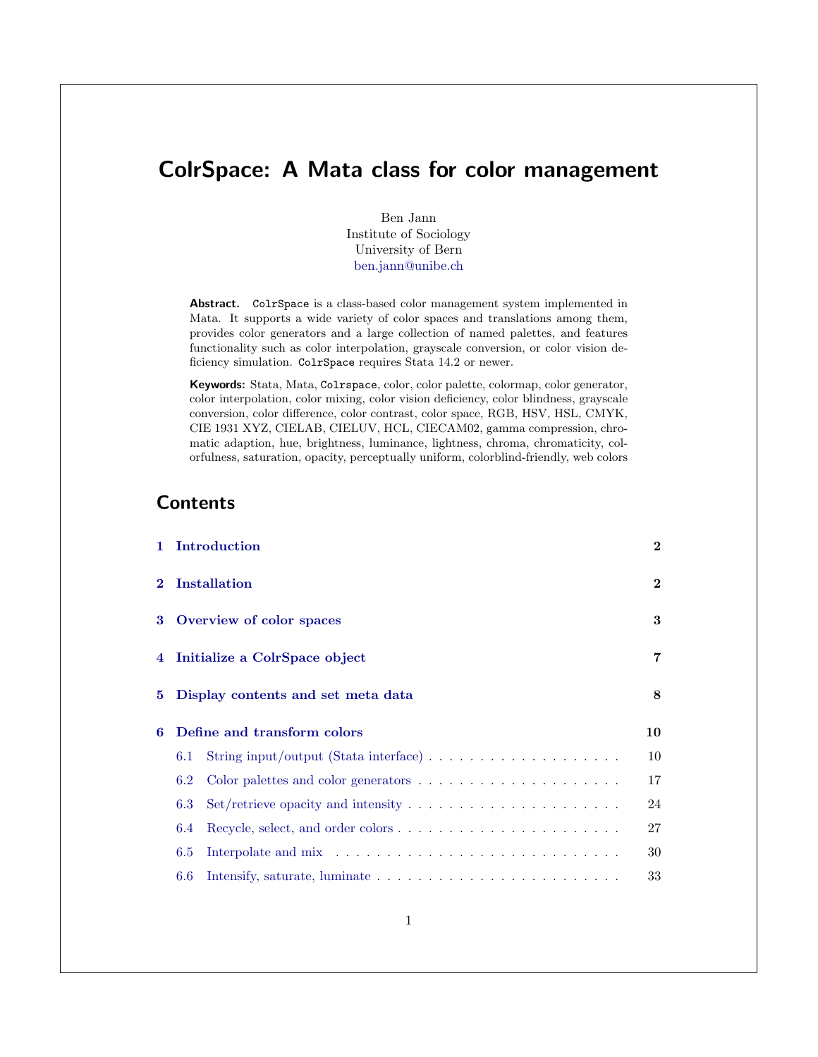# <span id="page-1-0"></span>ColrSpace: A Mata class for color management

Ben Jann Institute of Sociology University of Bern <ben.jann@unibe.ch>

Abstract. ColrSpace is a class-based color management system implemented in Mata. It supports a wide variety of color spaces and translations among them, provides color generators and a large collection of named palettes, and features functionality such as color interpolation, grayscale conversion, or color vision deficiency simulation. ColrSpace requires Stata 14.2 or newer.

Keywords: Stata, Mata, Colrspace, color, color palette, colormap, color generator, color interpolation, color mixing, color vision deficiency, color blindness, grayscale conversion, color difference, color contrast, color space, RGB, HSV, HSL, CMYK, CIE 1931 XYZ, CIELAB, CIELUV, HCL, CIECAM02, gamma compression, chromatic adaption, hue, brightness, luminance, lightness, chroma, chromaticity, colorfulness, saturation, opacity, perceptually uniform, colorblind-friendly, web colors

## **Contents**

| $\mathbf{1}$   |     | Introduction                                                                      | $\bf{2}$ |
|----------------|-----|-----------------------------------------------------------------------------------|----------|
| $\bf{2}$       |     | <b>Installation</b>                                                               | $\bf{2}$ |
| 3              |     | Overview of color spaces                                                          | 3        |
| $\overline{4}$ |     | Initialize a ColrSpace object                                                     | 7        |
| 5.             |     | Display contents and set meta data                                                | 8        |
| 6              |     | Define and transform colors                                                       | 10       |
|                | 6.1 | String input/output (Stata interface) $\ldots \ldots \ldots \ldots \ldots \ldots$ | 10       |
|                | 6.2 | Color palettes and color generators $\dots \dots \dots \dots \dots \dots \dots$   | 17       |
|                | 6.3 |                                                                                   | 24       |
|                | 6.4 |                                                                                   | 27       |
|                | 6.5 |                                                                                   | 30       |
|                | 6.6 |                                                                                   | 33       |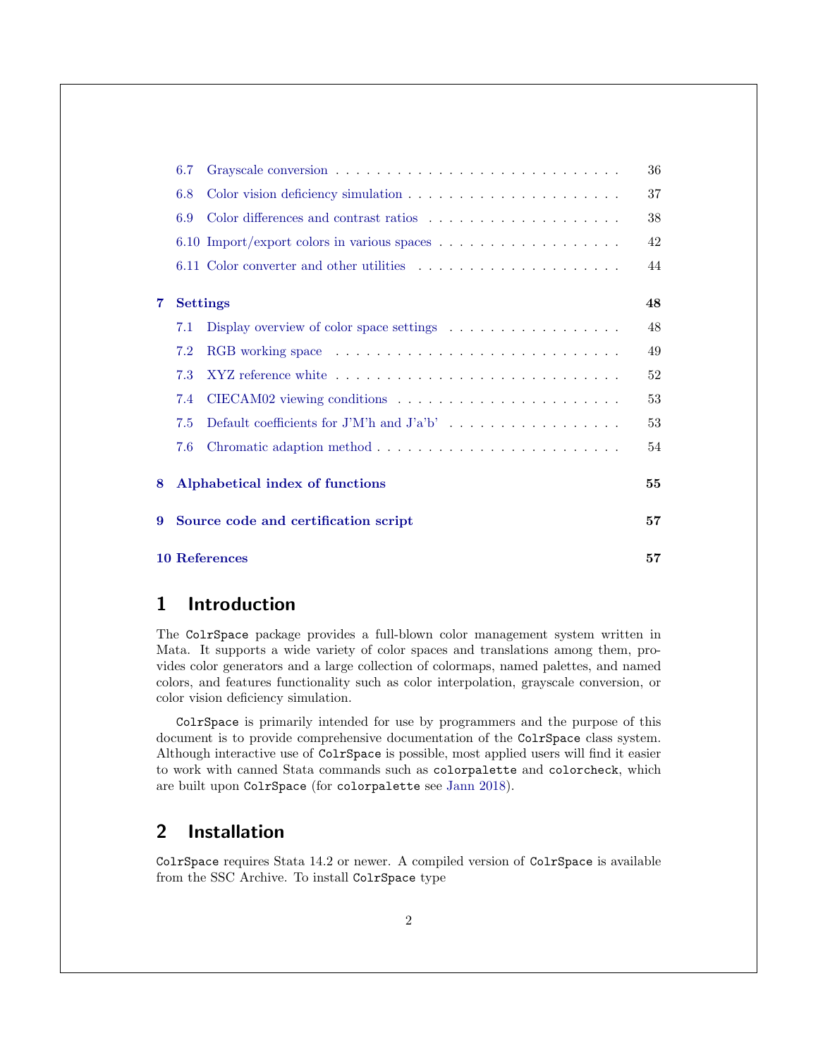|   | 6.7 |                                                                                   | 36 |
|---|-----|-----------------------------------------------------------------------------------|----|
|   | 6.8 |                                                                                   | 37 |
|   | 6.9 |                                                                                   | 38 |
|   |     | 6.10 Import/export colors in various spaces $\dots \dots \dots \dots \dots \dots$ | 42 |
|   |     |                                                                                   | 44 |
|   |     |                                                                                   |    |
| 7 |     | <b>Settings</b>                                                                   | 48 |
|   | 7.1 | Display overview of color space settings $\dots \dots \dots \dots \dots$          | 48 |
|   | 7.2 |                                                                                   | 49 |
|   | 7.3 |                                                                                   | 52 |
|   | 7.4 |                                                                                   | 53 |
|   | 7.5 | Default coefficients for J'M'h and $J'a'b' \dots \dots \dots \dots \dots \dots$   | 53 |
|   | 7.6 |                                                                                   | 54 |
| 8 |     | Alphabetical index of functions                                                   | 55 |
| 9 |     | Source code and certification script                                              | 57 |
|   |     | <b>10 References</b>                                                              | 57 |

# <span id="page-2-0"></span>1 Introduction

The ColrSpace package provides a full-blown color management system written in Mata. It supports a wide variety of color spaces and translations among them, provides color generators and a large collection of colormaps, named palettes, and named colors, and features functionality such as color interpolation, grayscale conversion, or color vision deficiency simulation.

ColrSpace is primarily intended for use by programmers and the purpose of this document is to provide comprehensive documentation of the ColrSpace class system. Although interactive use of ColrSpace is possible, most applied users will find it easier to work with canned Stata commands such as colorpalette and colorcheck, which are built upon ColrSpace (for colorpalette see [Jann](#page-58-0) [2018\)](#page-58-0).

# <span id="page-2-1"></span>2 Installation

ColrSpace requires Stata 14.2 or newer. A compiled version of ColrSpace is available from the SSC Archive. To install ColrSpace type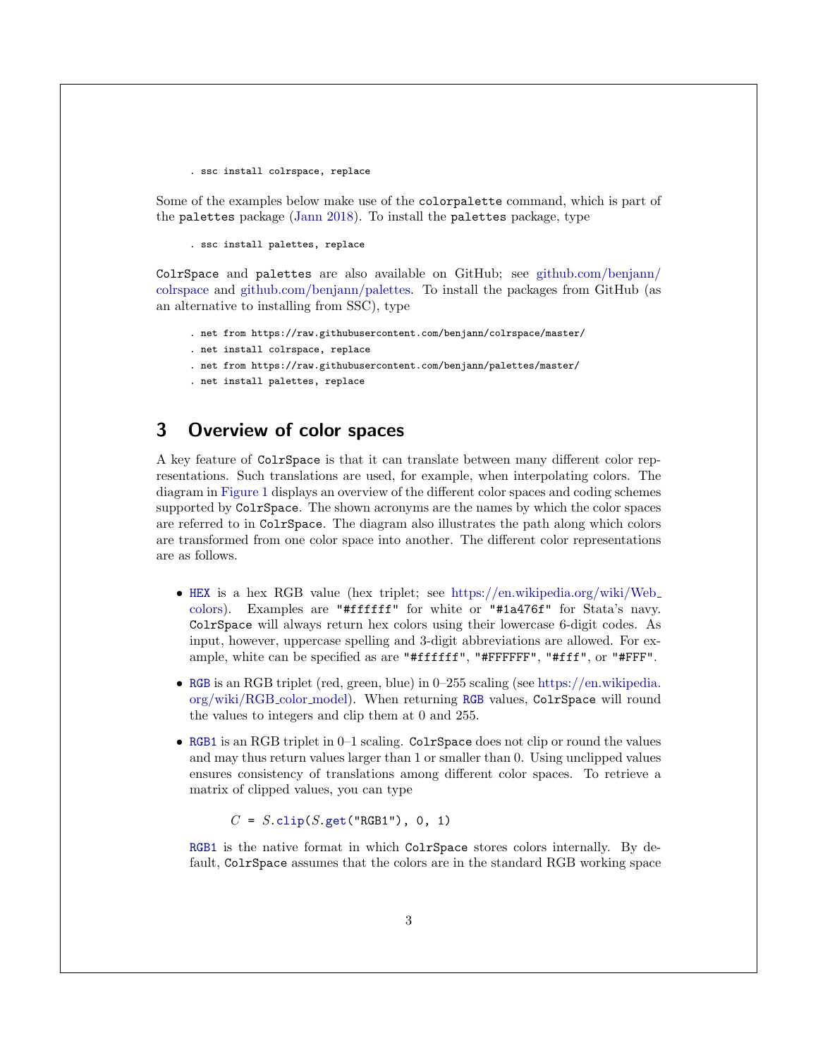. ssc install colrspace, replace

Some of the examples below make use of the colorpalette command, which is part of the palettes package [\(Jann](#page-58-0) [2018\)](#page-58-0). To install the palettes package, type

. ssc install palettes, replace

ColrSpace and palettes are also available on GitHub; see [github.com/benjann/](https://github.com/benjann/colrspace) [colrspace](https://github.com/benjann/colrspace) and [github.com/benjann/palettes.](https://github.com/benjann/palettes) To install the packages from GitHub (as an alternative to installing from SSC), type

- . net from https://raw.githubusercontent.com/benjann/colrspace/master/
- . net install colrspace, replace
- . net from https://raw.githubusercontent.com/benjann/palettes/master/
- . net install palettes, replace

# <span id="page-3-0"></span>3 Overview of color spaces

A key feature of ColrSpace is that it can translate between many different color representations. Such translations are used, for example, when interpolating colors. The diagram in [Figure 1](#page-4-0) displays an overview of the different color spaces and coding schemes supported by ColrSpace. The shown acronyms are the names by which the color spaces are referred to in ColrSpace. The diagram also illustrates the path along which colors are transformed from one color space into another. The different color representations are as follows.

- <span id="page-3-1"></span>• [HEX](#page-3-1) is a hex RGB value (hex triplet; see [https://en.wikipedia.org/wiki/Web](https://en.wikipedia.org/wiki/Web_colors) [colors\)](https://en.wikipedia.org/wiki/Web_colors). Examples are "#ffffff" for white or "#1a476f" for Stata's navy. ColrSpace will always return hex colors using their lowercase 6-digit codes. As input, however, uppercase spelling and 3-digit abbreviations are allowed. For example, white can be specified as are "#ffffff", "#FFFFFF", "#fff", or "#FFF".
- <span id="page-3-2"></span>• [RGB](#page-3-2) is an RGB triplet (red, green, blue) in 0–255 scaling (see [https://en.wikipedia.](https://en.wikipedia.org/wiki/RGB_color_model) [org/wiki/RGB](https://en.wikipedia.org/wiki/RGB_color_model) color model). When returning [RGB](#page-3-2) values, ColrSpace will round the values to integers and clip them at 0 and 255.
- <span id="page-3-3"></span>• [RGB1](#page-3-3) is an RGB triplet in 0–1 scaling. ColrSpace does not clip or round the values and may thus return values larger than 1 or smaller than 0. Using unclipped values ensures consistency of translations among different color spaces. To retrieve a matrix of clipped values, you can type

 $C = S$ [.clip\(](#page-48-2)S[.get\(](#page-43-0)"RGB1"), 0, 1)

[RGB1](#page-3-3) is the native format in which ColrSpace stores colors internally. By default, ColrSpace assumes that the colors are in the standard RGB working space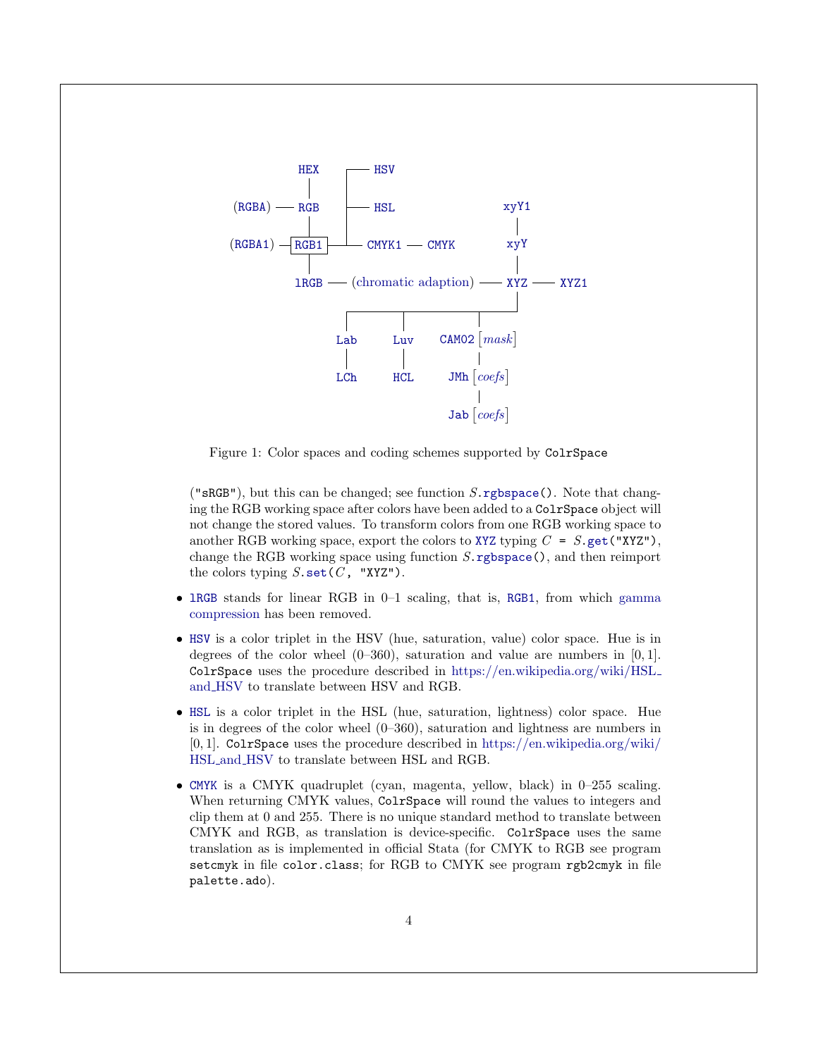

<span id="page-4-0"></span>Figure 1: Color spaces and coding schemes supported by ColrSpace

(" $sRGB"$ ), but this can be changed; see function  $S.\r{rgbspace}$ ). Note that changing the RGB working space after colors have been added to a ColrSpace object will not change the stored values. To transform colors from one RGB working space to another RGB working space, export the colors to [XYZ](#page-5-1) typing  $C = S$ [.get\(](#page-43-0)"XYZ"), change the RGB working space using function  $S.\mathsf{response}()$ , and then reimport the colors typing  $S.\setminus(C, "XYZ").$ 

- <span id="page-4-4"></span>• [lRGB](#page-4-4) stands for linear RGB in 0–1 scaling, that is, [RGB1](#page-3-3), from which [gamma](#page-50-0) [compression](#page-50-0) has been removed.
- <span id="page-4-2"></span>• [HSV](#page-4-2) is a color triplet in the HSV (hue, saturation, value) color space. Hue is in degrees of the color wheel  $(0-360)$ , saturation and value are numbers in [0,1]. ColrSpace uses the procedure described in [https://en.wikipedia.org/wiki/HSL](https://en.wikipedia.org/wiki/HSL_and_HSV) and [HSV](https://en.wikipedia.org/wiki/HSL_and_HSV) to translate between HSV and RGB.
- <span id="page-4-1"></span>• [HSL](#page-4-1) is a color triplet in the HSL (hue, saturation, lightness) color space. Hue is in degrees of the color wheel (0–360), saturation and lightness are numbers in [0, 1]. ColrSpace uses the procedure described in [https://en.wikipedia.org/wiki/](https://en.wikipedia.org/wiki/HSL_and_HSV) HSL and [HSV](https://en.wikipedia.org/wiki/HSL_and_HSV) to translate between HSL and RGB.
- <span id="page-4-3"></span>• [CMYK](#page-4-3) is a CMYK quadruplet (cyan, magenta, yellow, black) in 0–255 scaling. When returning CMYK values, ColrSpace will round the values to integers and clip them at 0 and 255. There is no unique standard method to translate between CMYK and RGB, as translation is device-specific. ColrSpace uses the same translation as is implemented in official Stata (for CMYK to RGB see program setcmyk in file color.class; for RGB to CMYK see program rgb2cmyk in file palette.ado).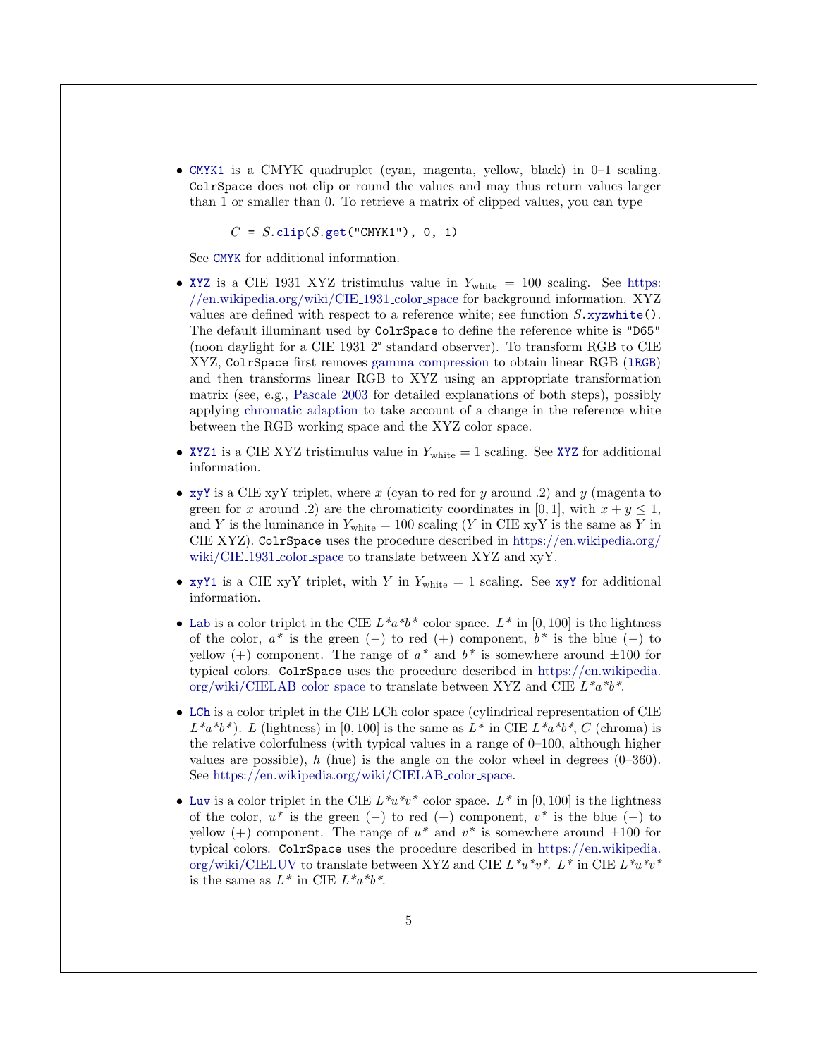<span id="page-5-0"></span>• [CMYK1](#page-5-0) is a CMYK quadruplet (cyan, magenta, yellow, black) in 0–1 scaling. ColrSpace does not clip or round the values and may thus return values larger than 1 or smaller than 0. To retrieve a matrix of clipped values, you can type

 $C = S$ [.clip\(](#page-48-2) $S$ [.get\(](#page-43-0)"CMYK1"), 0, 1)

See [CMYK](#page-4-3) for additional information.

- <span id="page-5-1"></span>• [XYZ](#page-5-1) is a CIE 1931 XYZ tristimulus value in  $Y_{\text{white}} = 100$  scaling. See [https:](https://en.wikipedia.org/wiki/CIE_1931_color_space) [//en.wikipedia.org/wiki/CIE](https://en.wikipedia.org/wiki/CIE_1931_color_space) 1931 color space for background information. XYZ values are defined with respect to a reference white; see function  $S$ [.xyzwhite\(](#page-52-0)). The default illuminant used by ColrSpace to define the reference white is "D65" (noon daylight for a CIE 1931 2° standard observer). To transform RGB to CIE XYZ, ColrSpace first removes [gamma compression](#page-50-0) to obtain linear RGB ([lRGB](#page-4-4)) and then transforms linear RGB to XYZ using an appropriate transformation matrix (see, e.g., [Pascale](#page-59-0) [2003](#page-59-0) for detailed explanations of both steps), possibly applying [chromatic adaption](#page-54-0) to take account of a change in the reference white between the RGB working space and the XYZ color space.
- <span id="page-5-4"></span>• [XYZ1](#page-5-4) is a CIE [XYZ](#page-5-1) tristimulus value in  $Y_{\text{white}} = 1$  scaling. See XYZ for additional information.
- <span id="page-5-2"></span>• [xyY](#page-5-2) is a CIE xyY triplet, where x (cyan to red for y around .2) and y (magenta to green for x around .2) are the chromaticity coordinates in [0, 1], with  $x + y \le 1$ , and Y is the luminance in  $Y_{\text{white}} = 100$  scaling (Y in CIE xyY is the same as Y in CIE XYZ). ColrSpace uses the procedure described in [https://en.wikipedia.org/](https://en.wikipedia.org/wiki/CIE_1931_color_space) [wiki/CIE](https://en.wikipedia.org/wiki/CIE_1931_color_space) 1931 color space to translate between XYZ and xyY.
- <span id="page-5-3"></span>• [xyY1](#page-5-3) is a CIE [xyY](#page-5-2) triplet, with Y in  $Y_{white} = 1$  scaling. See xyY for additional information.
- <span id="page-5-5"></span>• [Lab](#page-5-5) is a color triplet in the CIE  $L^*a^*b^*$  color space.  $L^*$  in [0, 100] is the lightness of the color,  $a^*$  is the green (−) to red (+) component,  $b^*$  is the blue (−) to yellow (+) component. The range of  $a^*$  and  $b^*$  is somewhere around  $\pm 100$  for typical colors. ColrSpace uses the procedure described in [https://en.wikipedia.](https://en.wikipedia.org/wiki/CIELAB_color_space) [org/wiki/CIELAB](https://en.wikipedia.org/wiki/CIELAB_color_space)\_color\_space to translate between XYZ and CIE  $L^*a^*b^*$ .
- <span id="page-5-6"></span>• [LCh](#page-5-6) is a color triplet in the CIE LCh color space (cylindrical representation of CIE  $L^*a^*b^*$ ). L (lightness) in [0, 100] is the same as  $L^*$  in CIE  $L^*a^*b^*$ , C (chroma) is the relative colorfulness (with typical values in a range of  $0-100$ , although higher values are possible), h (hue) is the angle on the color wheel in degrees  $(0-360)$ . See [https://en.wikipedia.org/wiki/CIELAB](https://en.wikipedia.org/wiki/CIELAB_color_space) color space.
- <span id="page-5-7"></span>• [Luv](#page-5-7) is a color triplet in the CIE  $L^*u^*v^*$  color space.  $L^*$  in [0, 100] is the lightness of the color,  $u^*$  is the green (−) to red (+) component,  $v^*$  is the blue (−) to yellow (+) component. The range of  $u^*$  and  $v^*$  is somewhere around  $\pm 100$  for typical colors. ColrSpace uses the procedure described in [https://en.wikipedia.](https://en.wikipedia.org/wiki/CIELUV) [org/wiki/CIELUV](https://en.wikipedia.org/wiki/CIELUV) to translate between XYZ and CIE  $L^*u^*v^*$ .  $L^*$  in CIE  $L^*u^*v^*$ is the same as  $L^*$  in CIE  $L^*a^*b^*$ .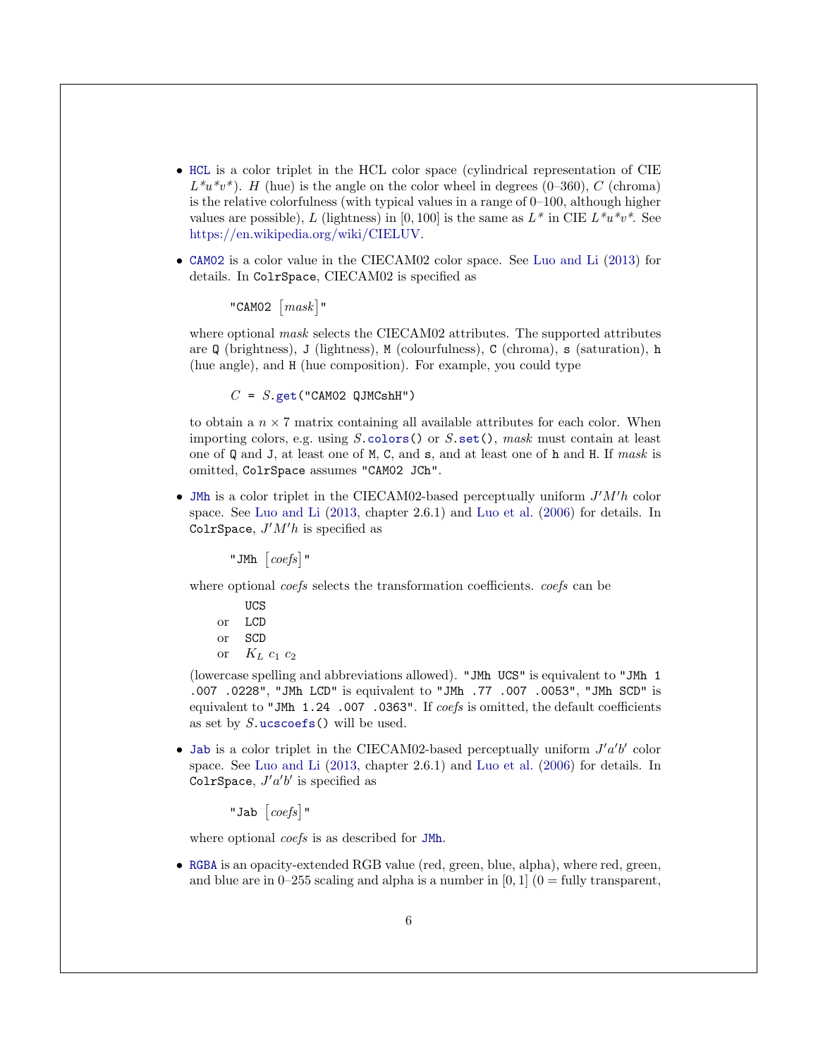- <span id="page-6-1"></span>• [HCL](#page-6-1) is a color triplet in the HCL color space (cylindrical representation of CIE  $L^*u^*v^*$ ). H (hue) is the angle on the color wheel in degrees (0–360), C (chroma) is the relative colorfulness (with typical values in a range of  $0-100$ , although higher values are possible), L (lightness) in [0, 100] is the same as  $L^*$  in CIE  $L^*u^*v^*$ . See [https://en.wikipedia.org/wiki/CIELUV.](https://en.wikipedia.org/wiki/CIELUV)
- <span id="page-6-2"></span>• [CAM02](#page-6-2) is a color value in the CIECAM02 color space. See [Luo and Li](#page-59-1) [\(2013\)](#page-59-1) for details. In ColrSpace, CIECAM02 is specified as

"CAMO2  $\lceil mask \rceil$ "

where optional *mask* selects the CIECAM02 attributes. The supported attributes are  $\Omega$  (brightness), J (lightness), M (colourfulness), C (chroma), s (saturation), h (hue angle), and H (hue composition). For example, you could type

 $C = S.get("CAMO2 QJMCshH")$  $C = S.get("CAMO2 QJMCshH")$  $C = S.get("CAMO2 QJMCshH")$ 

to obtain a  $n \times 7$  matrix containing all available attributes for each color. When importing colors, e.g. using  $S.\text{colors}()$  or  $S.\text{set}()$ , mask must contain at least one of Q and J, at least one of M, C, and s, and at least one of h and H. If mask is omitted, ColrSpace assumes "CAM02 JCh".

<span id="page-6-3"></span>• [JMh](#page-6-3) is a color triplet in the CIECAM02-based perceptually uniform  $J'M'h$  color space. See [Luo and Li](#page-59-1) [\(2013,](#page-59-1) chapter 2.6.1) and [Luo et al.](#page-58-1) [\(2006\)](#page-58-1) for details. In ColrSpace,  $J'M'h$  is specified as

"JMh  $\left[ \text{coeffs} \right]$ "

where optional *coefs* selects the transformation coefficients. *coefs* can be

- UCS or LCD
- or SCD
- or  $K_L$   $c_1$   $c_2$

(lowercase spelling and abbreviations allowed). "JMh UCS" is equivalent to "JMh 1 .007 .0228", "JMh LCD" is equivalent to "JMh .77 .007 .0053", "JMh SCD" is equivalent to "JMh 1.24 .007 .0363". If coefs is omitted, the default coefficients as set by  $S.\text{ucscoefs}()$  will be used.

<span id="page-6-4"></span>• [Jab](#page-6-4) is a color triplet in the CIECAM02-based perceptually uniform  $J'a'b'$  color space. See [Luo and Li](#page-59-1) [\(2013,](#page-59-1) chapter 2.6.1) and [Luo et al.](#page-58-1) [\(2006\)](#page-58-1) for details. In ColrSpace,  $J'a'b'$  is specified as

"Jab  $\left[ \textit{coeffs} \right]$ "

where optional *coefs* is as described for [JMh](#page-6-3).

<span id="page-6-0"></span>• [RGBA](#page-6-0) is an opacity-extended RGB value (red, green, blue, alpha), where red, green, and blue are in  $0-255$  scaling and alpha is a number in  $[0, 1]$   $(0 =$  fully transparent,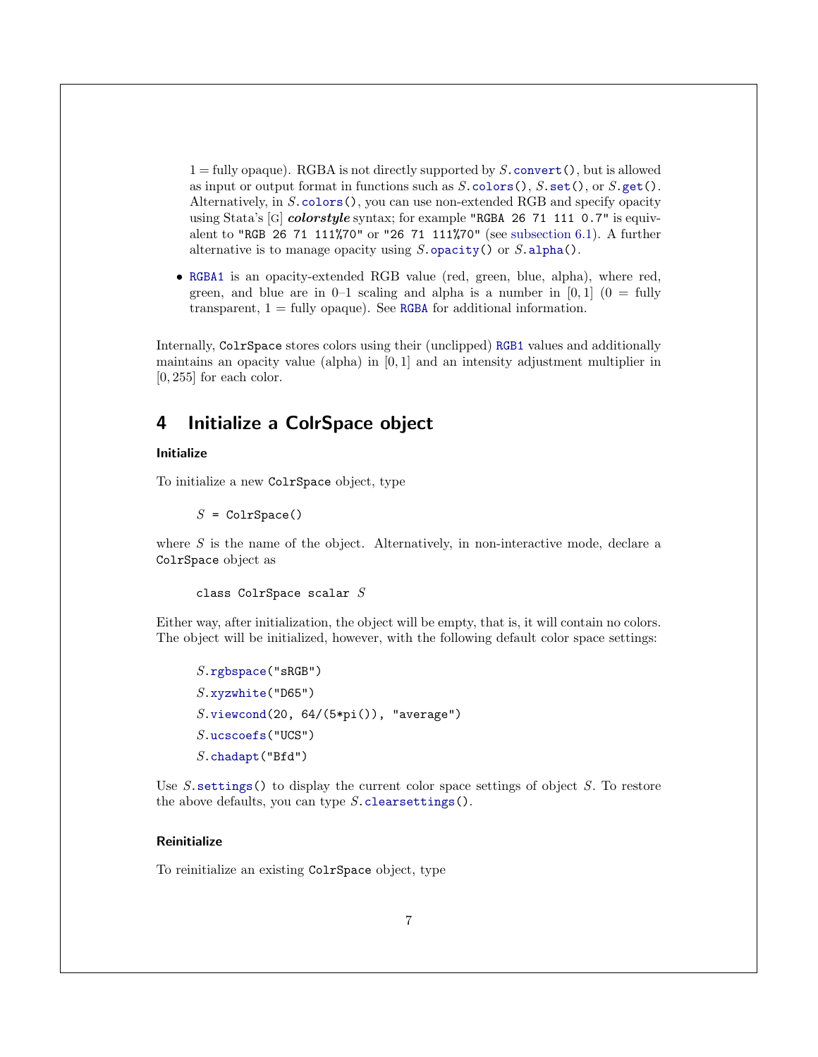$1 = \text{fully opaque}$ . RGBA is not directly supported by S. convert(), but is allowed as input or output format in functions such as  $S$ [.colors\(](#page-10-2)),  $S$ [.set\(](#page-42-1)), or  $S$ [.get\(](#page-43-0)). Alternatively, in S[.colors\(](#page-10-2)), you can use non-extended RGB and specify opacity using Stata's [G] colorstyle syntax; for example "RGBA 26 71 111 0.7" is equivalent to "RGB 26 71 111%70" or "26 71 111%70" (see [subsection 6.1\)](#page-10-1). A further alternative is to manage opacity using  $S.\text{ opacity}()$  or  $S.\text{alpha}()$ .

<span id="page-7-1"></span>• [RGBA1](#page-7-1) is an opacity-extended RGB value (red, green, blue, alpha), where red, green, and blue are in  $0-1$  scaling and alpha is a number in  $[0,1]$   $(0 = \text{fully})$ transparent,  $1 =$  fully opaque). See [RGBA](#page-6-0) for additional information.

Internally, ColrSpace stores colors using their (unclipped) [RGB1](#page-3-3) values and additionally maintains an opacity value (alpha) in  $[0, 1]$  and an intensity adjustment multiplier in [0, 255] for each color.

### <span id="page-7-0"></span>4 Initialize a ColrSpace object

### <span id="page-7-2"></span>Initialize

To initialize a new ColrSpace object, type

 $S = \text{ColrSpace}()$ 

where  $S$  is the name of the object. Alternatively, in non-interactive mode, declare a ColrSpace object as

```
class ColrSpace scalar S
```
Either way, after initialization, the object will be empty, that is, it will contain no colors. The object will be initialized, however, with the following default color space settings:

```
S.rgbspace("sRGB")
S.xyzwhite("D65")
S.\text{viewcond}(20, 64/(5*pi()), "average")
S.ucscoefs("UCS")
S.chadapt("Bfd")
```
Use  $S$  settings() to display the current color space settings of object  $S$ . To restore the above defaults, you can type  $S$ . clears ettings().

### <span id="page-7-3"></span>**Reinitialize**

To reinitialize an existing ColrSpace object, type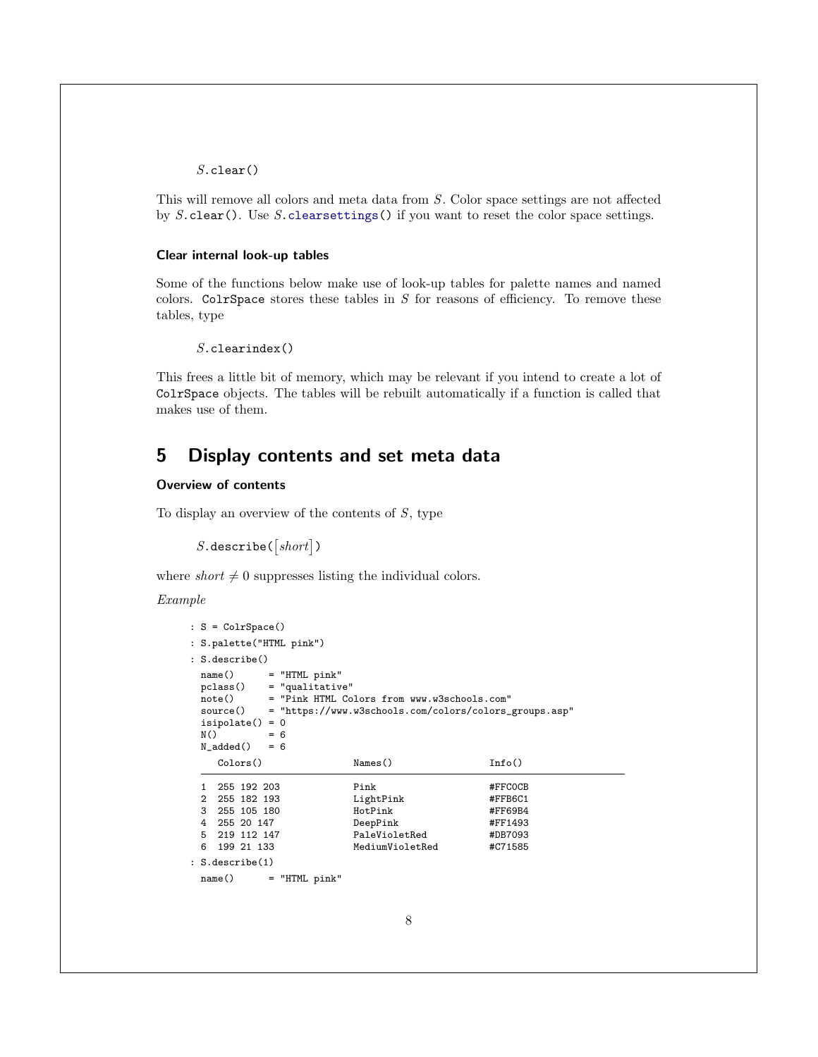### S.clear()

This will remove all colors and meta data from S. Color space settings are not affected by  $S$ .clear(). Use  $S$ [.clearsettings\(](#page-48-1)) if you want to reset the color space settings.

#### <span id="page-8-1"></span>Clear internal look-up tables

Some of the functions below make use of look-up tables for palette names and named colors. ColrSpace stores these tables in  $S$  for reasons of efficiency. To remove these tables, type

```
S.clearindex()
```
This frees a little bit of memory, which may be relevant if you intend to create a lot of ColrSpace objects. The tables will be rebuilt automatically if a function is called that makes use of them.

### <span id="page-8-0"></span>5 Display contents and set meta data

### <span id="page-8-2"></span>Overview of contents

To display an overview of the contents of  $S$ , type

```
S. describe([short])
```
where short  $\neq 0$  suppresses listing the individual colors.

Example

```
: S = ColrSpace()
: S.palette("HTML pink")
: S.describe()
 name() = "HTML pink"
 pclass() = "qualitative"
 note() = "Pink HTML Colors from www.w3schools.com"<br>source() = "https://www.w3schools.com/colors/colors_
           = "https://www.w3schools.com/colors/colors_groups.asp"
 isipolate() = 0
 N() = 6<br>N_added() = 6
 N\_added()Colors() Names() Info()
 1 255 192 203 Pink #FFC0CB<br>2 255 182 193 LightPink #FFB6C1
 2 255 182 193 LightPink #FFB6C1
   3 255 105 180 HotPink #FF69B4
 4 255 20 147 DeepPink #FF1493
 5 219 112 147 PaleVioletRed #DB7093
                         MediumVioletRed
: S.describe(1)
 name() = "HTML pink"
```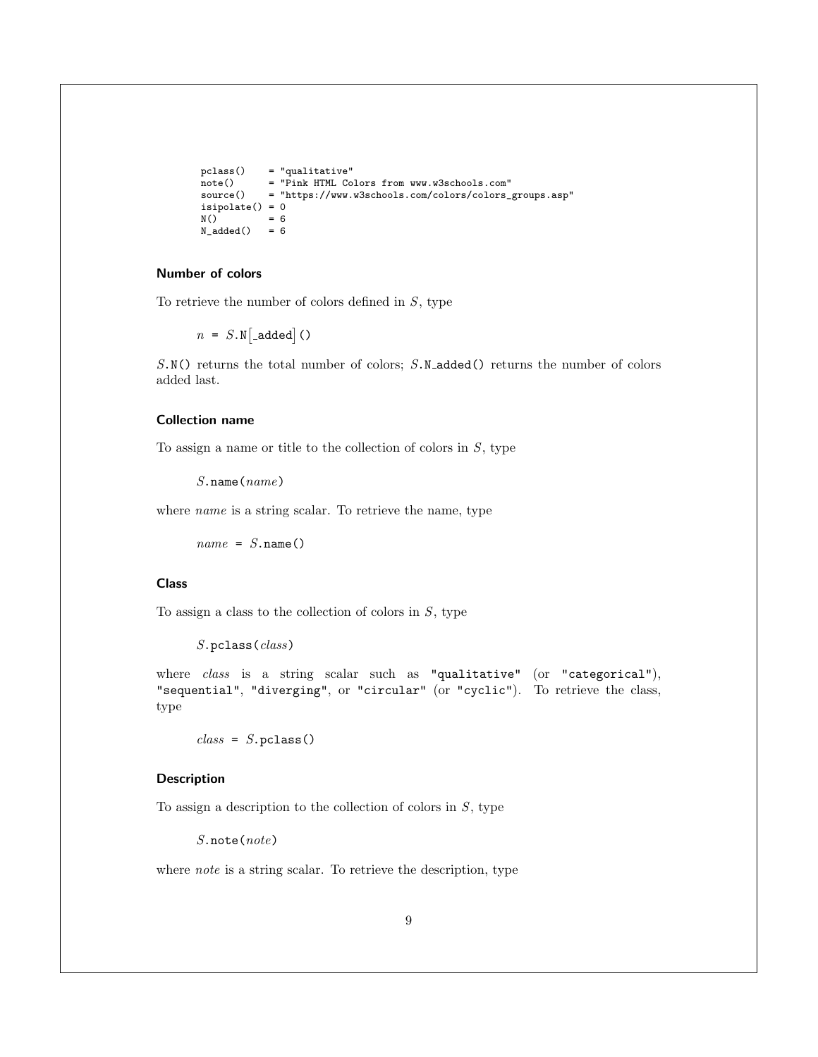```
pclass() = "qualitative"<br>note() = "Pink HTML Co
note() = "Pink HTML Colors from www.w3schools.com"<br>source() = "https://www.w3schools.com/colors/colors
                  = "https://www.w3schools.com/colors/colors_groups.asp"
isipolate() = 0<br>N() = 6= 6<br>= 6
N\_added()
```
### <span id="page-9-1"></span>Number of colors

To retrieve the number of colors defined in  $S$ , type

 $n = S.N$ [\_added]()

S.N() returns the total number of colors; S.N\_added() returns the number of colors added last.

### <span id="page-9-2"></span>Collection name

To assign a name or title to the collection of colors in  $S$ , type

S.name(name)

where *name* is a string scalar. To retrieve the name, type

 $name = S.name()$ 

### <span id="page-9-0"></span>Class

To assign a class to the collection of colors in  $S$ , type

```
S.pclass(class)
```
where *class* is a string scalar such as "qualitative" (or "categorical"), "sequential", "diverging", or "circular" (or "cyclic"). To retrieve the class, type

 $class = S.pclass()$ 

### <span id="page-9-3"></span>Description

To assign a description to the collection of colors in  $S$ , type

S.note(note)

where *note* is a string scalar. To retrieve the description, type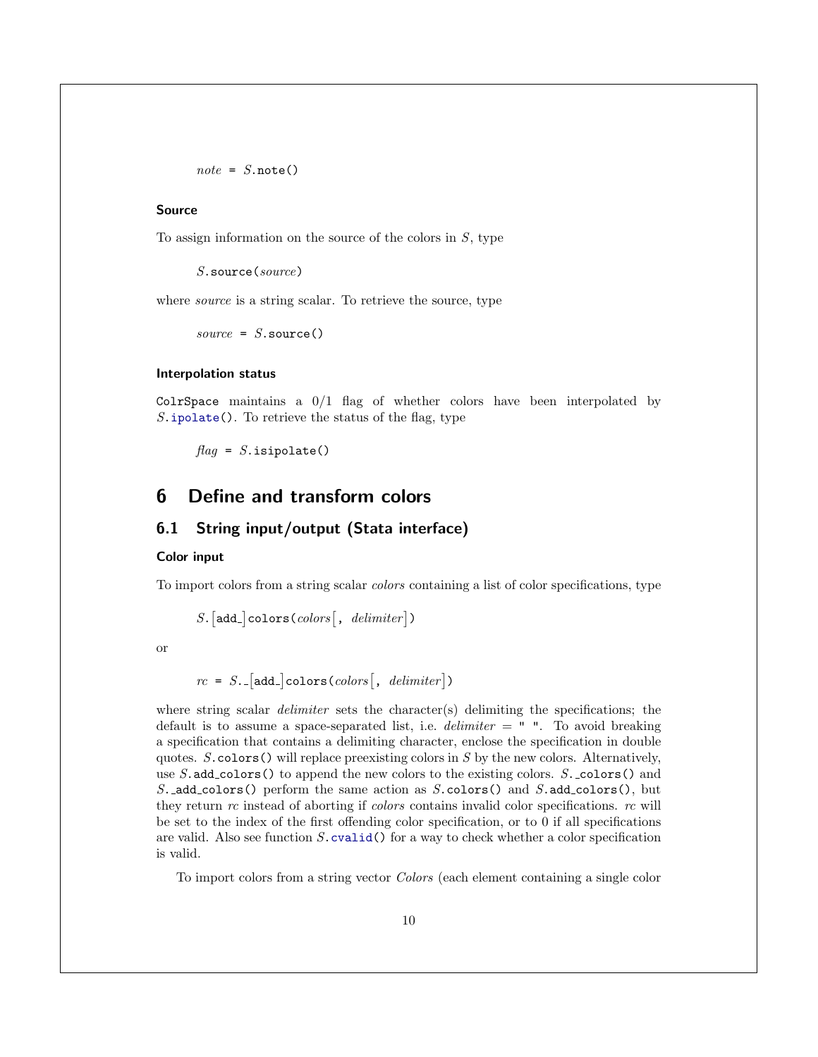$note = S.note()$ 

### <span id="page-10-4"></span>Source

To assign information on the source of the colors in  $S$ , type

S.source(source)

where *source* is a string scalar. To retrieve the source, type

 $source = S.\source()$ 

### <span id="page-10-3"></span>Interpolation status

ColrSpace maintains a  $0/1$  flag of whether colors have been interpolated by  $S.\texttt{ipolate}()$ . To retrieve the status of the flag, type

 $flag = S.isipolate()$ 

### <span id="page-10-0"></span>6 Define and transform colors

### <span id="page-10-1"></span>6.1 String input/output (Stata interface)

#### <span id="page-10-2"></span>Color input

To import colors from a string scalar colors containing a list of color specifications, type

 $S. [add_c] \text{colors} (colors [, \text{ \textit{delimiter}}])$ 

or

$$
rc = S.
$$
 [add.] $colors(colors$ ],  $delimiter$ ])

where string scalar *delimiter* sets the character(s) delimiting the specifications; the default is to assume a space-separated list, i.e.  $delimiter = " "$ . To avoid breaking a specification that contains a delimiting character, enclose the specification in double quotes.  $S.\text{colors}()$  will replace preexisting colors in S by the new colors. Alternatively, use  $S$  add colors () to append the new colors to the existing colors.  $S$ . colors () and S. add colors() perform the same action as S. colors() and S. add colors(), but they return rc instead of aborting if colors contains invalid color specifications. rc will be set to the index of the first offending color specification, or to 0 if all specifications are valid. Also see function  $S$  cvalid() for a way to check whether a color specification is valid.

To import colors from a string vector Colors (each element containing a single color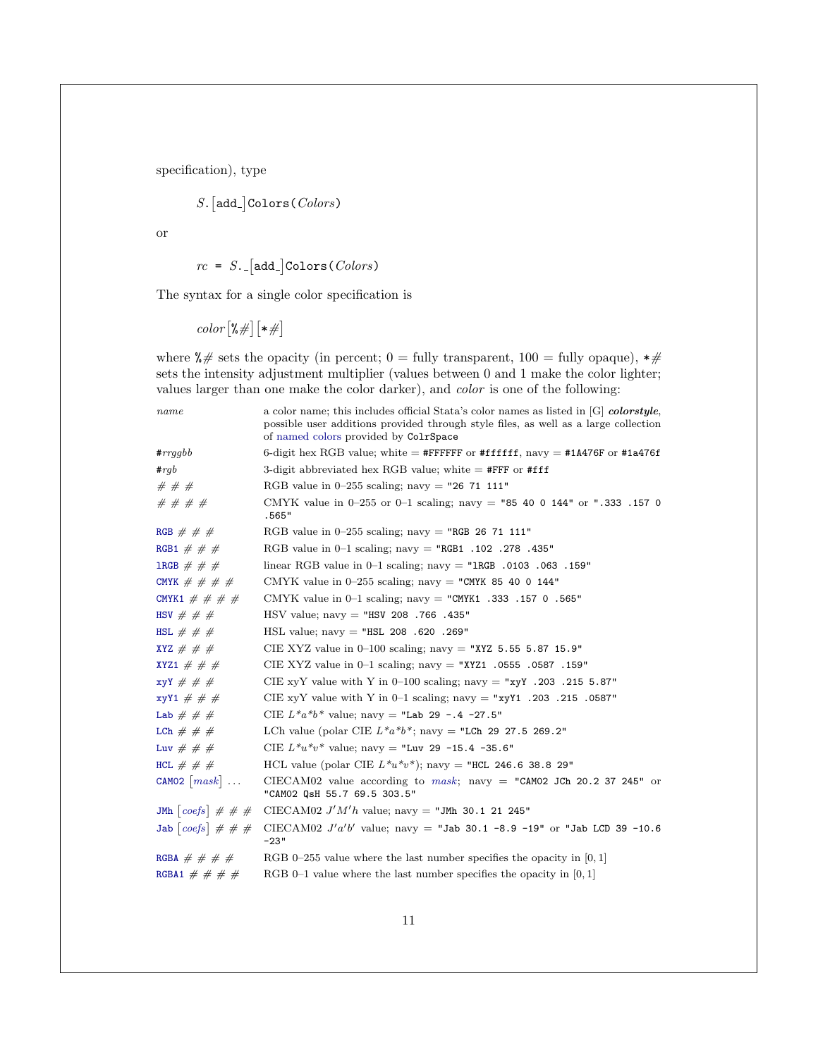specification), type

$$
S.\,[\texttt{add\_Colors}(\mathit{Colors})
$$

or

 $rc = S$ . [add\_]Colors( $Colors$ )

The syntax for a single color specification is

 $color[$  $*#$  $*$  $|$  $*$  $|$  $*$  $|$  $*$  $|$ 

where  $\frac{1}{2}$  sets the opacity (in percent; 0 = fully transparent, 100 = fully opaque),  $\frac{1}{2}$ sets the intensity adjustment multiplier (values between 0 and 1 make the color lighter; values larger than one make the color darker), and color is one of the following:

| name                      | a color name; this includes official Stata's color names as listed in [G] colorstyle,<br>possible user additions provided through style files, as well as a large collection<br>of named colors provided by ColrSpace |
|---------------------------|-----------------------------------------------------------------------------------------------------------------------------------------------------------------------------------------------------------------------|
| $\#rrqqbb$                | 6-digit hex RGB value; white = #FFFFFF or #ffffff, navy = #1A476F or #1a476f                                                                                                                                          |
| $\#rgb$                   | 3-digit abbreviated hex RGB value; white $=$ #FFF or #fff                                                                                                                                                             |
| #  #  #                   | RGB value in 0-255 scaling; navy = "26 71 111"                                                                                                                                                                        |
| # # # #                   | CMYK value in 0-255 or 0-1 scaling; navy = "85 40 0 144" or ".333 .157 0<br>.565"                                                                                                                                     |
| RGB # # #                 | RGB value in $0-255$ scaling; navy = "RGB 26 71 111"                                                                                                                                                                  |
| RGB1 # # #                | RGB value in $0-1$ scaling; navy = "RGB1 .102 .278 .435"                                                                                                                                                              |
| 1RGB $\#$ $\#$ $\#$       | linear RGB value in $0-1$ scaling; navy = "1RGB .0103 .063 .159"                                                                                                                                                      |
| CMYK # # # #              | CMYK value in 0-255 scaling; navy = "CMYK 85 40 0 144"                                                                                                                                                                |
| CMYK1 # # # #             | CMYK value in $0-1$ scaling; navy = "CMYK1 .333 .157 0 .565"                                                                                                                                                          |
| HSV # # #                 | $\text{HSV value:}$ navy = "HSV 208.766.435"                                                                                                                                                                          |
| HSL $\#$ $\#$ $\#$        | $HSL$ value; navy = "HSL 208 .620 .269"                                                                                                                                                                               |
| XYZ $\#$ $\#$ $\#$        | CIE XYZ value in $0-100$ scaling; navy = "XYZ 5.55 5.87 15.9"                                                                                                                                                         |
| XYZ1 # # #                | CIE XYZ value in 0-1 scaling; navy = "XYZ1 .0555 .0587 .159"                                                                                                                                                          |
| $xyY \# # #$              | CIE xyY value with Y in 0–100 scaling; navy = "xyY .203 .215 5.87"                                                                                                                                                    |
| $xyY1 \# # #$             | CIE xyY value with Y in $0-1$ scaling; navy = "xyY1 .203 .215 .0587"                                                                                                                                                  |
| Lab $# # #$               | CIE $L^*a^*b^*$ value; navy = "Lab 29 -.4 -27.5"                                                                                                                                                                      |
| LCh $\#$ $\#$ $\#$        | LCh value (polar CIE $L^*a^*b^*$ ; navy = "LCh 29 27.5 269.2"                                                                                                                                                         |
| Luv # # #                 | CIE $L^*u^*v^*$ value; navy = "Luv 29 -15.4 -35.6"                                                                                                                                                                    |
| HCL $# # #$               | HCL value (polar CIE $L^*u^*v^*$ ); navy = "HCL 246.6 38.8 29"                                                                                                                                                        |
| CAMO2 $[mask]$            | CIECAM02 value according to mask; navy = "CAM02 JCh 20.2 37 245" or<br>"CAM02 QsH 55.7 69.5 303.5"                                                                                                                    |
| JMh $[coeff]$ # # #       | CIECAM02 $J'M'h$ value; navy = "JMh 30.1 21 245"                                                                                                                                                                      |
| Jab $ coeff  \# \#$       | CIECAM02 $J' a'b'$ value; navy = "Jab 30.1 -8.9 -19" or "Jab LCD 39 -10.6<br>$-23"$                                                                                                                                   |
| RGBA $\#$ $\#$ $\#$ $\#$  | RGB 0-255 value where the last number specifies the opacity in $[0, 1]$                                                                                                                                               |
| RGBA1 $\#$ $\#$ $\#$ $\#$ | RGB 0-1 value where the last number specifies the opacity in $[0, 1]$                                                                                                                                                 |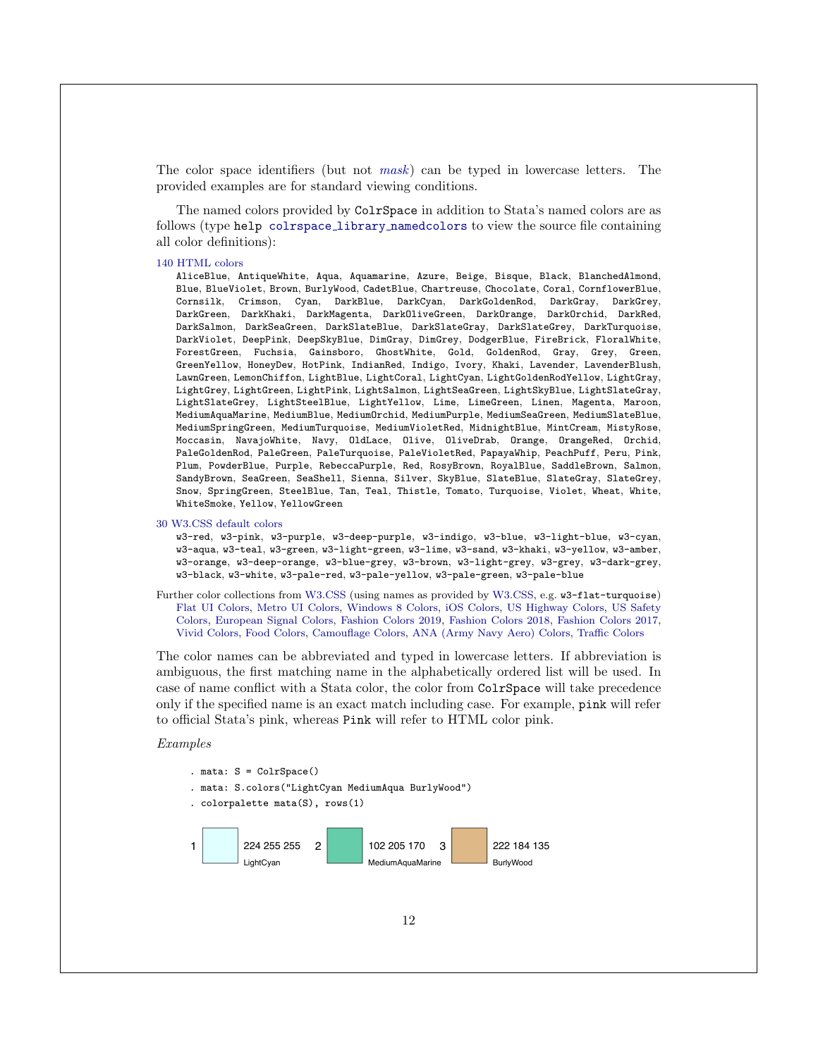The color space identifiers (but not [mask](#page-6-2)) can be typed in lowercase letters. The provided examples are for standard viewing conditions.

<span id="page-12-0"></span>The named colors provided by ColrSpace in addition to Stata's named colors are as follows (type help colrspace library [namedcolors](https://github.com/benjann/colrspace/blob/master/colrspace_library_namedcolors.sthlp) to view the source file containing all color definitions):

#### [140 HTML colors](https://www.w3schools.com/colors/colors_names.asp)

AliceBlue, AntiqueWhite, Aqua, Aquamarine, Azure, Beige, Bisque, Black, BlanchedAlmond, Blue, BlueViolet, Brown, BurlyWood, CadetBlue, Chartreuse, Chocolate, Coral, CornflowerBlue, Cornsilk, Crimson, Cyan, DarkBlue, DarkCyan, DarkGoldenRod, DarkGray, DarkGrey, DarkGreen, DarkKhaki, DarkMagenta, DarkOliveGreen, DarkOrange, DarkOrchid, DarkRed, DarkSalmon, DarkSeaGreen, DarkSlateBlue, DarkSlateGray, DarkSlateGrey, DarkTurquoise, DarkViolet, DeepPink, DeepSkyBlue, DimGray, DimGrey, DodgerBlue, FireBrick, FloralWhite, ForestGreen, Fuchsia, Gainsboro, GhostWhite, Gold, GoldenRod, Gray, Grey, Green, GreenYellow, HoneyDew, HotPink, IndianRed, Indigo, Ivory, Khaki, Lavender, LavenderBlush, LawnGreen, LemonChiffon, LightBlue, LightCoral, LightCyan, LightGoldenRodYellow, LightGray, LightGrey, LightGreen, LightPink, LightSalmon, LightSeaGreen, LightSkyBlue, LightSlateGray, LightSlateGrey, LightSteelBlue, LightYellow, Lime, LimeGreen, Linen, Magenta, Maroon, MediumAquaMarine, MediumBlue, MediumOrchid, MediumPurple, MediumSeaGreen, MediumSlateBlue, MediumSpringGreen, MediumTurquoise, MediumVioletRed, MidnightBlue, MintCream, MistyRose, Moccasin, NavajoWhite, Navy, OldLace, Olive, OliveDrab, Orange, OrangeRed, Orchid, PaleGoldenRod, PaleGreen, PaleTurquoise, PaleVioletRed, PapayaWhip, PeachPuff, Peru, Pink, Plum, PowderBlue, Purple, RebeccaPurple, Red, RosyBrown, RoyalBlue, SaddleBrown, Salmon, SandyBrown, SeaGreen, SeaShell, Sienna, Silver, SkyBlue, SlateBlue, SlateGray, SlateGrey, Snow, SpringGreen, SteelBlue, Tan, Teal, Thistle, Tomato, Turquoise, Violet, Wheat, White, WhiteSmoke, Yellow, YellowGreen

#### [30 W3.CSS default colors](https://www.w3schools.com/w3css/w3css_color_material.asp)

w3-red, w3-pink, w3-purple, w3-deep-purple, w3-indigo, w3-blue, w3-light-blue, w3-cyan, w3-aqua, w3-teal, w3-green, w3-light-green, w3-lime, w3-sand, w3-khaki, w3-yellow, w3-amber, w3-orange, w3-deep-orange, w3-blue-grey, w3-brown, w3-light-grey, w3-grey, w3-dark-grey, w3-black, w3-white, w3-pale-red, w3-pale-yellow, w3-pale-green, w3-pale-blue

Further color collections from [W3.CSS](https://www.w3schools.com/w3css/) (using names as provided by [W3.CSS,](https://www.w3schools.com/w3css/) e.g. w3-flat-turquoise) [Flat UI Colors,](https://www.w3schools.com/w3css/w3css_color_flat.asp) [Metro UI Colors,](https://www.w3schools.com/w3css/w3css_color_metro.asp) [Windows 8 Colors,](https://www.w3schools.com/w3css/w3css_color_win8.asp) [iOS Colors,](https://www.w3schools.com/w3css/w3css_color_ios.asp) [US Highway Colors,](https://www.w3schools.com/w3css/w3css_color_libraries.asp) [US Safety](https://www.w3schools.com/w3css/w3css_color_libraries.asp) [Colors,](https://www.w3schools.com/w3css/w3css_color_libraries.asp) [European Signal Colors,](https://www.w3schools.com/w3css/w3css_color_libraries.asp) [Fashion Colors 2019,](https://www.w3schools.com/w3css/w3css_color_libraries.asp) [Fashion Colors 2018,](https://www.w3schools.com/w3css/w3css_color_libraries.asp) [Fashion Colors 2017,](https://www.w3schools.com/w3css/w3css_color_libraries.asp) [Vivid Colors,](https://www.w3schools.com/w3css/w3css_color_libraries.asp) [Food Colors,](https://www.w3schools.com/w3css/w3css_color_libraries.asp) [Camouflage Colors,](https://www.w3schools.com/w3css/w3css_color_libraries.asp) [ANA \(Army Navy Aero\) Colors,](https://www.w3schools.com/colors/colors_fs595.asp) [Traffic Colors](https://www.w3schools.com/colors/colors_ral.asp)

The color names can be abbreviated and typed in lowercase letters. If abbreviation is ambiguous, the first matching name in the alphabetically ordered list will be used. In case of name conflict with a Stata color, the color from ColrSpace will take precedence only if the specified name is an exact match including case. For example, pink will refer to official Stata's pink, whereas Pink will refer to HTML color pink.

### Examples

- . mata: S = ColrSpace()
- . mata: S.colors("LightCyan MediumAqua BurlyWood")
- . colorpalette mata(S), rows(1)

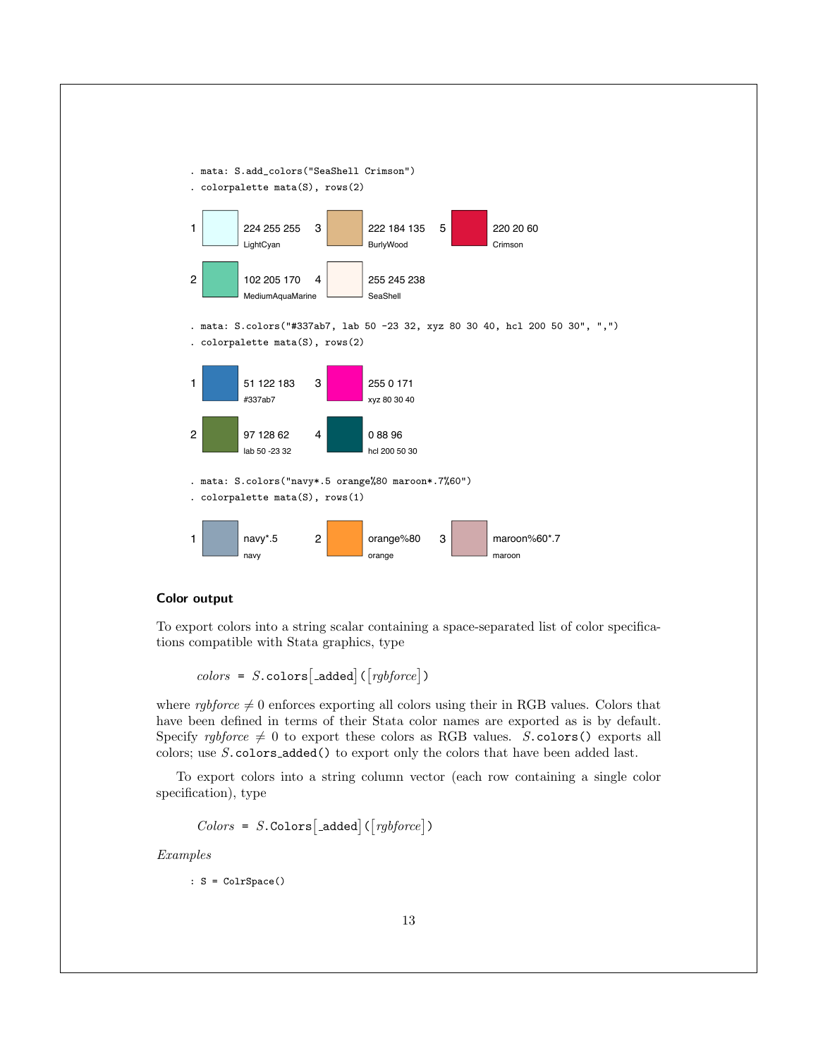

### Color output

To export colors into a string scalar containing a space-separated list of color specifications compatible with Stata graphics, type

$$
colors = S.\,\text{colors}[\text{-added}] \, (\text{[rgbforce]})
$$

where rgbforce  $\neq 0$  enforces exporting all colors using their in RGB values. Colors that have been defined in terms of their Stata color names are exported as is by default. Specify *rgbforce*  $\neq 0$  to export these colors as RGB values. S.colors() exports all colors; use S.colors added() to export only the colors that have been added last.

To export colors into a string column vector (each row containing a single color specification), type

$$
Colors = S.\n\text{Colors}[\text{--added}] ([\textit{rgbforce}])
$$

Examples

: S = ColrSpace()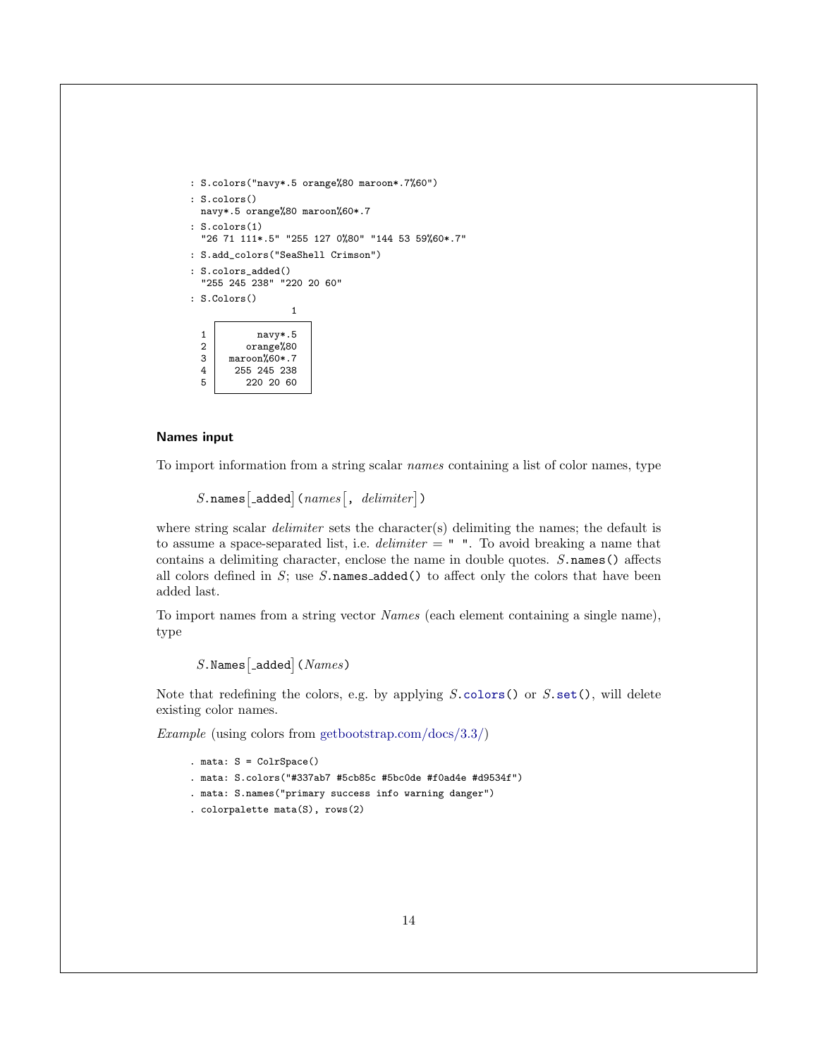```
: S.colors("navy*.5 orange%80 maroon*.7%60")
: S.colors()
  navy*.5 orange%80 maroon%60*.7
: S.colors(1)
   "26 71 111*.5" "255 127 0%80" "144 53 59%60*.7"
: S.add_colors("SeaShell Crimson")
: S.colors_added()
   "255 245 238" "220 20 60"
: S.Colors()
                         1
  1 navy*.5
  \begin{array}{c|c} 2 & \text{orange}\text{/}80 \\ 3 & \text{macro} \text{/}60*.7 \end{array}maroon%60*.7
   \begin{array}{|c|c|c|c|}\n 4 & 255 & 245 & 238 \\
 5 & 220 & 20 & 60\n\end{array}220 20 60
```
### <span id="page-14-0"></span>Names input

To import information from a string scalar names containing a list of color names, type

 $S.\texttt{names}$ [\_added]( $names$ [,  $\textit{delimiter}$ ])

where string scalar *delimiter* sets the character(s) delimiting the names; the default is to assume a space-separated list, i.e.  $delimiter = " "$ . To avoid breaking a name that contains a delimiting character, enclose the name in double quotes.  $S.\texttt{names}()$  affects all colors defined in  $S$ ; use  $S$  names added() to affect only the colors that have been added last.

To import names from a string vector Names (each element containing a single name), type

 $S$ . Names  $\big[$  added $\big]$  (  $Names$  )

Note that redefining the colors, e.g. by applying  $S.\text{colors}()$  or  $S.\text{set}()$ , will delete existing color names.

Example (using colors from [getbootstrap.com/docs/3.3/\)](https://getbootstrap.com/docs/3.3/)

```
. mata: S = ColrSpace(). mata: S.colors("#337ab7 #5cb85c #5bc0de #f0ad4e #d9534f")
. mata: S.names("primary success info warning danger")
. colorpalette mata(S), rows(2)
```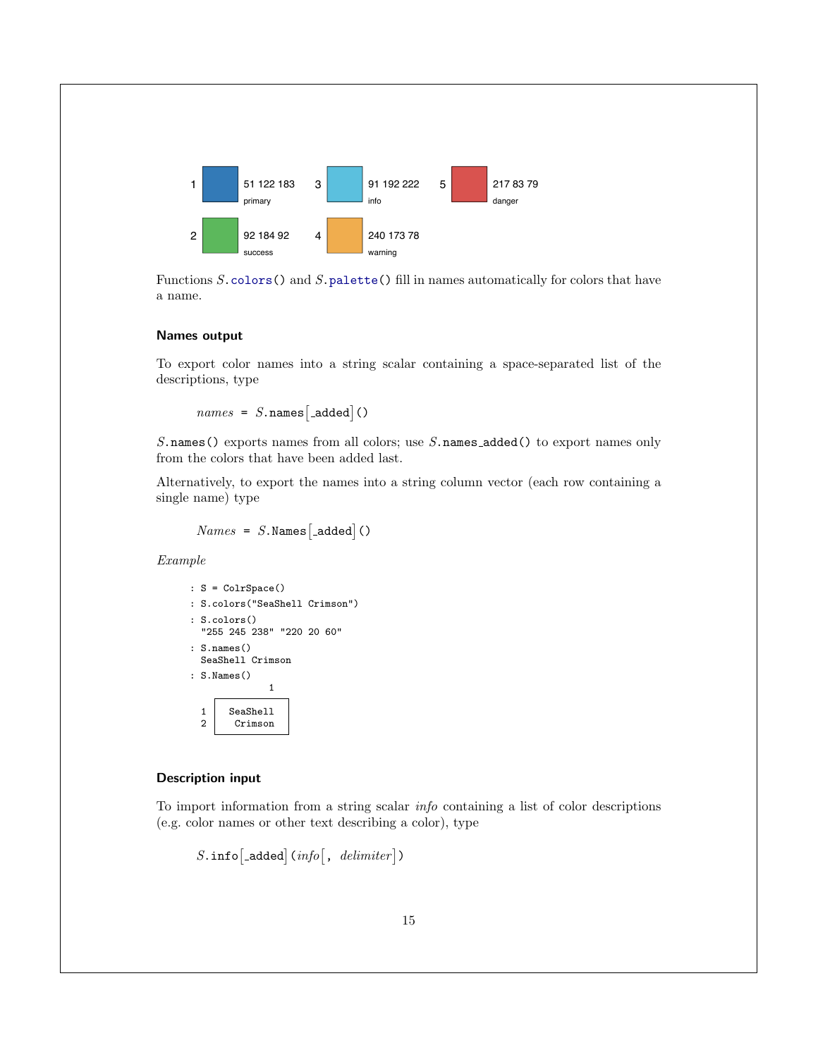

Functions  $S$ , colors () and  $S$ , palette () fill in names automatically for colors that have a name.

#### Names output

To export color names into a string scalar containing a space-separated list of the descriptions, type

```
names = S.name[s]<sub>-added</sub> ()
```
S.names() exports names from all colors; use S.names\_added() to export names only from the colors that have been added last.

Alternatively, to export the names into a string column vector (each row containing a single name) type

 $Names = S.Names \t[$  added ()

Example

```
: S = ColrSpace()
: S.colors("SeaShell Crimson")
: S.colors()
  "255 245 238" "220 20 60"
: S.names()
 SeaShell Crimson
: S.Names()
               1
  1 SeaShell<br>2 Crimson
        Crimson
```
### <span id="page-15-0"></span>Description input

To import information from a string scalar info containing a list of color descriptions (e.g. color names or other text describing a color), type

 $S.\, \mathtt{info}\big[\mathtt{.added}\big]$  (info  $\big[\mathnormal{\texttt{, }delimiter}\big]\big)$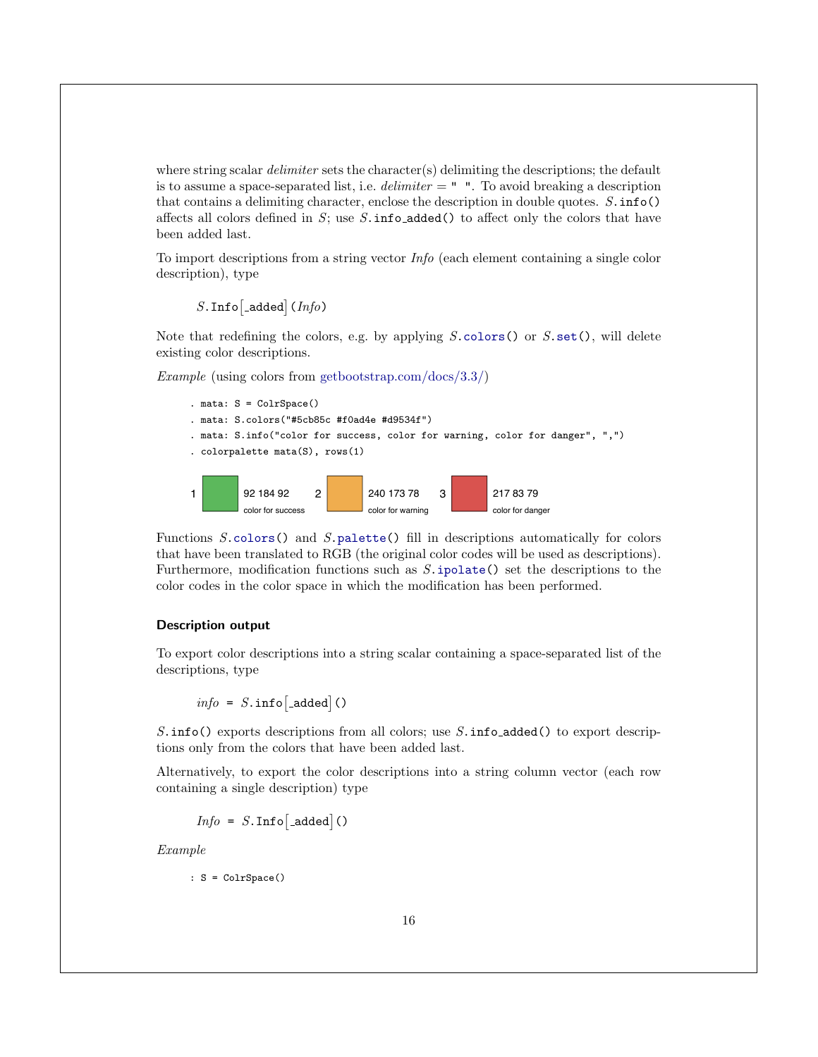where string scalar *delimiter* sets the character(s) delimiting the descriptions; the default is to assume a space-separated list, i.e.  $d$ elimiter  $=$  ". To avoid breaking a description that contains a delimiting character, enclose the description in double quotes.  $S.\inf(\mathfrak{o})$ affects all colors defined in  $S$ ; use  $S$ . info added() to affect only the colors that have been added last.

To import descriptions from a string vector Info (each element containing a single color description), type

 $S.\mathop{\mathtt{Info}}\nolimits[$  \_added $]$  (  $Info$  )

Note that redefining the colors, e.g. by applying  $S.\text{colors}()$  or  $S.\text{set}()$ , will delete existing color descriptions.

Example (using colors from [getbootstrap.com/docs/3.3/\)](https://getbootstrap.com/docs/3.3/)



Functions S[.colors\(](#page-10-2)) and S[.palette\(](#page-17-0)) fill in descriptions automatically for colors that have been translated to RGB (the original color codes will be used as descriptions). Furthermore, modification functions such as  $S.\texttt{ipolate}()$  set the descriptions to the color codes in the color space in which the modification has been performed.

### Description output

To export color descriptions into a string scalar containing a space-separated list of the descriptions, type

 $info = S.info$ [\_added]()

S. info() exports descriptions from all colors; use  $S.\text{info}\text{-}added()$  to export descriptions only from the colors that have been added last.

Alternatively, to export the color descriptions into a string column vector (each row containing a single description) type

 $Info = S. Inf \circ \left[ \text{--added} \right]()$ 

Example

: S = ColrSpace()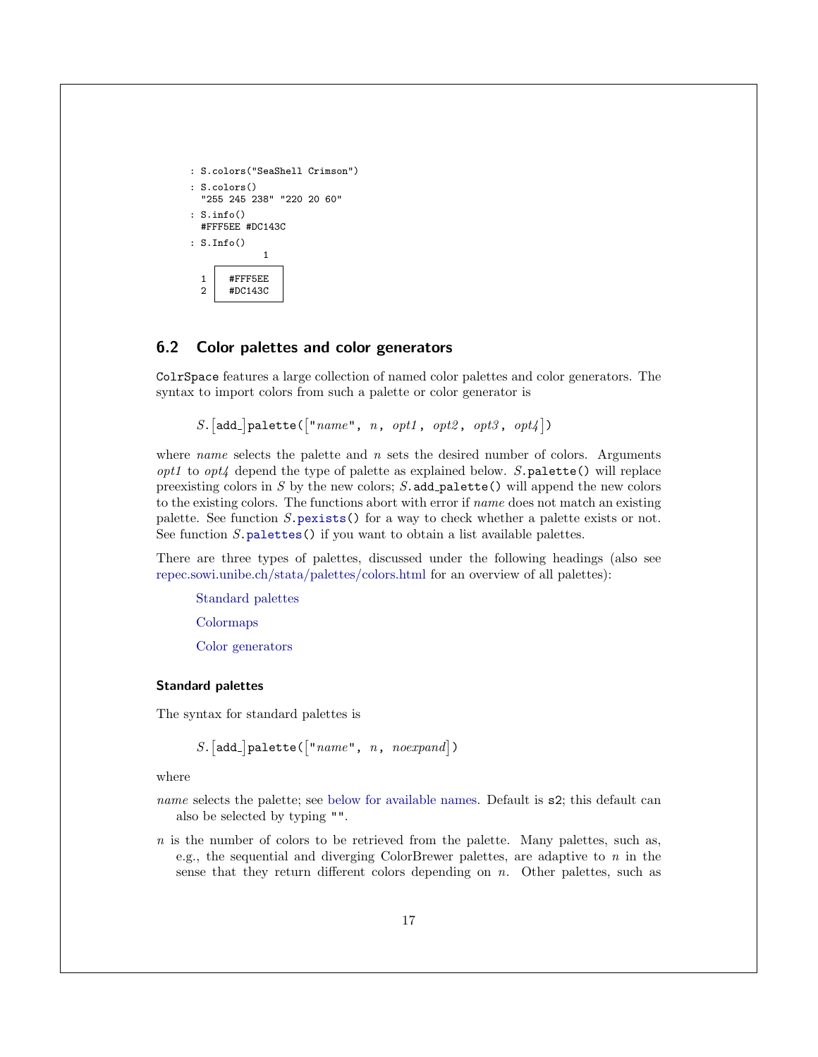```
: S.colors("SeaShell Crimson")
: S.colors()
  "255 245 238" "220 20 60"
: S.info()
 #FFF5EE #DC143C
: S.Info()
            1
 1 #FFF5EE
 2 #DC143C
```
### <span id="page-17-0"></span>6.2 Color palettes and color generators

ColrSpace features a large collection of named color palettes and color generators. The syntax to import colors from such a palette or color generator is

```
S. [add.] palette (["name", n, opt1, opt2, opt3, opt4])
```
where *name* selects the palette and  $n$  sets the desired number of colors. Arguments  $opt1$  to  $opt4$  depend the type of palette as explained below. S. palette() will replace preexisting colors in  $S$  by the new colors;  $S$  add palette() will append the new colors to the existing colors. The functions abort with error if name does not match an existing palette. See function S[.pexists\(](#page-47-0)) for a way to check whether a palette exists or not. See function  $S.\mathsf{palettes}()$  if you want to obtain a list available palettes.

There are three types of palettes, discussed under the following headings (also see [repec.sowi.unibe.ch/stata/palettes/colors.html](http://repec.sowi.unibe.ch/stata/palettes/colors.html) for an overview of all palettes):

[Standard palettes](#page-17-1)

[Colormaps](#page-21-0)

[Color generators](#page-22-0)

#### <span id="page-17-1"></span>Standard palettes

The syntax for standard palettes is

 $S.$ [add\_]palette([" $name$ ",  $n$ ,  $noexpand$ ])

where

- name selects the palette; see [below for available names.](#page-18-0) Default is  $s2$ ; this default can also be selected by typing "".
- n is the number of colors to be retrieved from the palette. Many palettes, such as, e.g., the sequential and diverging ColorBrewer palettes, are adaptive to  $n$  in the sense that they return different colors depending on  $n$ . Other palettes, such as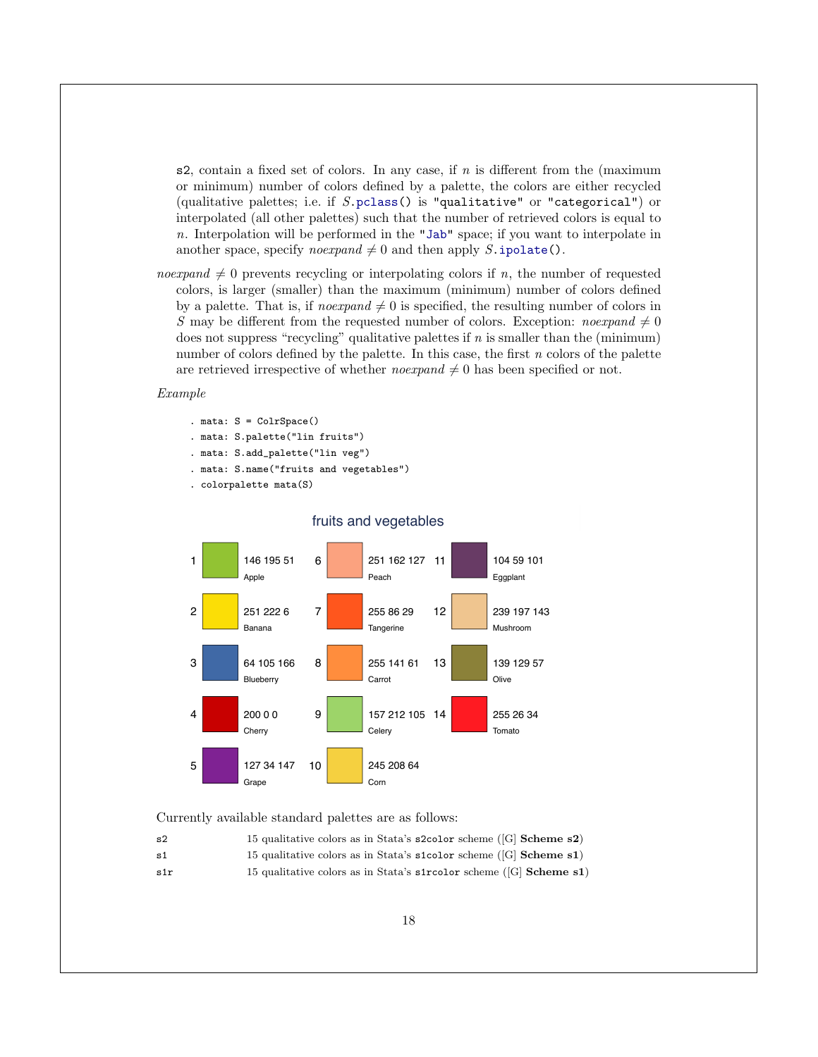s2, contain a fixed set of colors. In any case, if  $n$  is different from the (maximum or minimum) number of colors defined by a palette, the colors are either recycled (qualitative palettes; i.e. if  $S.\text{pclass}()$  is "qualitative" or "categorical") or interpolated (all other palettes) such that the number of retrieved colors is equal to n. Interpolation will be performed in the ["Jab"](#page-6-4) space; if you want to interpolate in another space, specify *noexpand*  $\neq 0$  and then apply S[.ipolate\(](#page-30-1)).

*noexpand*  $\neq 0$  prevents recycling or interpolating colors if n, the number of requested colors, is larger (smaller) than the maximum (minimum) number of colors defined by a palette. That is, if *noexpand*  $\neq 0$  is specified, the resulting number of colors in S may be different from the requested number of colors. Exception: noexpand  $\neq 0$ does not suppress "recycling" qualitative palettes if  $n$  is smaller than the (minimum) number of colors defined by the palette. In this case, the first  $n$  colors of the palette are retrieved irrespective of whether *noexpand*  $\neq 0$  has been specified or not.

### Example

- . mata: S = ColrSpace()
- . mata: S.palette("lin fruits")
- . mata: S.add\_palette("lin veg")
- . mata: S.name("fruits and vegetables")
- . colorpalette mata(S)



### fruits and vegetables

<span id="page-18-0"></span>Currently available standard palettes are as follows:

| -s2 | 15 qualitative colors as in Stata's s2color scheme $([G]$ Scheme s2)   |
|-----|------------------------------------------------------------------------|
| s1  | 15 qualitative colors as in Stata's s1color scheme $([G]$ Scheme s1)   |
| s1r | 15 qualitative colors as in Stata's streed or scheme $([G]$ Scheme s1) |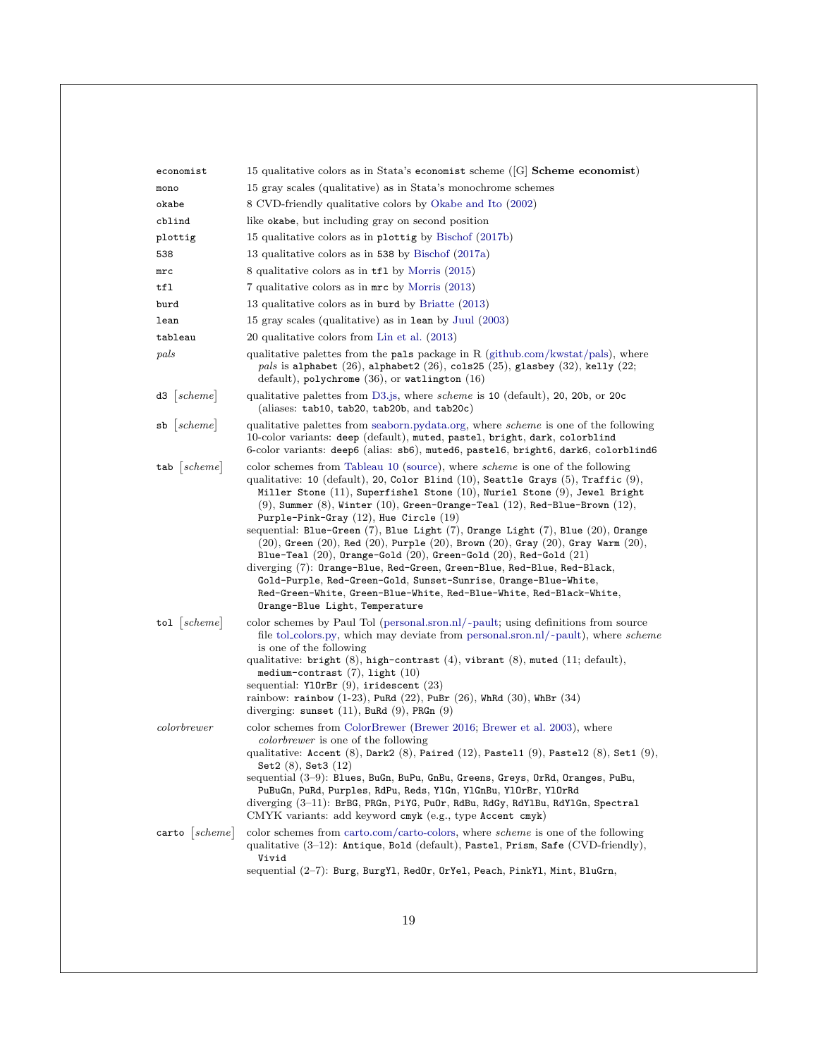| economist                 | 15 qualitative colors as in Stata's economist scheme ( $[G]$ Scheme economist)                                                                                                                                                                                                                                                                                                                                                                                                                                                                                                                                                                                                                                                                                                                                                                                                                           |
|---------------------------|----------------------------------------------------------------------------------------------------------------------------------------------------------------------------------------------------------------------------------------------------------------------------------------------------------------------------------------------------------------------------------------------------------------------------------------------------------------------------------------------------------------------------------------------------------------------------------------------------------------------------------------------------------------------------------------------------------------------------------------------------------------------------------------------------------------------------------------------------------------------------------------------------------|
| mono                      | 15 gray scales (qualitative) as in Stata's monochrome schemes                                                                                                                                                                                                                                                                                                                                                                                                                                                                                                                                                                                                                                                                                                                                                                                                                                            |
| okabe                     | 8 CVD-friendly qualitative colors by Okabe and Ito (2002)                                                                                                                                                                                                                                                                                                                                                                                                                                                                                                                                                                                                                                                                                                                                                                                                                                                |
| cblind                    | like okabe, but including gray on second position                                                                                                                                                                                                                                                                                                                                                                                                                                                                                                                                                                                                                                                                                                                                                                                                                                                        |
| plottig                   | 15 qualitative colors as in plottig by Bischof (2017b)                                                                                                                                                                                                                                                                                                                                                                                                                                                                                                                                                                                                                                                                                                                                                                                                                                                   |
| 538                       | 13 qualitative colors as in 538 by Bischof (2017a)                                                                                                                                                                                                                                                                                                                                                                                                                                                                                                                                                                                                                                                                                                                                                                                                                                                       |
| mrc                       | 8 qualitative colors as in tfl by Morris (2015)                                                                                                                                                                                                                                                                                                                                                                                                                                                                                                                                                                                                                                                                                                                                                                                                                                                          |
| tfl                       | 7 qualitative colors as in mrc by Morris (2013)                                                                                                                                                                                                                                                                                                                                                                                                                                                                                                                                                                                                                                                                                                                                                                                                                                                          |
| burd                      | 13 qualitative colors as in burd by Briatte (2013)                                                                                                                                                                                                                                                                                                                                                                                                                                                                                                                                                                                                                                                                                                                                                                                                                                                       |
| lean                      | 15 gray scales (qualitative) as in lean by Juul (2003)                                                                                                                                                                                                                                                                                                                                                                                                                                                                                                                                                                                                                                                                                                                                                                                                                                                   |
| tableau                   | 20 qualitative colors from Lin et al. (2013)                                                                                                                                                                                                                                                                                                                                                                                                                                                                                                                                                                                                                                                                                                                                                                                                                                                             |
| pals                      | qualitative palettes from the pals package in R (github.com/kwstat/pals), where<br>pals is alphabet $(26)$ , alphabet2 $(26)$ , cols25 $(25)$ , glasbey $(32)$ , kelly $(22)$ ;<br>$default)$ , polychrome $(36)$ , or watlington $(16)$                                                                                                                                                                                                                                                                                                                                                                                                                                                                                                                                                                                                                                                                 |
| scheme <br>d3             | qualitative palettes from D3.js, where <i>scheme</i> is 10 (default), 20, 20b, or 20c<br>(aliases: tab10, tab20, tab20b, and tab20c)                                                                                                                                                                                                                                                                                                                                                                                                                                                                                                                                                                                                                                                                                                                                                                     |
| $sb \;  scheme $          | qualitative palettes from seaborn.pydata.org, where <i>scheme</i> is one of the following<br>10-color variants: deep (default), muted, pastel, bright, dark, colorblind<br>6-color variants: deep6 (alias: sb6), muted6, pastel6, bright6, dark6, colorblind6                                                                                                                                                                                                                                                                                                                                                                                                                                                                                                                                                                                                                                            |
| $tab$   scheme            | color schemes from Tableau 10 (source), where <i>scheme</i> is one of the following<br>qualitative: 10 (default), 20, Color Blind (10), Seattle Grays (5), Traffic (9),<br>Miller Stone $(11)$ , Superfishel Stone $(10)$ , Nuriel Stone $(9)$ , Jewel Bright<br>$(9)$ , Summer $(8)$ , Winter $(10)$ , Green-Orange-Teal $(12)$ , Red-Blue-Brown $(12)$ ,<br>Purple-Pink-Gray $(12)$ , Hue Circle $(19)$<br>sequential: Blue-Green (7), Blue Light (7), Orange Light (7), Blue (20), Orange<br>$(20)$ , Green $(20)$ , Red $(20)$ , Purple $(20)$ , Brown $(20)$ , Gray $(20)$ , Gray Warm $(20)$ ,<br>Blue-Teal $(20)$ , Orange-Gold $(20)$ , Green-Gold $(20)$ , Red-Gold $(21)$<br>diverging (7): Orange-Blue, Red-Green, Green-Blue, Red-Blue, Red-Black,<br>Gold-Purple, Red-Green-Gold, Sunset-Sunrise, Orange-Blue-White,<br>Red-Green-White, Green-Blue-White, Red-Blue-White, Red-Black-White, |
| tol $ scheme $            | Orange-Blue Light, Temperature<br>color schemes by Paul Tol (personal.sron.nl/ $\sim$ pault; using definitions from source<br>file tol_colors.py, which may deviate from personal.sron.nl/ $\sim$ pault), where scheme<br>is one of the following<br>qualitative: bright $(8)$ , high-contrast $(4)$ , vibrant $(8)$ , muted $(11;$ default),<br>medium-contrast $(7)$ , light $(10)$<br>sequential: $Y10rBr(9)$ , iridescent $(23)$<br>rainbow: rainbow $(1-23)$ , PuRd $(22)$ , PuBr $(26)$ , WhRd $(30)$ , WhBr $(34)$<br>diverging: sunset $(11)$ , BuRd $(9)$ , PRGn $(9)$                                                                                                                                                                                                                                                                                                                          |
| colorbrewer               | color schemes from ColorBrewer (Brewer 2016; Brewer et al. 2003), where<br><i>colorbrewer</i> is one of the following<br>qualitative: Accent $(8)$ , Dark2 $(8)$ , Paired $(12)$ , Pastel1 $(9)$ , Pastel2 $(8)$ , Set1 $(9)$ ,<br>Set2 $(8)$ , Set3 $(12)$<br>sequential (3–9): Blues, BuGn, BuPu, GnBu, Greens, Greys, OrRd, Oranges, PuBu,<br>PuBuGn, PuRd, Purples, RdPu, Reds, Y1Gn, Y1GnBu, Y10rBr, Y10rRd<br>diverging (3-11): BrBG, PRGn, PiYG, PuOr, RdBu, RdGy, RdY1Bu, RdY1Gn, Spectral<br>CMYK variants: add keyword cmyk (e.g., type Accent cmyk)                                                                                                                                                                                                                                                                                                                                           |
| $\texttt{carto}$   scheme | color schemes from carto.com/carto-colors, where <i>scheme</i> is one of the following<br>qualitative (3-12): Antique, Bold (default), Pastel, Prism, Safe (CVD-friendly),<br>Vivid<br>sequential (2-7): Burg, BurgY1, RedOr, OrYe1, Peach, PinkY1, Mint, BluGrn,                                                                                                                                                                                                                                                                                                                                                                                                                                                                                                                                                                                                                                        |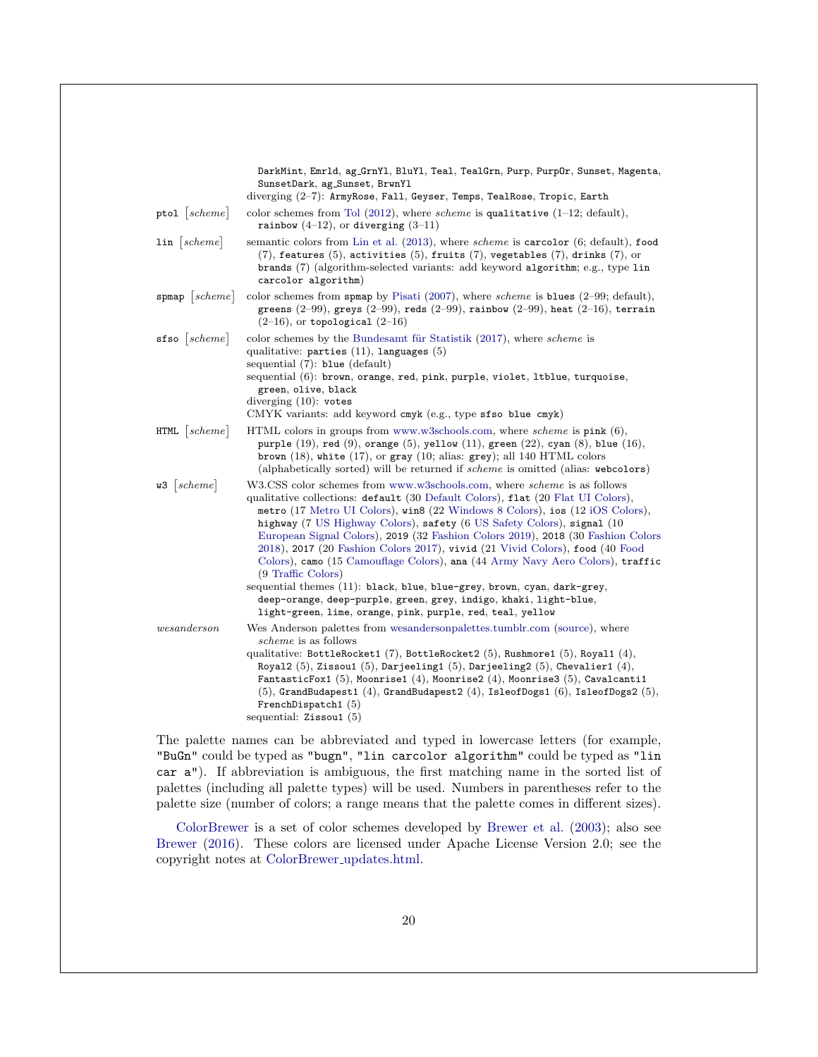|                     | DarkMint, Emrld, ag_GrnYl, BluYl, Teal, TealGrn, Purp, PurpOr, Sunset, Magenta,<br>SunsetDark, ag_Sunset, BrwnYl                                                                                                                                                                                                                                                                                                                                                                                                                                                                                                                                                                                                                                                                                                    |
|---------------------|---------------------------------------------------------------------------------------------------------------------------------------------------------------------------------------------------------------------------------------------------------------------------------------------------------------------------------------------------------------------------------------------------------------------------------------------------------------------------------------------------------------------------------------------------------------------------------------------------------------------------------------------------------------------------------------------------------------------------------------------------------------------------------------------------------------------|
|                     | diverging (2-7): ArmyRose, Fall, Geyser, Temps, TealRose, Tropic, Earth                                                                                                                                                                                                                                                                                                                                                                                                                                                                                                                                                                                                                                                                                                                                             |
| ptol $ scheme $     | color schemes from Tol $(2012)$ , where <i>scheme</i> is qualitative $(1-12;$ default),<br>rainbow $(4-12)$ , or diverging $(3-11)$                                                                                                                                                                                                                                                                                                                                                                                                                                                                                                                                                                                                                                                                                 |
| $\ln  scheme $      | semantic colors from Lin et al. (2013), where <i>scheme</i> is <b>carcolor</b> (6; default), food<br>$(7)$ , features $(5)$ , activities $(5)$ , fruits $(7)$ , vegetables $(7)$ , drinks $(7)$ , or<br>brands (7) (algorithm-selected variants: add keyword algorithm; e.g., type lin<br>carcolor algorithm)                                                                                                                                                                                                                                                                                                                                                                                                                                                                                                       |
| spmap  scheme       | color schemes from spmap by Pisati (2007), where scheme is blues (2-99; default),<br>greens $(2-99)$ , greys $(2-99)$ , reds $(2-99)$ , rainbow $(2-99)$ , heat $(2-16)$ , terrain<br>$(2-16)$ , or topological $(2-16)$                                                                                                                                                                                                                                                                                                                                                                                                                                                                                                                                                                                            |
| $sfso$   scheme     | color schemes by the Bundesamt für Statistik (2017), where <i>scheme</i> is<br>qualitative: parties $(11)$ , languages $(5)$<br>sequential $(7)$ : blue $(\text{default})$                                                                                                                                                                                                                                                                                                                                                                                                                                                                                                                                                                                                                                          |
|                     | sequential (6): brown, orange, red, pink, purple, violet, ltblue, turquoise,<br>green, olive, black<br>diverging $(10)$ : votes<br>CMYK variants: add keyword cmyk (e.g., type sfso blue cmyk)                                                                                                                                                                                                                                                                                                                                                                                                                                                                                                                                                                                                                      |
| $HTML \;   scheme $ | HTML colors in groups from www.w3schools.com, where <i>scheme</i> is $\text{pink} (6)$ ,<br>purple $(19)$ , red $(9)$ , orange $(5)$ , yellow $(11)$ , green $(22)$ , cyan $(8)$ , blue $(16)$ ,<br>brown $(18)$ , white $(17)$ , or gray $(10;$ alias: grey); all 140 HTML colors<br>(alphabetically sorted) will be returned if scheme is omitted (alias: webcolors)                                                                                                                                                                                                                                                                                                                                                                                                                                              |
| $w3$   scheme       | W3.CSS color schemes from www.w3schools.com, where <i>scheme</i> is as follows<br>qualitative collections: default (30 Default Colors), flat (20 Flat UI Colors),<br>metro (17 Metro UI Colors), win8 (22 Windows 8 Colors), ios (12 iOS Colors),<br>highway (7 US Highway Colors), safety (6 US Safety Colors), signal (10<br>European Signal Colors), 2019 (32 Fashion Colors 2019), 2018 (30 Fashion Colors<br>2018), 2017 (20 Fashion Colors 2017), vivid (21 Vivid Colors), food (40 Food<br>Colors), camo (15 Camouflage Colors), ana (44 Army Navy Aero Colors), traffic<br>(9 Traffic Colors)<br>sequential themes (11): black, blue, blue-grey, brown, cyan, dark-grey,<br>deep-orange, deep-purple, green, grey, indigo, khaki, light-blue,<br>light-green, lime, orange, pink, purple, red, teal, yellow |
| wesanderson         | Wes Anderson palettes from wesandersonpalettes.tumblr.com (source), where<br><i>scheme</i> is as follows<br>qualitative: BottleRocket1 (7), BottleRocket2 (5), Rushmore1 (5), Royal1 (4),<br>Royal2 $(5)$ , Zissou1 $(5)$ , Darjeeling1 $(5)$ , Darjeeling2 $(5)$ , Chevalier1 $(4)$ ,<br>FantasticFox1 (5), Moonrise1 (4), Moonrise2 (4), Moonrise3 (5), Cavalcanti1<br>$(5)$ , GrandBudapest1 $(4)$ , GrandBudapest2 $(4)$ , IsleofDogs1 $(6)$ , IsleofDogs2 $(5)$ ,<br>FrenchDispatch1 $(5)$<br>sequential: $Zissou1(5)$                                                                                                                                                                                                                                                                                         |

The palette names can be abbreviated and typed in lowercase letters (for example, "BuGn" could be typed as "bugn", "lin carcolor algorithm" could be typed as "lin car a"). If abbreviation is ambiguous, the first matching name in the sorted list of palettes (including all palette types) will be used. Numbers in parentheses refer to the palette size (number of colors; a range means that the palette comes in different sizes).

[ColorBrewer](https://colorbrewer2.org/) is a set of color schemes developed by [Brewer et al.](#page-57-6) [\(2003\)](#page-57-6); also see [Brewer](#page-57-5) [\(2016\)](#page-57-5). These colors are licensed under Apache License Version 2.0; see the copyright notes at ColorBrewer [updates.html.](https://www.personal.psu.edu/cab38/ColorBrewer/ColorBrewer_updates.html)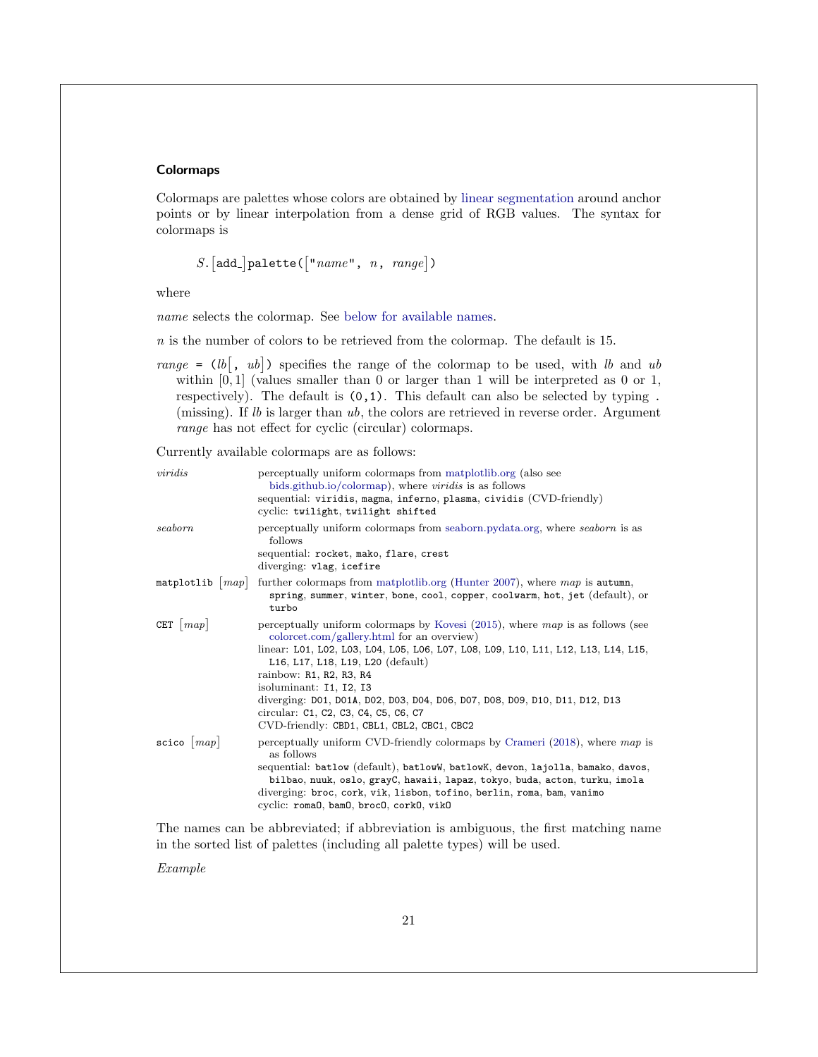### <span id="page-21-0"></span>**Colormaps**

Colormaps are palettes whose colors are obtained by [linear segmentation](#page-48-3) around anchor points or by linear interpolation from a dense grid of RGB values. The syntax for colormaps is

 $S. [add.]$  palette( $\lceil "name", n, range \rceil$ )

where

name selects the colormap. See [below for available names.](#page-21-1)

 $n$  is the number of colors to be retrieved from the colormap. The default is 15.

range =  $(lb, ub]$ ) specifies the range of the colormap to be used, with lb and ub within  $[0, 1]$  (values smaller than 0 or larger than 1 will be interpreted as 0 or 1, respectively). The default is (0,1). This default can also be selected by typing . (missing). If  $lb$  is larger than  $ub$ , the colors are retrieved in reverse order. Argument range has not effect for cyclic (circular) colormaps.

<span id="page-21-1"></span>Currently available colormaps are as follows:

| viridis                  | perceptually uniform colormaps from matplotlib.org (also see<br>bids.github.io/colormap), where <i>viridis</i> is as follows<br>sequential: viridis, magma, inferno, plasma, cividis (CVD-friendly)<br>cyclic: twilight, twilight shifted                                                                                                                                                                                                                                            |
|--------------------------|--------------------------------------------------------------------------------------------------------------------------------------------------------------------------------------------------------------------------------------------------------------------------------------------------------------------------------------------------------------------------------------------------------------------------------------------------------------------------------------|
| seaborn                  | perceptually uniform colormaps from seaborn.pydata.org, where seaborn is as<br>follows<br>sequential: rocket, mako, flare, crest<br>diverging: vlag, icefire                                                                                                                                                                                                                                                                                                                         |
|                          | matplotlib $\vert map \vert$ further colormaps from matplotlib.org (Hunter 2007), where map is autumn,<br>spring, summer, winter, bone, cool, copper, coolwarm, hot, jet (default), or<br>turbo                                                                                                                                                                                                                                                                                      |
| CET $\vert map \vert$    | perceptually uniform colormaps by Kovesi $(2015)$ , where map is as follows (see<br>colorcet.com/gallery.html for an overview)<br>linear: L01, L02, L03, L04, L05, L06, L07, L08, L09, L10, L11, L12, L13, L14, L15,<br>L16, L17, L18, L19, L20 (default)<br>rainbow: R1, R2, R3, R4<br>isoluminant: I1, I2, I3<br>diverging: D01, D01A, D02, D03, D04, D06, D07, D08, D09, D10, D11, D12, D13<br>circular: C1, C2, C3, C4, C5, C6, C7<br>CVD-friendly: CBD1, CBL1, CBL2, CBC1, CBC2 |
| $\texttt{scico}$   $map$ | perceptually uniform CVD-friendly colormaps by Crameri $(2018)$ , where map is<br>as follows<br>sequential: batlow (default), batlowW, batlowK, devon, lajolla, bamako, davos,<br>bilbao, nuuk, oslo, grayC, hawaii, lapaz, tokyo, buda, acton, turku, imola<br>diverging: broc, cork, vik, lisbon, tofino, berlin, roma, bam, vanimo<br>cyclic: roma0, bam0, broc0, cork0, vik0                                                                                                     |

The names can be abbreviated; if abbreviation is ambiguous, the first matching name in the sorted list of palettes (including all palette types) will be used.

Example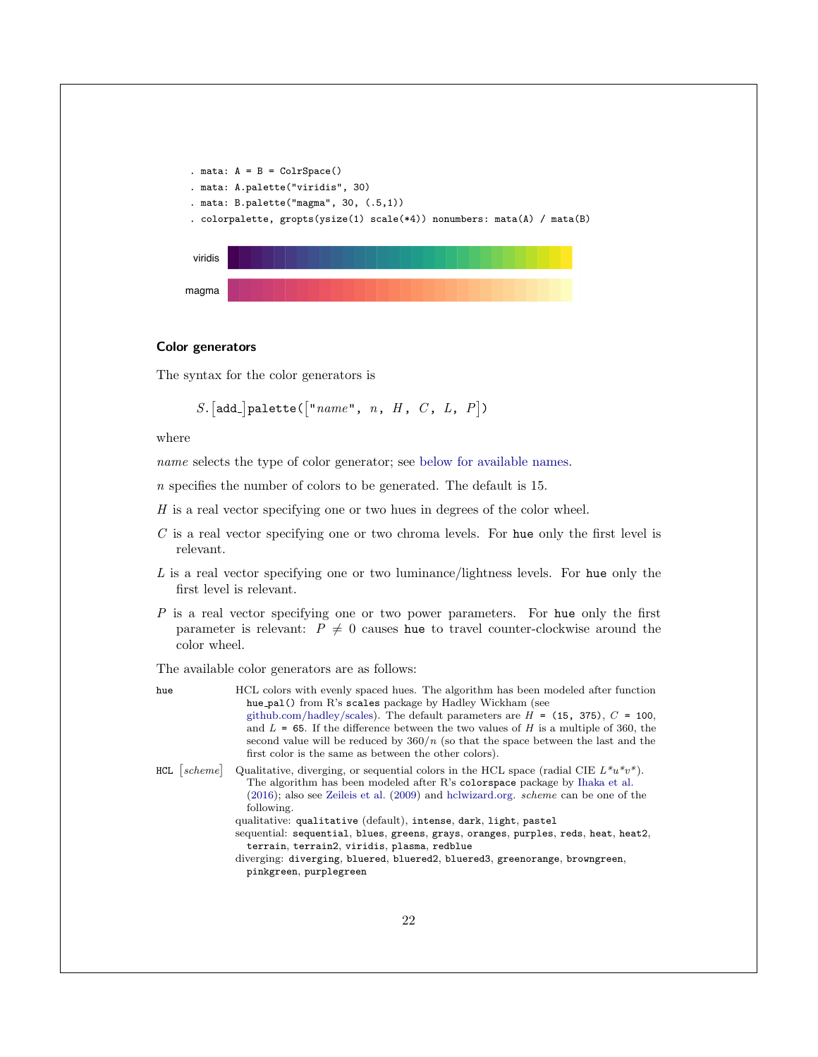```
. mata: A = B = ColrSpace(). mata: A.palette("viridis", 30)
. mata: B.palette("magma", 30, (.5,1))
 . colorpalette, gropts(ysize(1) scale(*4)) nonumbers: mata(A) / mata(B)
 viridis
magma
```
### <span id="page-22-0"></span>Color generators

The syntax for the color generators is

S. [add\_] palette( $\lceil "name", n, H, C, L, P \rceil$ )

where

name selects the type of color generator; see [below for available names.](#page-22-1)

n specifies the number of colors to be generated. The default is 15.

 $H$  is a real vector specifying one or two hues in degrees of the color wheel.

- $C$  is a real vector specifying one or two chroma levels. For hue only the first level is relevant.
- $L$  is a real vector specifying one or two luminance/lightness levels. For hue only the first level is relevant.
- P is a real vector specifying one or two power parameters. For hue only the first parameter is relevant:  $P \neq 0$  causes hue to travel counter-clockwise around the color wheel.

<span id="page-22-1"></span>The available color generators are as follows:

| hue | HCL colors with evenly spaced hues. The algorithm has been modeled after function<br>hue_pal() from R's scales package by Hadley Wickham (see<br>github.com/hadley/scales). The default parameters are $H = (15, 375), C = 100$ ,<br>and $L = 65$ . If the difference between the two values of H is a multiple of 360, the<br>second value will be reduced by $360/n$ (so that the space between the last and the<br>first color is the same as between the other colors).                                                                                                                                              |
|-----|--------------------------------------------------------------------------------------------------------------------------------------------------------------------------------------------------------------------------------------------------------------------------------------------------------------------------------------------------------------------------------------------------------------------------------------------------------------------------------------------------------------------------------------------------------------------------------------------------------------------------|
|     | HCL $ scheme $ Qualitative, diverging, or sequential colors in the HCL space (radial CIE $L^*u^*v^*$ ).<br>The algorithm has been modeled after R's colorspace package by Ihaka et al.<br>$(2016)$ ; also see Zeileis et al. $(2009)$ and hclwizard.org. <i>scheme</i> can be one of the<br>following.<br>qualitative: qualitative (default), intense, dark, light, pastel<br>sequential: sequential, blues, greens, grays, oranges, purples, reds, heat, heat2,<br>terrain, terrain2, viridis, plasma, redblue<br>diverging: diverging, bluered, bluered2, bluered3, greenorange, browngreen,<br>pinkgreen, purplegreen |
|     | 22                                                                                                                                                                                                                                                                                                                                                                                                                                                                                                                                                                                                                       |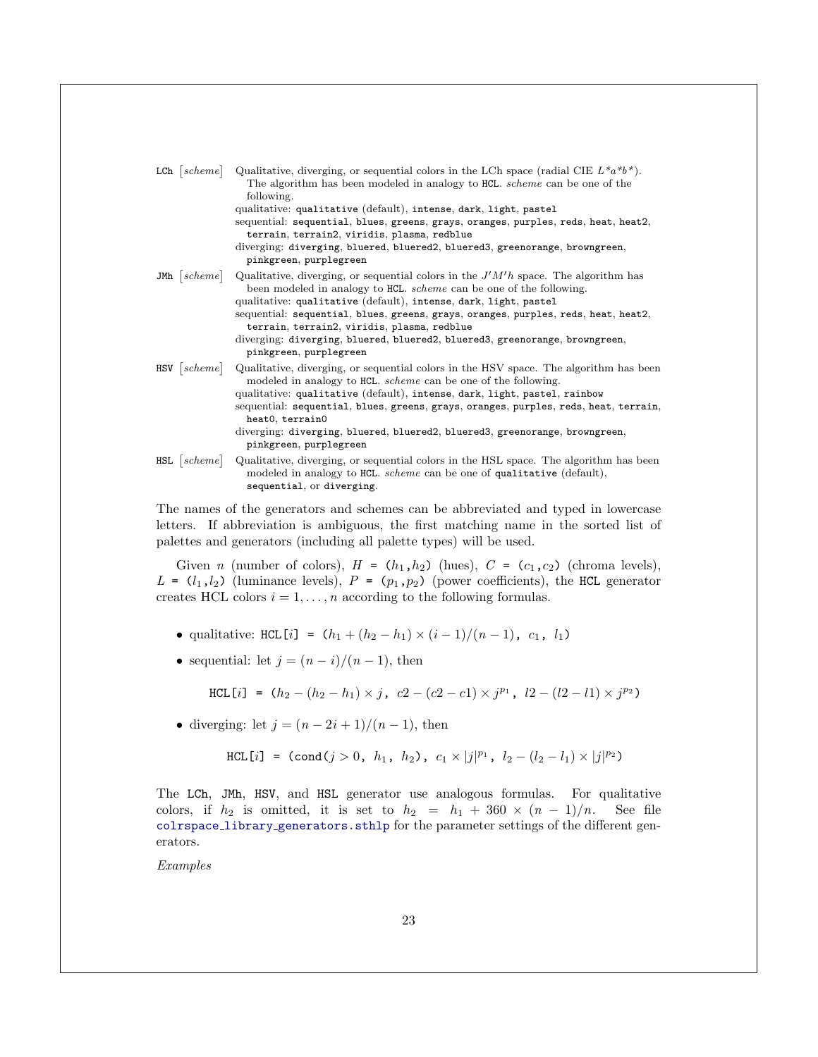| $LCh$   scheme | Qualitative, diverging, or sequential colors in the LCh space (radial CIE $L^*a^*b^*$ ).<br>The algorithm has been modeled in analogy to HCL. <i>scheme</i> can be one of the<br>following.<br>qualitative: qualitative (default), intense, dark, light, pastel<br>sequential: sequential, blues, greens, grays, oranges, purples, reds, heat, heat2,<br>terrain, terrain2, viridis, plasma, redblue<br>diverging: diverging, bluered, bluered2, bluered3, greenorange, browngreen,                 |
|----------------|-----------------------------------------------------------------------------------------------------------------------------------------------------------------------------------------------------------------------------------------------------------------------------------------------------------------------------------------------------------------------------------------------------------------------------------------------------------------------------------------------------|
|                | pinkgreen, purplegreen                                                                                                                                                                                                                                                                                                                                                                                                                                                                              |
|                | JMh $ scheme $ Qualitative, diverging, or sequential colors in the $J'M'h$ space. The algorithm has<br>been modeled in analogy to HCL. <i>scheme</i> can be one of the following.<br>qualitative: qualitative (default), intense, dark, light, pastel<br>sequential: sequential, blues, greens, grays, oranges, purples, reds, heat, heat2,<br>terrain, terrain2, viridis, plasma, redblue<br>diverging: diverging, bluered, bluered2, bluered3, greenorange, browngreen,<br>pinkgreen, purplegreen |
| $HSV$   scheme | Qualitative, diverging, or sequential colors in the HSV space. The algorithm has been<br>modeled in analogy to HCL. <i>scheme</i> can be one of the following.<br>qualitative: qualitative (default), intense, dark, light, pastel, rainbow<br>sequential: sequential, blues, greens, grays, oranges, purples, reds, heat, terrain,<br>heat0, terrain0<br>diverging: diverging, bluered, bluered2, bluered3, greenorange, browngreen,<br>pinkgreen, purplegreen                                     |
|                | $HSL$ scheme Qualitative, diverging, or sequential colors in the HSL space. The algorithm has been<br>modeled in analogy to HCL. <i>scheme</i> can be one of qualitative (default),<br>sequential, or diverging.                                                                                                                                                                                                                                                                                    |

The names of the generators and schemes can be abbreviated and typed in lowercase letters. If abbreviation is ambiguous, the first matching name in the sorted list of palettes and generators (including all palette types) will be used.

Given *n* (number of colors),  $H = (h_1, h_2)$  (hues),  $C = (c_1, c_2)$  (chroma levels),  $L = (l_1, l_2)$  (luminance levels),  $P = (p_1, p_2)$  (power coefficients), the HCL generator creates HCL colors  $i = 1, \ldots, n$  according to the following formulas.

- qualitative: HCL[i] =  $(h_1 + (h_2 h_1) \times (i 1)/(n 1)$ ,  $c_1$ ,  $l_1$ )
- sequential: let  $j = (n i)/(n 1)$ , then

HCL [i] = 
$$
(h_2 - (h_2 - h_1) \times j
$$
,  $c_2 - (c_2 - c_1) \times j^{p_1}$ ,  $l_2 - (l_2 - l_1) \times j^{p_2}$ )

• diverging: let  $j = (n-2i+1)/(n-1)$ , then

HCL[i] = (cond(j > 0, h<sub>1</sub>, h<sub>2</sub>),  $c_1 \times |j|^{p_1}$ ,  $l_2 - (l_2 - l_1) \times |j|^{p_2}$ )

The LCh, JMh, HSV, and HSL generator use analogous formulas. For qualitative colors, if  $h_2$  is omitted, it is set to  $h_2 = h_1 + 360 \times (n-1)/n$ . See file colrspace library [generators.sthlp](https://github.com/benjann/colrspace/blob/master/colrspace_library_generators.sthlp) for the parameter settings of the different generators.

Examples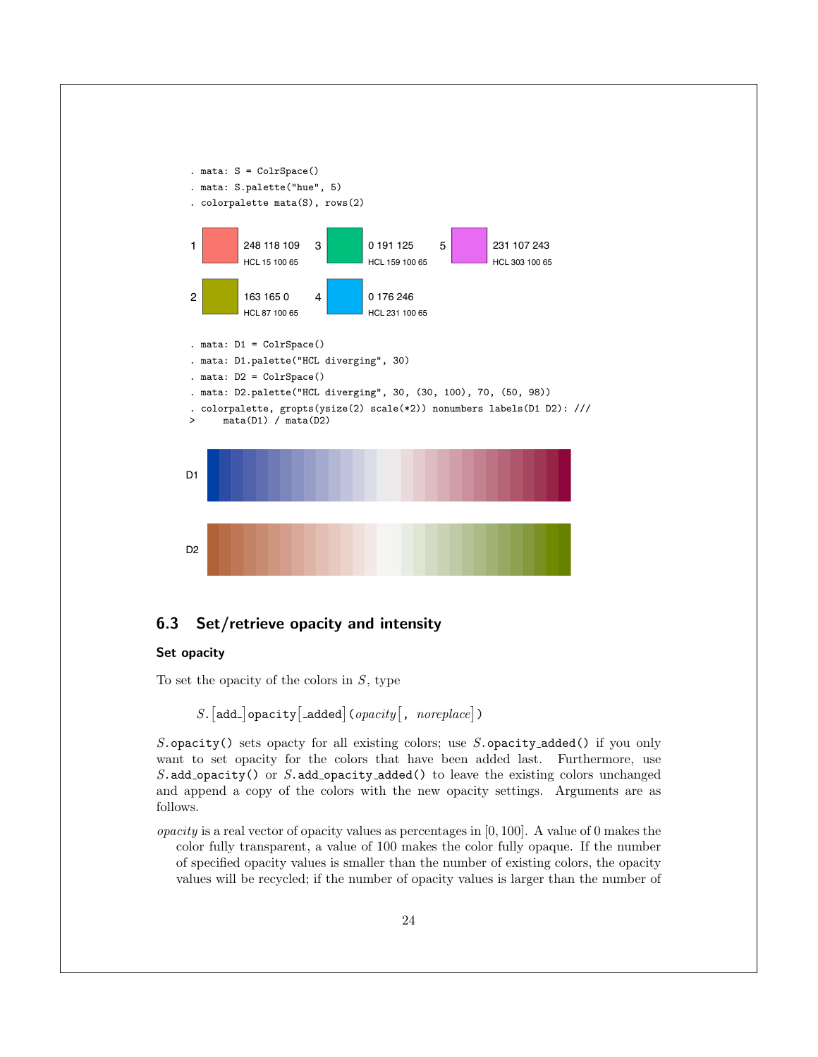

### <span id="page-24-0"></span>6.3 Set/retrieve opacity and intensity

### <span id="page-24-1"></span>Set opacity

To set the opacity of the colors in  $S$ , type

```
S.[add_]opacity[_added](opacity[, noreplace])
```
S.opacity() sets opacty for all existing colors; use S.opacity added() if you only want to set opacity for the colors that have been added last. Furthermore, use S.add opacity() or S.add opacity added() to leave the existing colors unchanged and append a copy of the colors with the new opacity settings. Arguments are as follows.

opacity is a real vector of opacity values as percentages in  $[0, 100]$ . A value of 0 makes the color fully transparent, a value of 100 makes the color fully opaque. If the number of specified opacity values is smaller than the number of existing colors, the opacity values will be recycled; if the number of opacity values is larger than the number of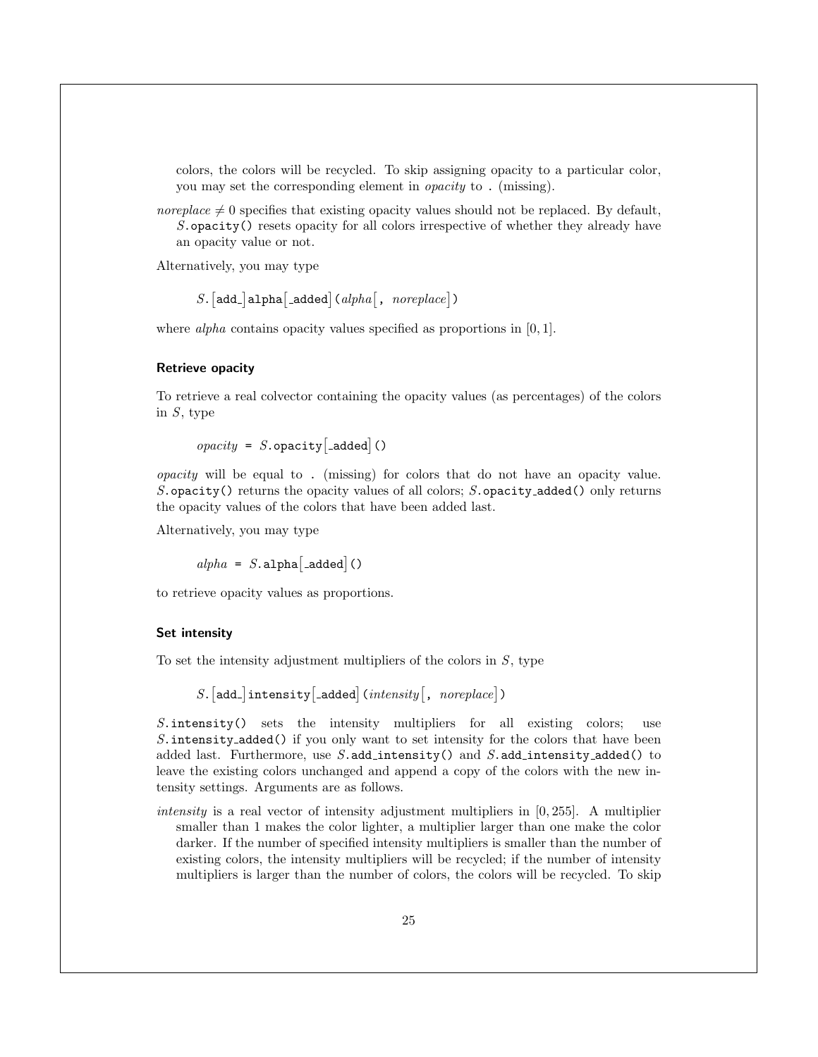colors, the colors will be recycled. To skip assigning opacity to a particular color, you may set the corresponding element in opacity to . (missing).

noreplace  $\neq 0$  specifies that existing opacity values should not be replaced. By default, S.opacity() resets opacity for all colors irrespective of whether they already have an opacity value or not.

Alternatively, you may type

```
S.[add_]alpha[_added](alpha[, noreplace])
```
where *alpha* contains opacity values specified as proportions in [0, 1].

### Retrieve opacity

To retrieve a real colvector containing the opacity values (as percentages) of the colors in  $S$ , type

 $\text{operator}$  = S. opacity  $\left[\text{-added}\right]$  ()

opacity will be equal to . (missing) for colors that do not have an opacity value. S.opacity() returns the opacity values of all colors;  $S$ .opacity\_added() only returns the opacity values of the colors that have been added last.

Alternatively, you may type

 $alpha = S.\text{alpha}[-added]()$ 

to retrieve opacity values as proportions.

### <span id="page-25-0"></span>Set intensity

To set the intensity adjustment multipliers of the colors in  $S$ , type

 $S.$ [add\_]intensity[\_added](intensity[, noreplace])

S.intensity() sets the intensity multipliers for all existing colors; use S. intensity added() if you only want to set intensity for the colors that have been added last. Furthermore, use  $S$ .add\_intensity() and  $S$ .add\_intensity\_added() to leave the existing colors unchanged and append a copy of the colors with the new intensity settings. Arguments are as follows.

intensity is a real vector of intensity adjustment multipliers in  $[0, 255]$ . A multiplier smaller than 1 makes the color lighter, a multiplier larger than one make the color darker. If the number of specified intensity multipliers is smaller than the number of existing colors, the intensity multipliers will be recycled; if the number of intensity multipliers is larger than the number of colors, the colors will be recycled. To skip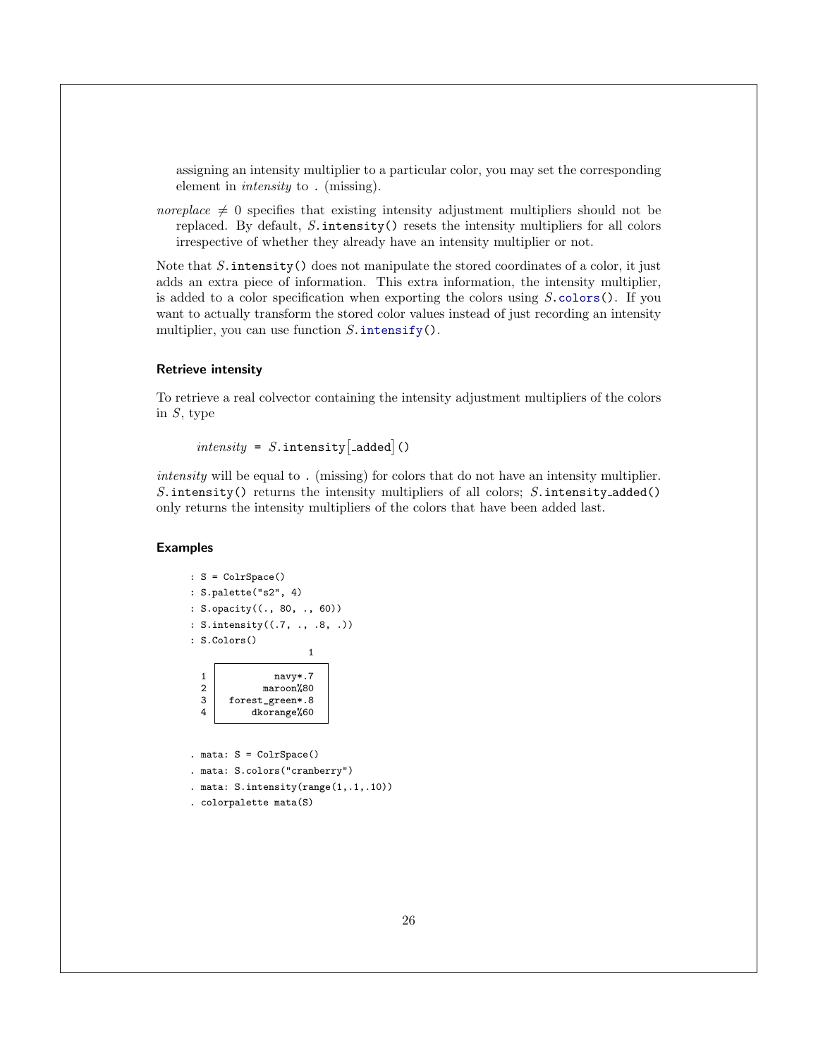assigning an intensity multiplier to a particular color, you may set the corresponding element in intensity to . (missing).

noreplace  $\neq 0$  specifies that existing intensity adjustment multipliers should not be replaced. By default,  $S.\text{intensity}()$  resets the intensity multipliers for all colors irrespective of whether they already have an intensity multiplier or not.

Note that  $S$  intensity () does not manipulate the stored coordinates of a color, it just adds an extra piece of information. This extra information, the intensity multiplier, is added to a color specification when exporting the colors using  $S.\text{colors}$ ). If you want to actually transform the stored color values instead of just recording an intensity multiplier, you can use function  $S$  intensify().

#### Retrieve intensity

To retrieve a real colvector containing the intensity adjustment multipliers of the colors in  $S$ , type

```
intensity = S.intensity[added]()
```
intensity will be equal to . (missing) for colors that do not have an intensity multiplier. S. intensity() returns the intensity multipliers of all colors; S. intensity\_added() only returns the intensity multipliers of the colors that have been added last.

#### Examples

```
: S = ColrSpace()
: S.palette("s2", 4)
: S.opacity((., 80, ., 60))
: S.intensity((.7, ., .8, .))
: S.Colors()
                          1
  \begin{array}{c|c}\n1 & \text{navy*.7} \\
2 & \text{maroon} \\
\end{array}maroon%80
  3 forest_green*.8<br>4 dkorange%60
              4 dkorange%60
. mata: S = ColrSpace(). mata: S.colors("cranberry")
. mata: S.intensity(range(1,.1,.10))
. colorpalette mata(S)
```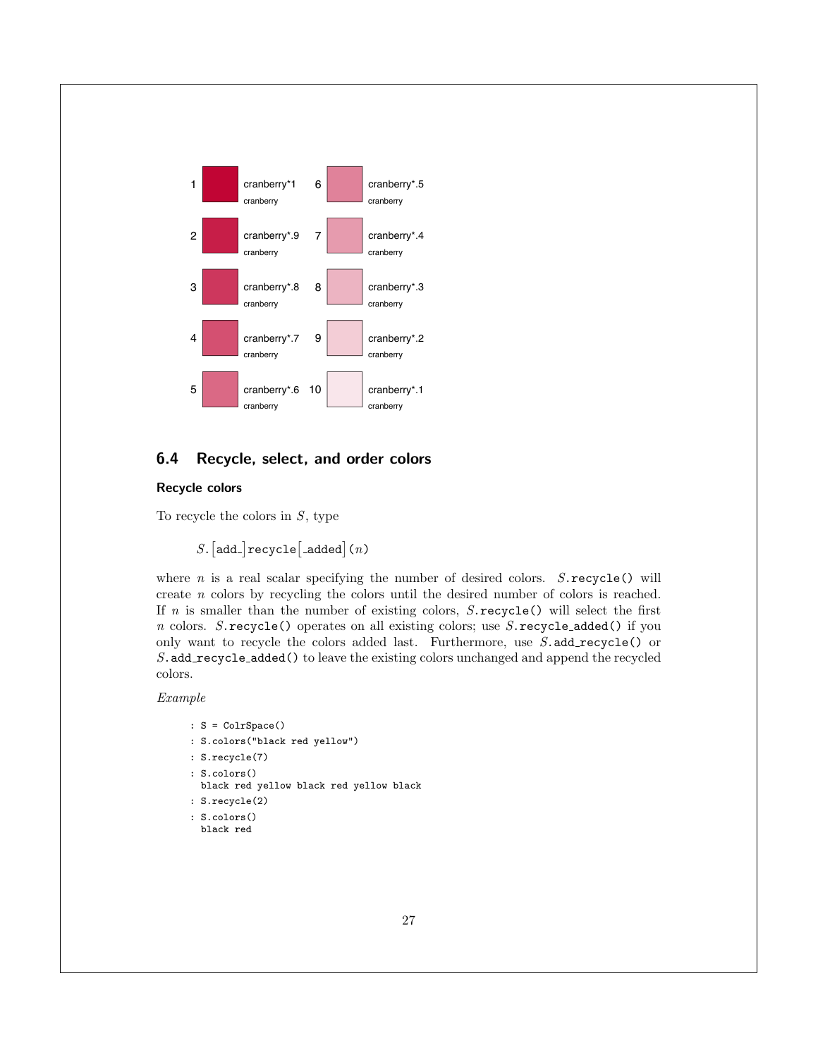

### <span id="page-27-0"></span>6.4 Recycle, select, and order colors

### <span id="page-27-1"></span>Recycle colors

To recycle the colors in  $S$ , type

 $S.$  [add\_]  $recycle$  [\_added]  $(n)$ 

where  $n$  is a real scalar specifying the number of desired colors.  $S$  recycle() will create n colors by recycling the colors until the desired number of colors is reached. If n is smaller than the number of existing colors,  $S$ .recycle() will select the first  $n$  colors. S. recycle() operates on all existing colors; use S. recycle added() if you only want to recycle the colors added last. Furthermore, use  $S$  add recycle() or S.add recycle added() to leave the existing colors unchanged and append the recycled colors.

### Example

```
: S = ColrSpace()
: S.colors("black red yellow")
: S.recycle(7)
: S.colors()
 black red yellow black red yellow black
: S.recycle(2)
: S.colors()
```
black red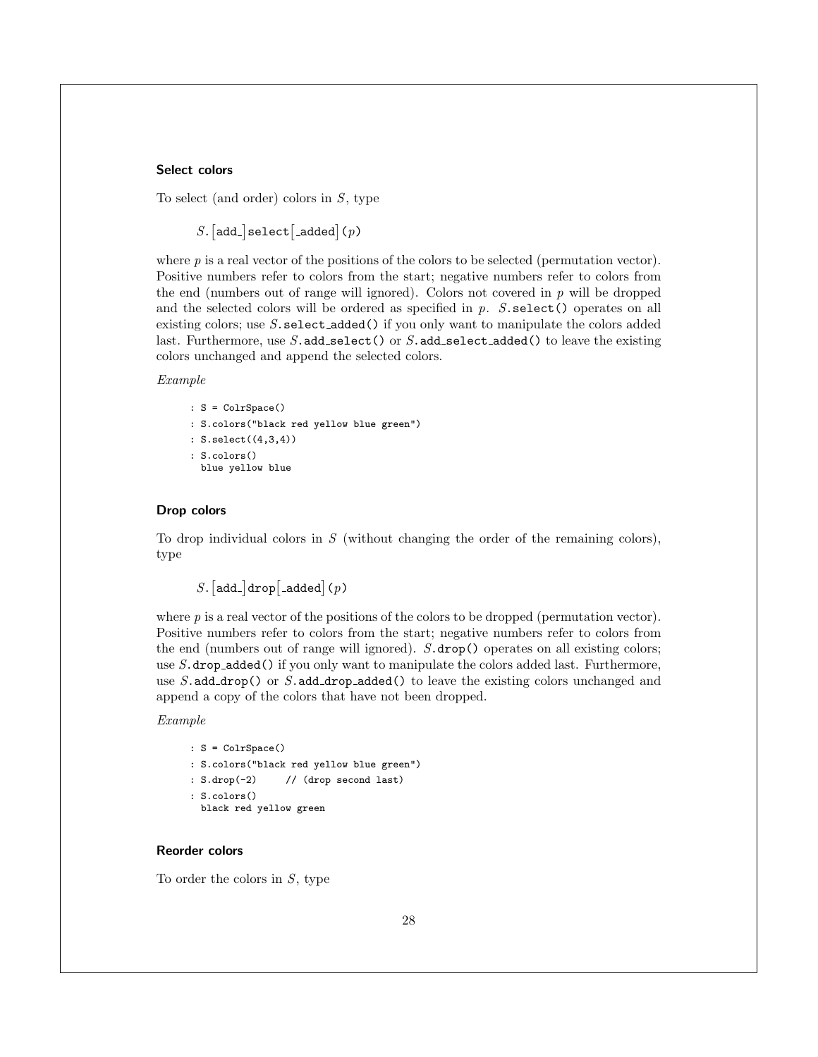### <span id="page-28-2"></span>Select colors

To select (and order) colors in  $S$ , type

 $S.$  [add\_]select [\_added](p)

where  $p$  is a real vector of the positions of the colors to be selected (permutation vector). Positive numbers refer to colors from the start; negative numbers refer to colors from the end (numbers out of range will ignored). Colors not covered in  $p$  will be dropped and the selected colors will be ordered as specified in p. S.select() operates on all existing colors; use  $S$ . select added() if you only want to manipulate the colors added last. Furthermore, use  $S$  add\_select() or  $S$  add\_select\_added() to leave the existing colors unchanged and append the selected colors.

#### Example

: S = ColrSpace() : S.colors("black red yellow blue green") : S.select((4,3,4)) : S.colors() blue yellow blue

#### <span id="page-28-0"></span>Drop colors

To drop individual colors in S (without changing the order of the remaining colors), type

 $S.$  [add\_]drop[\_added](p)

where  $p$  is a real vector of the positions of the colors to be dropped (permutation vector). Positive numbers refer to colors from the start; negative numbers refer to colors from the end (numbers out of range will ignored). S.drop() operates on all existing colors; use S.drop added() if you only want to manipulate the colors added last. Furthermore, use  $S$  add drop() or  $S$  add drop added() to leave the existing colors unchanged and append a copy of the colors that have not been dropped.

### Example

: S = ColrSpace() : S.colors("black red yellow blue green") : S.drop(-2) // (drop second last) : S.colors() black red yellow green

### <span id="page-28-1"></span>Reorder colors

To order the colors in  $S$ , type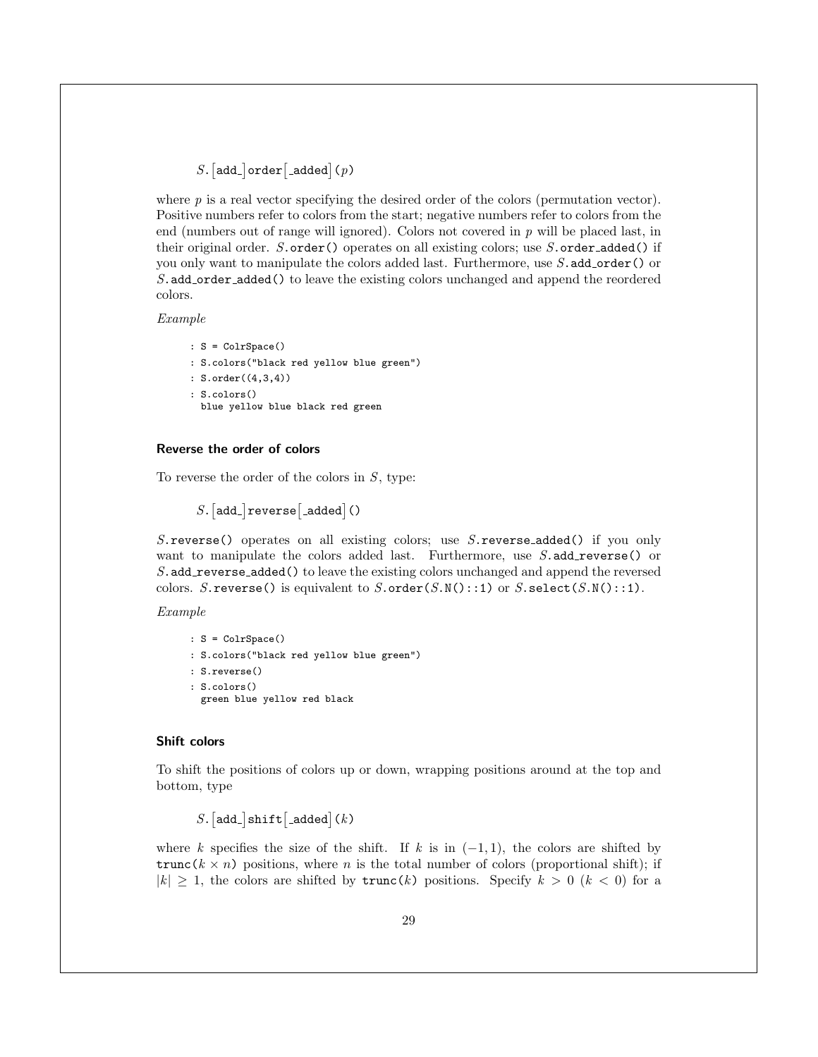$S.$  [add\_]  $order$ [added]  $(p)$ 

where  $p$  is a real vector specifying the desired order of the colors (permutation vector). Positive numbers refer to colors from the start; negative numbers refer to colors from the end (numbers out of range will ignored). Colors not covered in  $p$  will be placed last, in their original order.  $S.\text{order}()$  operates on all existing colors; use  $S.\text{order}\text{-}added()$  if you only want to manipulate the colors added last. Furthermore, use  $S$  add order() or S.add\_order\_added() to leave the existing colors unchanged and append the reordered colors.

Example

: S = ColrSpace() : S.colors("black red yellow blue green") : S.order((4,3,4)) : S.colors() blue yellow blue black red green

### <span id="page-29-0"></span>Reverse the order of colors

To reverse the order of the colors in  $S$ , type:

 $S.$  [add\_] reverse [\_added]()

S.reverse() operates on all existing colors; use S.reverse added() if you only want to manipulate the colors added last. Furthermore, use  $S$  add reverse() or S.add reverse added() to leave the existing colors unchanged and append the reversed colors. S. reverse() is equivalent to  $S.\text{order}(S.\text{N}()::1)$  or  $S.\text{select}(S.\text{N}()::1)$ .

Example

```
: S = ColrSpace()
: S.colors("black red yellow blue green")
: S.reverse()
: S.colors()
  green blue yellow red black
```
### <span id="page-29-1"></span>Shift colors

To shift the positions of colors up or down, wrapping positions around at the top and bottom, type

 $S.$ [add\_]shift[\_added](k)

where k specifies the size of the shift. If k is in  $(-1,1)$ , the colors are shifted by trunc( $k \times n$ ) positions, where n is the total number of colors (proportional shift); if  $|k| \geq 1$ , the colors are shifted by  $\text{trunc}(k)$  positions. Specify  $k > 0$   $(k < 0)$  for a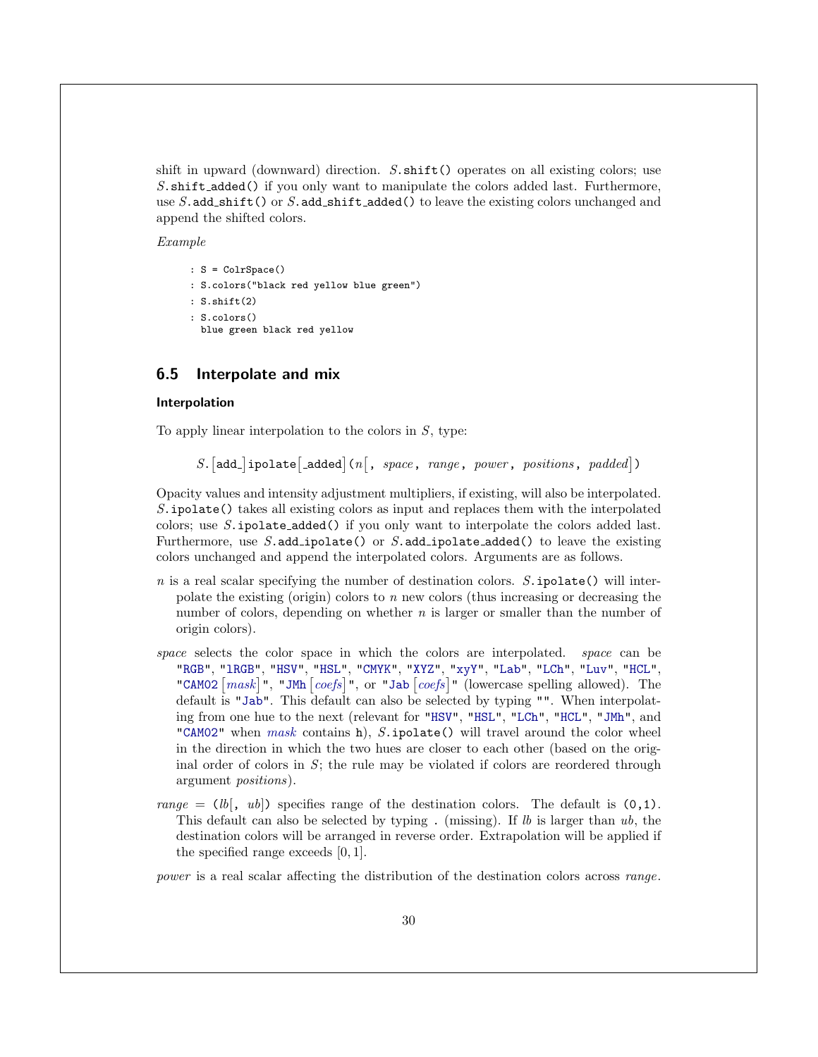shift in upward (downward) direction.  $S.\text{shift}()$  operates on all existing colors; use S.shift\_added() if you only want to manipulate the colors added last. Furthermore, use  $S$  add shift() or  $S$  add shift added() to leave the existing colors unchanged and append the shifted colors.

Example

```
: S = ColrSpace()
: S.colors("black red yellow blue green")
: S.shift(2)
: S.colors()
 blue green black red yellow
```
### <span id="page-30-0"></span>6.5 Interpolate and mix

### <span id="page-30-1"></span>Interpolation

To apply linear interpolation to the colors in  $S$ , type:

S.  $[add.]$ ipolate $[$ \_added $]$ (n $[$ , space, range, power, positions, padded $]$ )

Opacity values and intensity adjustment multipliers, if existing, will also be interpolated. S.ipolate() takes all existing colors as input and replaces them with the interpolated colors; use S.ipolate added() if you only want to interpolate the colors added last. Furthermore, use  $S$  add ipolate() or  $S$  add ipolate added() to leave the existing colors unchanged and append the interpolated colors. Arguments are as follows.

- $n$  is a real scalar specifying the number of destination colors.  $S.\texttt{ipolate}()$  will interpolate the existing (origin) colors to  $n$  new colors (thus increasing or decreasing the number of colors, depending on whether n is larger or smaller than the number of origin colors).
- space selects the color space in which the colors are interpolated. space can be ["RGB"](#page-3-2), ["lRGB"](#page-4-4), ["HSV"](#page-4-2), ["HSL"](#page-4-1), ["CMYK"](#page-4-3), ["XYZ"](#page-5-1), ["xyY"](#page-5-2), ["Lab"](#page-5-5), ["LCh"](#page-5-6), ["Luv"](#page-5-7), ["HCL"](#page-6-1), ["CAM02](#page-6-2)  $\lceil mask \rceil$  $\lceil mask \rceil$  $\lceil mask \rceil$ ", ["JMh](#page-6-3)  $\lceil coeffs \rceil$ ", or ["Jab](#page-6-4)  $\lceil coeffs \rceil$ " (lowercase spelling allowed). The default is ["Jab"](#page-6-4). This default can also be selected by typing "". When interpolating from one hue to the next (relevant for ["HSV"](#page-4-2), ["HSL"](#page-4-1), ["LCh"](#page-5-6), ["HCL"](#page-6-1), ["JMh"](#page-6-3), and ["CAM02"](#page-6-2) when [mask](#page-6-2) contains h),  $S.\texttt{ipolate}()$  will travel around the color wheel in the direction in which the two hues are closer to each other (based on the original order of colors in  $S$ ; the rule may be violated if colors are reordered through argument positions).
- range =  $(lb, ub)$  specifies range of the destination colors. The default is  $(0, 1)$ . This default can also be selected by typing. (missing). If  $lb$  is larger than  $ub$ , the destination colors will be arranged in reverse order. Extrapolation will be applied if the specified range exceeds [0, 1].

power is a real scalar affecting the distribution of the destination colors across range.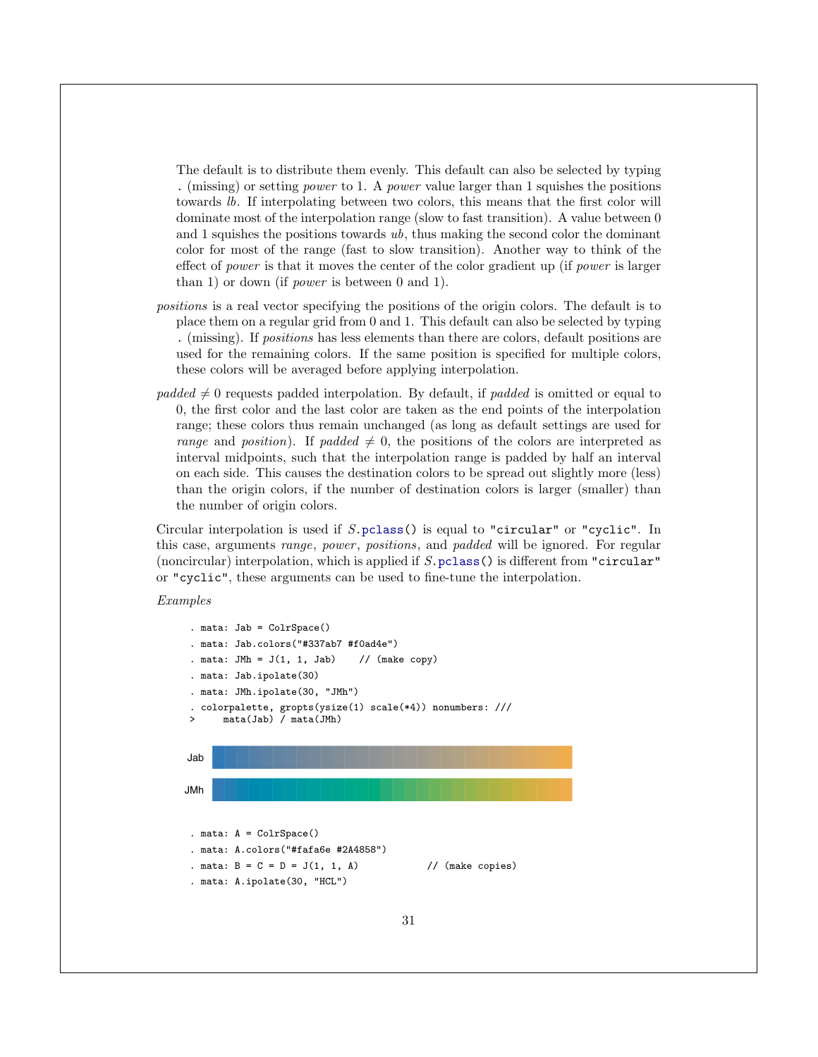The default is to distribute them evenly. This default can also be selected by typing . (missing) or setting power to 1. A power value larger than 1 squishes the positions towards lb. If interpolating between two colors, this means that the first color will dominate most of the interpolation range (slow to fast transition). A value between 0 and 1 squishes the positions towards  $ub$ , thus making the second color the dominant color for most of the range (fast to slow transition). Another way to think of the effect of power is that it moves the center of the color gradient up (if power is larger than 1) or down (if power is between 0 and 1).

- positions is a real vector specifying the positions of the origin colors. The default is to place them on a regular grid from 0 and 1. This default can also be selected by typing . (missing). If positions has less elements than there are colors, default positions are used for the remaining colors. If the same position is specified for multiple colors, these colors will be averaged before applying interpolation.
- padded  $\neq 0$  requests padded interpolation. By default, if padded is omitted or equal to 0, the first color and the last color are taken as the end points of the interpolation range; these colors thus remain unchanged (as long as default settings are used for range and position). If padded  $\neq 0$ , the positions of the colors are interpreted as interval midpoints, such that the interpolation range is padded by half an interval on each side. This causes the destination colors to be spread out slightly more (less) than the origin colors, if the number of destination colors is larger (smaller) than the number of origin colors.

Circular interpolation is used if S[.pclass\(](#page-9-0)) is equal to "circular" or "cyclic". In this case, arguments range, power, positions, and padded will be ignored. For regular (noncircular) interpolation, which is applied if  $S.\text{pclass}()$  is different from "circular" or "cyclic", these arguments can be used to fine-tune the interpolation.

Examples

```
. mata: Jab = ColrSpace()
. mata: Jab.colors("#337ab7 #f0ad4e")
 . mata: JMh = J(1, 1, Jab) // (make copy)
  mata: Jab.ipolate(30)
. mata: JMh.ipolate(30, "JMh")
  . colorpalette, gropts(ysize(1) scale(*4)) nonumbers: ///
> mata(Jab) / mata(JMh)
Jab
JMh
 . mata: A = ColrSpace()
 . mata: A.colors("#fafa6e #2A4858")
 . mata: B = C = D = J(1, 1, A) // (make copies)
 . mata: A.ipolate(30, "HCL")
```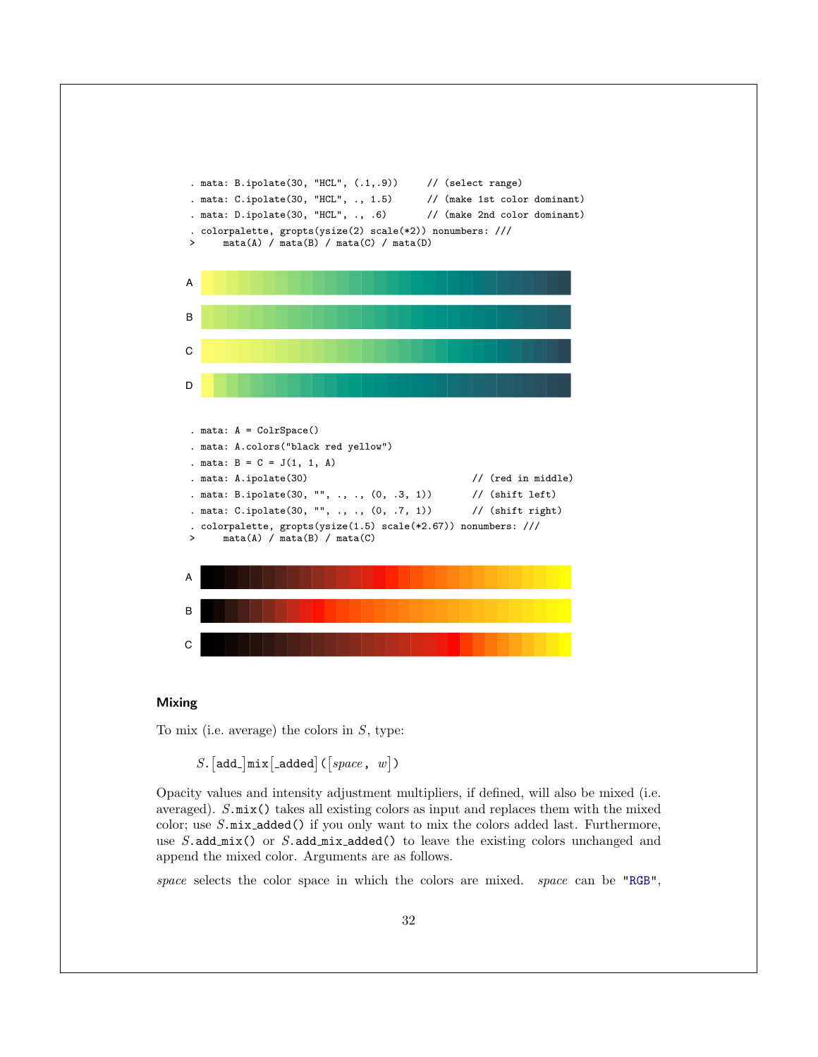

### <span id="page-32-0"></span>Mixing

To mix (i.e. average) the colors in  $S$ , type:

 $S.$ [add\_]mix[\_added]( $[space, w]$ )

Opacity values and intensity adjustment multipliers, if defined, will also be mixed (i.e. averaged). S.mix() takes all existing colors as input and replaces them with the mixed color; use  $S.\text{mix}\text{-}added()$  if you only want to mix the colors added last. Furthermore, use  $S$ .add mix() or  $S$ .add mix added() to leave the existing colors unchanged and append the mixed color. Arguments are as follows.

space selects the color space in which the colors are mixed. space can be ["RGB"](#page-3-2),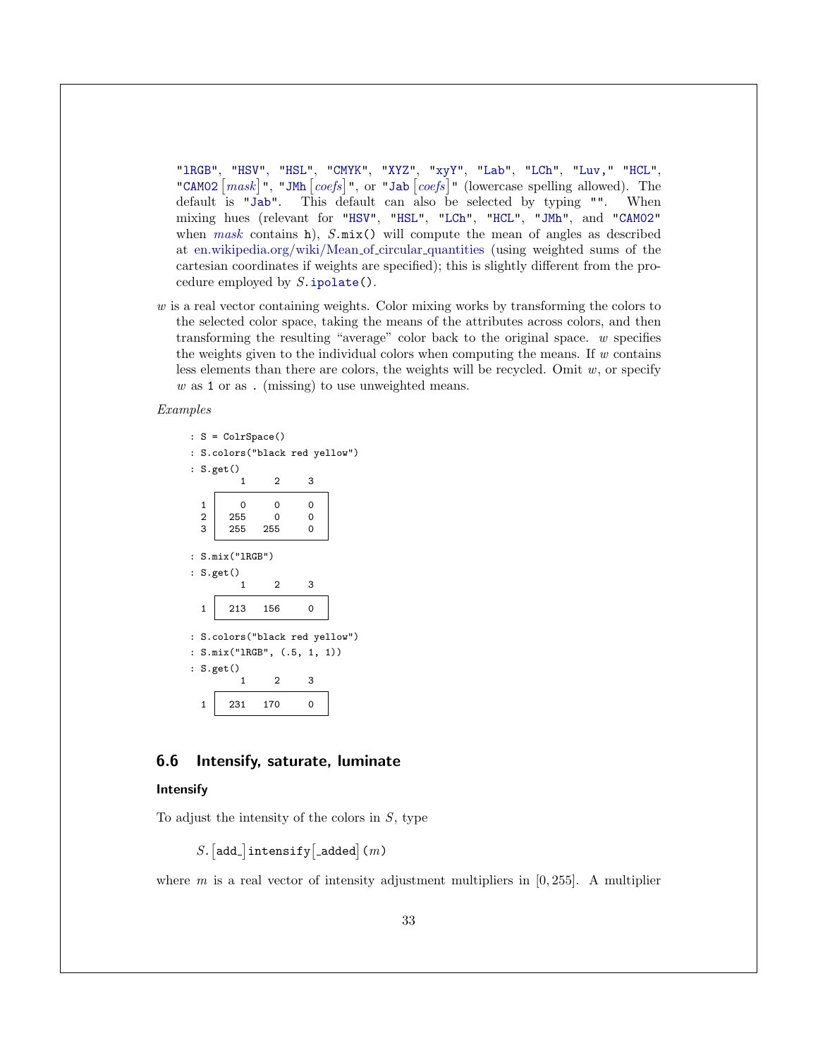["lRGB"](#page-4-4), ["HSV"](#page-4-2), ["HSL"](#page-4-1), ["CMYK"](#page-4-3), ["XYZ"](#page-5-1), ["xyY"](#page-5-2), ["Lab"](#page-5-5), ["LCh"](#page-5-6), ["Luv,"](#page-1-0) ["HCL"](#page-6-1), ["CAM02](#page-6-2)  $\lceil mask \rceil$  $\lceil mask \rceil$  $\lceil mask \rceil$ ", ["JMh](#page-6-3)  $\lceil coeffs \rceil$ ", or ["Jab](#page-6-4)  $\lceil coeffs \rceil$ " (lowercase spelling allowed). The default is ["Jab"](#page-6-4). This default can also be selected by typing "". When mixing hues (relevant for ["HSV"](#page-4-2), ["HSL"](#page-4-1), ["LCh"](#page-5-6), ["HCL"](#page-6-1), ["JMh"](#page-6-3), and ["CAM02"](#page-6-2) when [mask](#page-6-2) contains h),  $S.\text{mix}()$  will compute the mean of angles as described at [en.wikipedia.org/wiki/Mean](http://en.wikipedia.org/wiki/Mean_of_circular_quantities) of circular quantities (using weighted sums of the cartesian coordinates if weights are specified); this is slightly different from the procedure employed by  $S.\texttt{ipolate}()$ .

w is a real vector containing weights. Color mixing works by transforming the colors to the selected color space, taking the means of the attributes across colors, and then transforming the resulting "average" color back to the original space. w specifies the weights given to the individual colors when computing the means. If  $w$  contains less elements than there are colors, the weights will be recycled. Omit  $w$ , or specify w as 1 or as. (missing) to use unweighted means.

### Examples

```
: S = ColrSpace()
: S.colors("black red yellow")
: S.get()
          1 2 3
  1 0 0 0
  \begin{array}{c|ccccc}\n2 & 255 & 0 & 0 \\
3 & 255 & 255 & 0\n\end{array}255
: S.mix("lRGB")
: S.get()
          1 2 3
  1 \mid 213 \mid 156 \mid 0: S.colors("black red yellow")
: S.mix("lRGB", (.5, 1, 1))
: S.get()
          1 2 3
  1 \mid 231 \mid 170 \mid 0
```
### <span id="page-33-0"></span>6.6 Intensify, saturate, luminate

### <span id="page-33-1"></span>Intensify

To adjust the intensity of the colors in  $S$ , type

 $S.$  [add\_] intensify [\_added] (m)

where m is a real vector of intensity adjustment multipliers in  $[0, 255]$ . A multiplier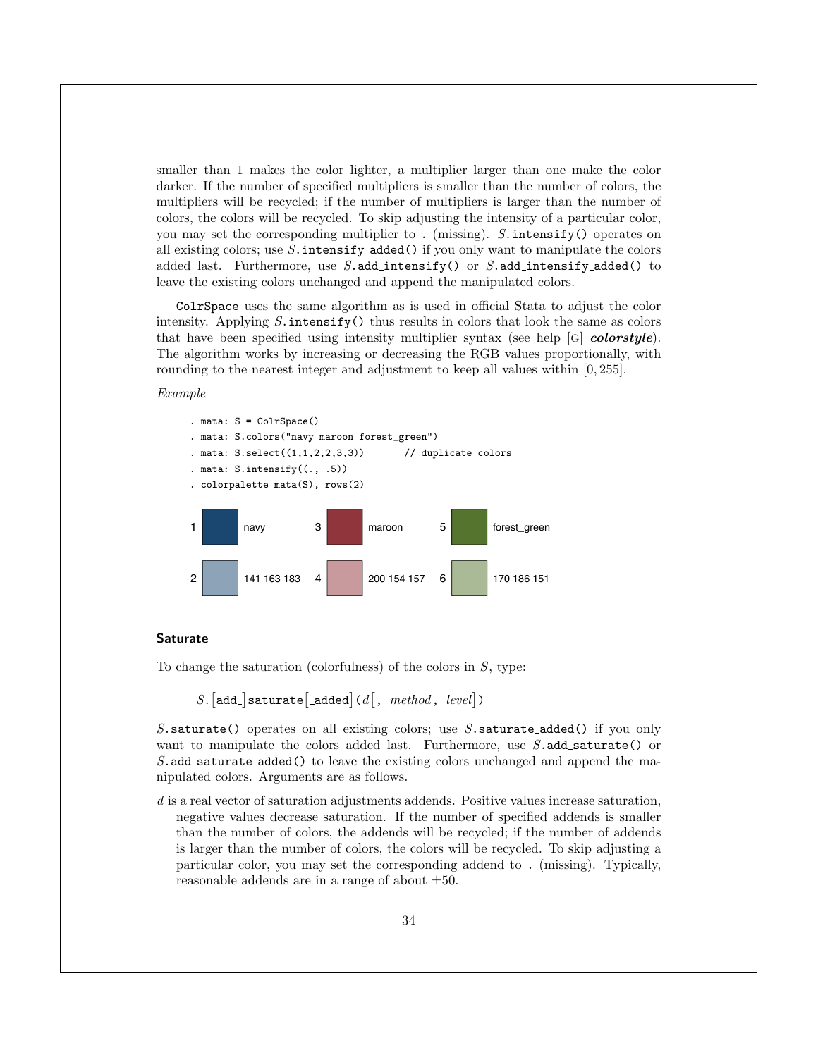smaller than 1 makes the color lighter, a multiplier larger than one make the color darker. If the number of specified multipliers is smaller than the number of colors, the multipliers will be recycled; if the number of multipliers is larger than the number of colors, the colors will be recycled. To skip adjusting the intensity of a particular color, you may set the corresponding multiplier to . (missing).  $S$  intensify() operates on all existing colors; use  $S$ . intensify added() if you only want to manipulate the colors added last. Furthermore, use  $S$  add intensify() or  $S$  add intensify added() to leave the existing colors unchanged and append the manipulated colors.

ColrSpace uses the same algorithm as is used in official Stata to adjust the color intensity. Applying  $S$  intensify() thus results in colors that look the same as colors that have been specified using intensity multiplier syntax (see help  $[G]$  colorstyle). The algorithm works by increasing or decreasing the RGB values proportionally, with rounding to the nearest integer and adjustment to keep all values within [0, 255].

### Example



#### <span id="page-34-0"></span>Saturate

To change the saturation (colorfulness) of the colors in  $S$ , type:

$$
S.\big[\texttt{add\_saturate}[\underline{\hspace{0.5mm}}\texttt{added}]\texttt{(}d\big[\texttt{, } \textit{method}, \textit{ level}]\texttt{)}
$$

S.saturate() operates on all existing colors; use S.saturate\_added() if you only want to manipulate the colors added last. Furthermore, use  $S$  add saturate() or S.add\_saturate\_added() to leave the existing colors unchanged and append the manipulated colors. Arguments are as follows.

d is a real vector of saturation adjustments addends. Positive values increase saturation, negative values decrease saturation. If the number of specified addends is smaller than the number of colors, the addends will be recycled; if the number of addends is larger than the number of colors, the colors will be recycled. To skip adjusting a particular color, you may set the corresponding addend to . (missing). Typically, reasonable addends are in a range of about ±50.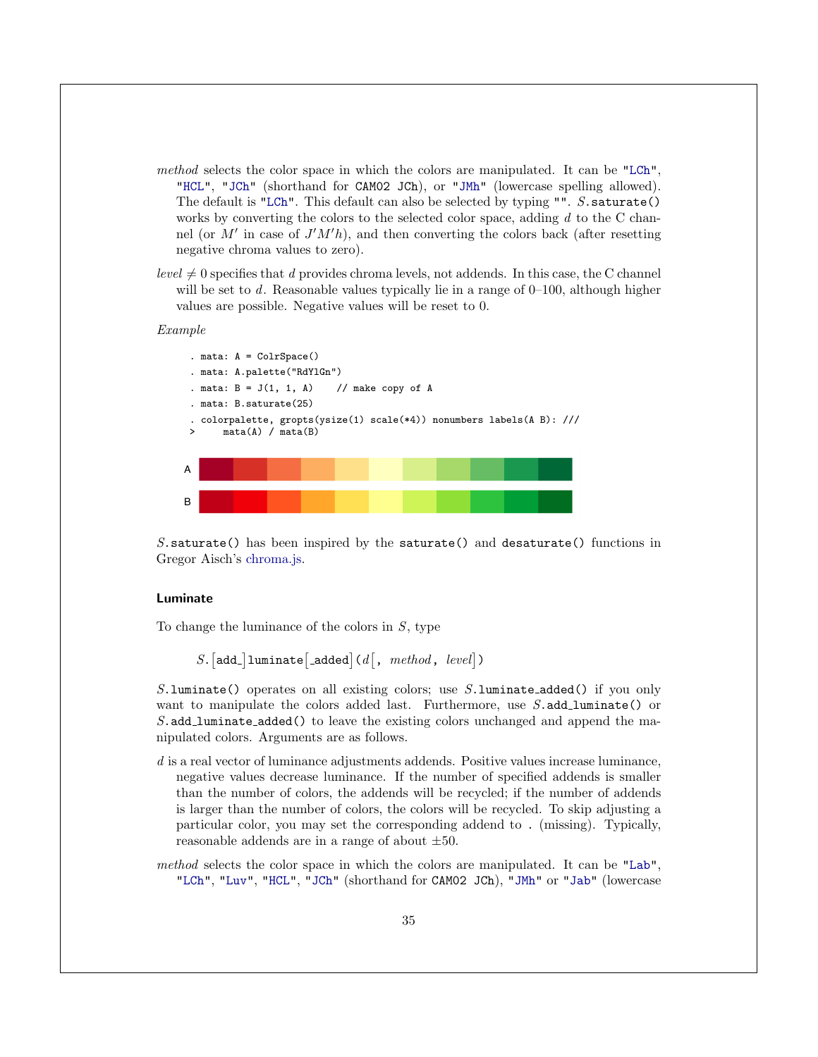- method selects the color space in which the colors are manipulated. It can be ["LCh"](#page-5-6), ["HCL"](#page-6-1), ["JCh"](#page-6-2) (shorthand for CAM02 JCh), or ["JMh"](#page-6-3) (lowercase spelling allowed). The default is ["LCh"](#page-5-6). This default can also be selected by typing "". S.saturate() works by converting the colors to the selected color space, adding  $d$  to the C channel (or  $M'$  in case of  $J'M'h$ ), and then converting the colors back (after resetting negative chroma values to zero).
- $level \neq 0$  specifies that d provides chroma levels, not addends. In this case, the C channel will be set to  $d$ . Reasonable values typically lie in a range of  $0-100$ , although higher values are possible. Negative values will be reset to 0.

#### Example



S.saturate() has been inspired by the saturate() and desaturate() functions in Gregor Aisch's [chroma.js.](https://gka.github.io/chroma.js/)

### <span id="page-35-0"></span>Luminate

To change the luminance of the colors in S, type

 $S.$ [add\_]luminate[\_added](d[, method, level])

S. luminate() operates on all existing colors; use  $S$ . luminate added() if you only want to manipulate the colors added last. Furthermore, use  $S$  add luminate() or S.add\_luminate\_added() to leave the existing colors unchanged and append the manipulated colors. Arguments are as follows.

- d is a real vector of luminance adjustments addends. Positive values increase luminance, negative values decrease luminance. If the number of specified addends is smaller than the number of colors, the addends will be recycled; if the number of addends is larger than the number of colors, the colors will be recycled. To skip adjusting a particular color, you may set the corresponding addend to . (missing). Typically, reasonable addends are in a range of about  $\pm 50$ .
- method selects the color space in which the colors are manipulated. It can be ["Lab"](#page-5-5), ["LCh"](#page-5-6), ["Luv"](#page-5-7), ["HCL"](#page-6-1), ["JCh"](#page-6-2) (shorthand for CAM02 JCh), ["JMh"](#page-6-3) or ["Jab"](#page-6-4) (lowercase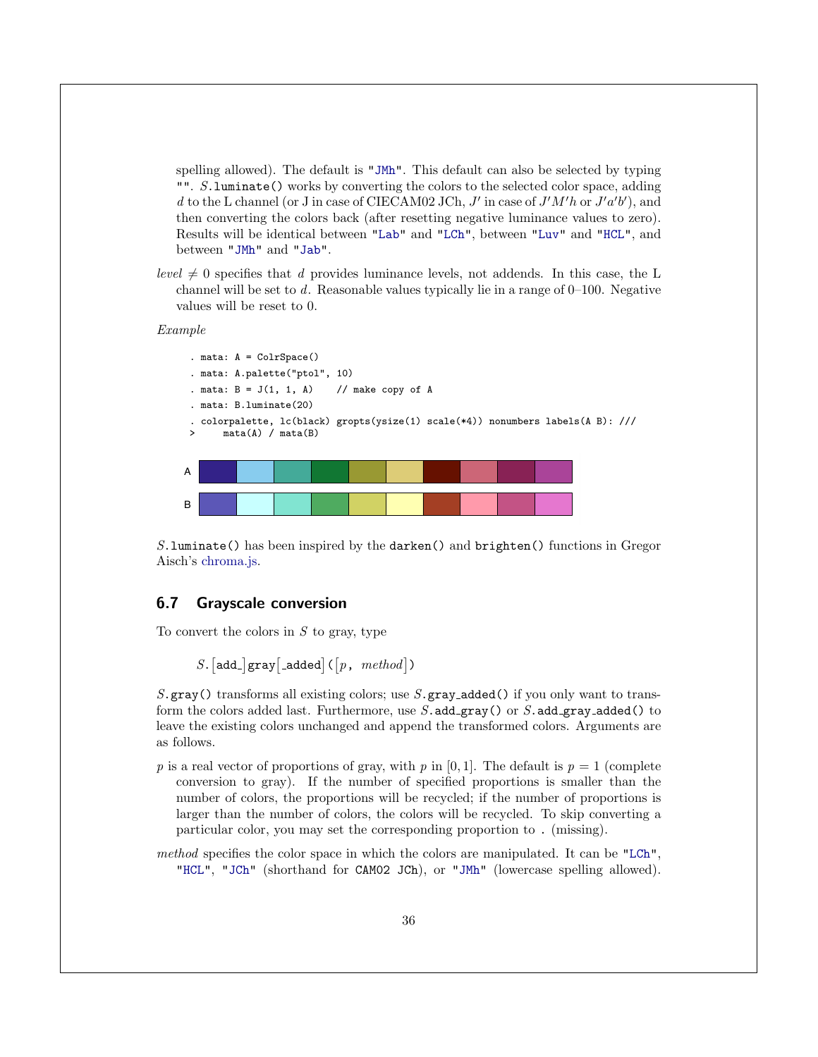spelling allowed). The default is ["JMh"](#page-6-3). This default can also be selected by typing "". S.luminate() works by converting the colors to the selected color space, adding d to the L channel (or J in case of CIECAM02 JCh,  $J'$  in case of  $J'M'h$  or  $J'a'b'$ ), and then converting the colors back (after resetting negative luminance values to zero). Results will be identical between ["Lab"](#page-5-5) and ["LCh"](#page-5-6), between ["Luv"](#page-5-7) and ["HCL"](#page-6-1), and between ["JMh"](#page-6-3) and ["Jab"](#page-6-4).

level  $\neq 0$  specifies that d provides luminance levels, not addends. In this case, the L channel will be set to d. Reasonable values typically lie in a range of  $0-100$ . Negative values will be reset to 0.

Example





S.luminate() has been inspired by the darken() and brighten() functions in Gregor Aisch's [chroma.js.](https://gka.github.io/chroma.js/)

### <span id="page-36-0"></span>6.7 Grayscale conversion

To convert the colors in  $S$  to gray, type

 $S. \lceil \texttt{add\_} \rceil \texttt{gray} \lceil \texttt{added} \rceil \left( \lceil p \text{, } \text{ method} \rceil \right) \rceil$ 

S.gray() transforms all existing colors; use  $S$ .gray added() if you only want to transform the colors added last. Furthermore, use  $S$  add\_gray() or  $S$  add\_gray\_added() to leave the existing colors unchanged and append the transformed colors. Arguments are as follows.

- p is a real vector of proportions of gray, with p in [0, 1]. The default is  $p = 1$  (complete conversion to gray). If the number of specified proportions is smaller than the number of colors, the proportions will be recycled; if the number of proportions is larger than the number of colors, the colors will be recycled. To skip converting a particular color, you may set the corresponding proportion to . (missing).
- method specifies the color space in which the colors are manipulated. It can be ["LCh"](#page-5-6), ["HCL"](#page-6-1), ["JCh"](#page-6-2) (shorthand for CAM02 JCh), or ["JMh"](#page-6-3) (lowercase spelling allowed).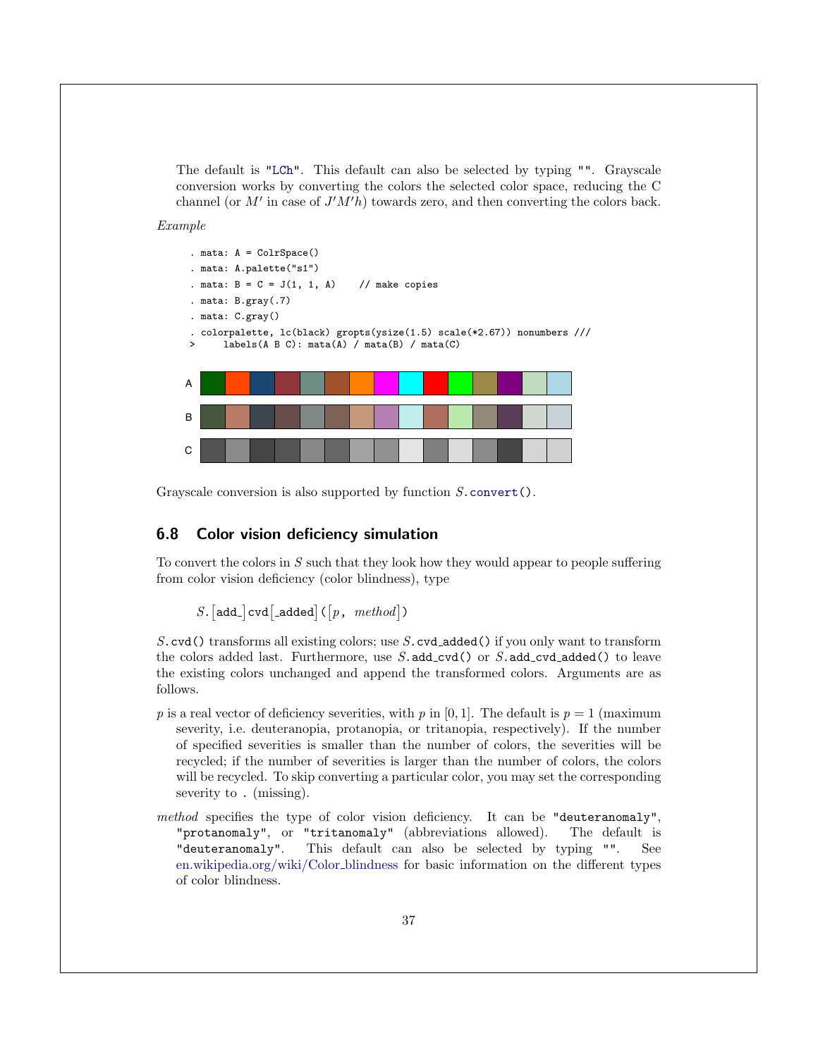The default is ["LCh"](#page-5-6). This default can also be selected by typing "". Grayscale conversion works by converting the colors the selected color space, reducing the C channel (or  $M'$  in case of  $J'M'h$ ) towards zero, and then converting the colors back.

Example



Grayscale conversion is also supported by function  $S$ [.convert\(](#page-44-1)).

### <span id="page-37-0"></span>6.8 Color vision deficiency simulation

To convert the colors in  $S$  such that they look how they would appear to people suffering from color vision deficiency (color blindness), type

 $S.$  [add\_]  $\text{cvd}$  [\_added] ( $\lceil p, \text{ method} \rceil$ )

S.cvd() transforms all existing colors; use S.cvd added() if you only want to transform the colors added last. Furthermore, use  $S$  add cvd() or  $S$  add cvd added() to leave the existing colors unchanged and append the transformed colors. Arguments are as follows.

- p is a real vector of deficiency severities, with p in [0, 1]. The default is  $p = 1$  (maximum severity, i.e. deuteranopia, protanopia, or tritanopia, respectively). If the number of specified severities is smaller than the number of colors, the severities will be recycled; if the number of severities is larger than the number of colors, the colors will be recycled. To skip converting a particular color, you may set the corresponding severity to . (missing).
- method specifies the type of color vision deficiency. It can be "deuteranomaly", "protanomaly", or "tritanomaly" (abbreviations allowed). The default is "deuteranomaly". This default can also be selected by typing "". See [en.wikipedia.org/wiki/Color](https://en.wikipedia.org/wiki/Color_blindness) blindness for basic information on the different types of color blindness.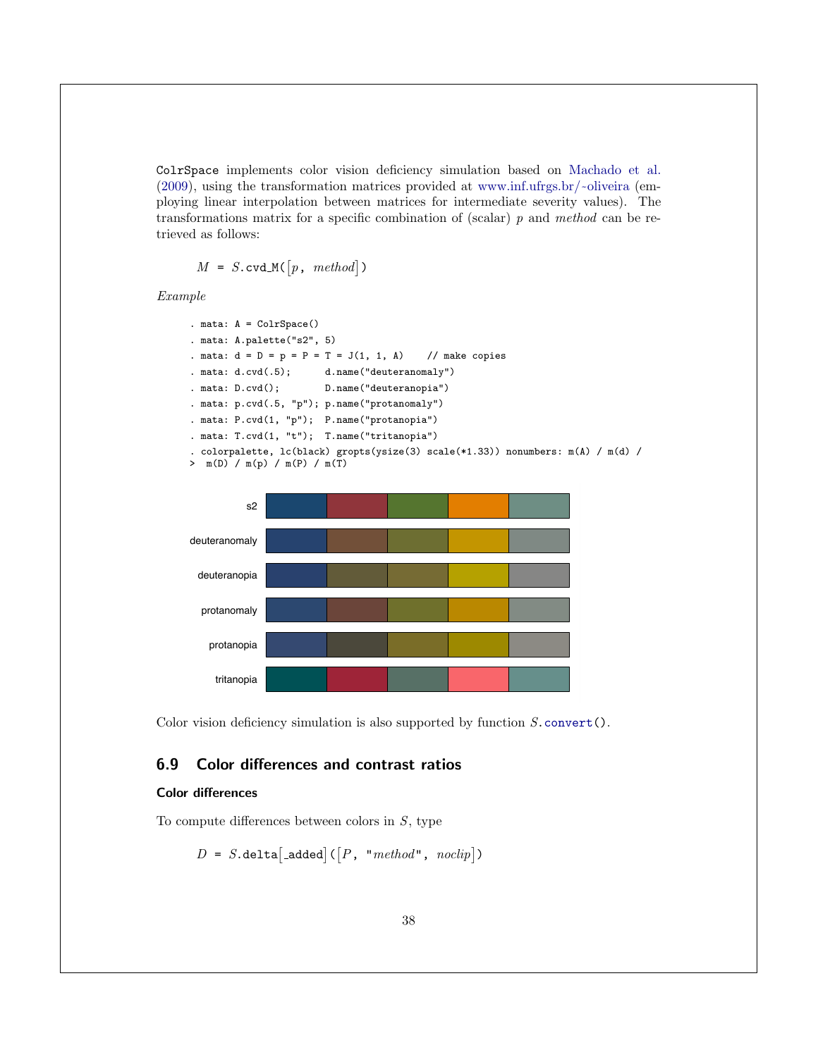ColrSpace implements color vision deficiency simulation based on [Machado et al.](#page-59-8) [\(2009\)](#page-59-8), using the transformation matrices provided at [www.inf.ufrgs.br/](https://www.inf.ufrgs.br/~oliveira/pubs_files/CVD_Simulation/CVD_Simulation.html)~oliveira (employing linear interpolation between matrices for intermediate severity values). The transformations matrix for a specific combination of (scalar)  $p$  and method can be retrieved as follows:

$$
M = S.\text{cvd}_\mathcal{M}([p,\text{ method}])
$$

Example

```
. mata: A = ColrSpace()
. mata: A.palette("s2", 5)
. mata: d = D = p = P = T = J(1, 1, A) // make copies
. mata: d.cvd(.5); d.name("deuteranomaly")
. mata: D.cvd(); D.name("deuteranopia")
. mata: p.cvd(.5, "p"); p.name("protanomaly")
. mata: P.cvd(1, "p"); P.name("protanopia")
. mata: T.cvd(1, "t"); T.name("tritanopia")
. colorpalette, lc(black) gropts(ysize(3) scale(*1.33)) nonumbers: m(A) / m(d) /
> m(D) / m(p) / m(P) / m(T)
```


Color vision deficiency simulation is also supported by function  $S$ .convert $()$ .

### <span id="page-38-0"></span>6.9 Color differences and contrast ratios

### <span id="page-38-1"></span>Color differences

To compute differences between colors in  $S$ , type

$$
D = S.\mathtt{delta}[\mathtt{:added}] \left( \begin{bmatrix} P, & "method", & noclip \end{bmatrix} \right)
$$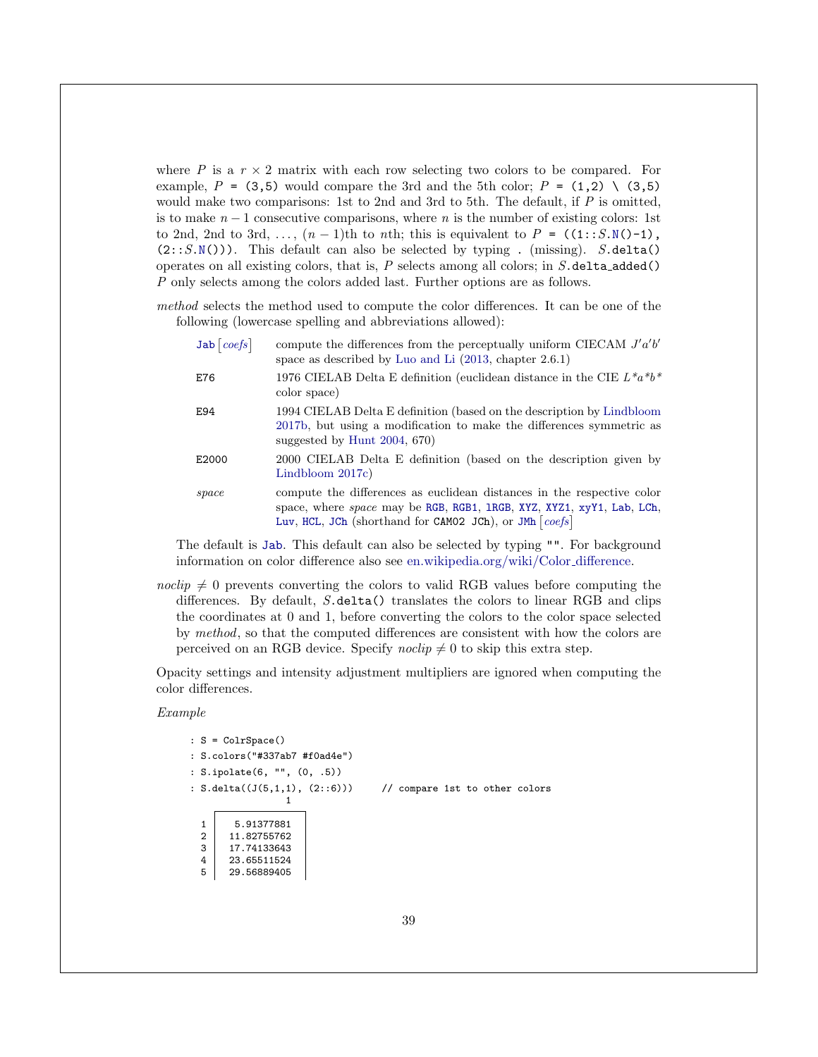where P is a  $r \times 2$  matrix with each row selecting two colors to be compared. For example, P = (3,5) would compare the 3rd and the 5th color; P = (1,2) \ (3,5) would make two comparisons: 1st to 2nd and 3rd to 5th. The default, if  $P$  is omitted, is to make  $n-1$  consecutive comparisons, where n is the number of existing colors: 1st to 2nd, 2nd to 3rd, ...,  $(n-1)$ th to *n*th; this is equivalent to  $P = ((1::S.N() - 1))$  $P = ((1::S.N() - 1))$  $P = ((1::S.N() - 1))$ ,  $(2::S.N())$  $(2::S.N())$  $(2::S.N())$ ). This default can also be selected by typing . (missing). S.delta() operates on all existing colors, that is,  $P$  selects among all colors; in  $S$ .delta\_added() P only selects among the colors added last. Further options are as follows.

method selects the method used to compute the color differences. It can be one of the following (lowercase spelling and abbreviations allowed):

| Jab $\vert \textit{coeffs} \vert$ | compute the differences from the perceptually uniform CIECAM $J'a'b'$<br>space as described by Luo and Li $(2013,$ chapter $2.6.1)$                                                                           |
|-----------------------------------|---------------------------------------------------------------------------------------------------------------------------------------------------------------------------------------------------------------|
| E76                               | 1976 CIELAB Delta E definition (euclidean distance in the CIE $L^*a^*b^*$<br>color space)                                                                                                                     |
| E94                               | 1994 CIELAB Delta E definition (based on the description by Lindbloom<br>2017b, but using a modification to make the differences symmetric as<br>suggested by Hunt $2004, 670$                                |
| E2000                             | 2000 CIELAB Delta E definition (based on the description given by<br>Lindbloom $2017c$ )                                                                                                                      |
| space                             | compute the differences as euclidean distances in the respective color<br>space, where space may be RGB, RGB1, 1RGB, XYZ, XYZ1, xyY1, Lab, LCh,<br>Luv, HCL, JCh (shorthand for CAM02 JCh), or JMh $ coeffs $ |

The default is [Jab](#page-6-4). This default can also be selected by typing "". For background information on color difference also see [en.wikipedia.org/wiki/Color](https://en.wikipedia.org/wiki/Color_difference)\_difference.

noclip  $\neq 0$  prevents converting the colors to valid RGB values before computing the differences. By default, S.delta() translates the colors to linear RGB and clips the coordinates at 0 and 1, before converting the colors to the color space selected by method, so that the computed differences are consistent with how the colors are perceived on an RGB device. Specify  $noclip \neq 0$  to skip this extra step.

Opacity settings and intensity adjustment multipliers are ignored when computing the color differences.

Example

```
: S = ColrSpace()
: S.colors("#337ab7 #f0ad4e")
: S.ipolate(6, "", (0, .5))
: S.delta((J(5,1,1), (2::6))) // compare 1st to other colors
                              1
   1 5.91377881
   \begin{array}{|c|c|c|}\n\hline\n2 & 11.82755762 \\
3 & 17.74133643\n\end{array}\begin{array}{|c|c|c|}\n 3 & 17.74133643 \\
 4 & 23.65511524\n \end{array}\begin{array}{|c|c|c|}\n 4 & 23.65511524 \\
 5 & 29.56889405\n\end{array}5 29.56889405
```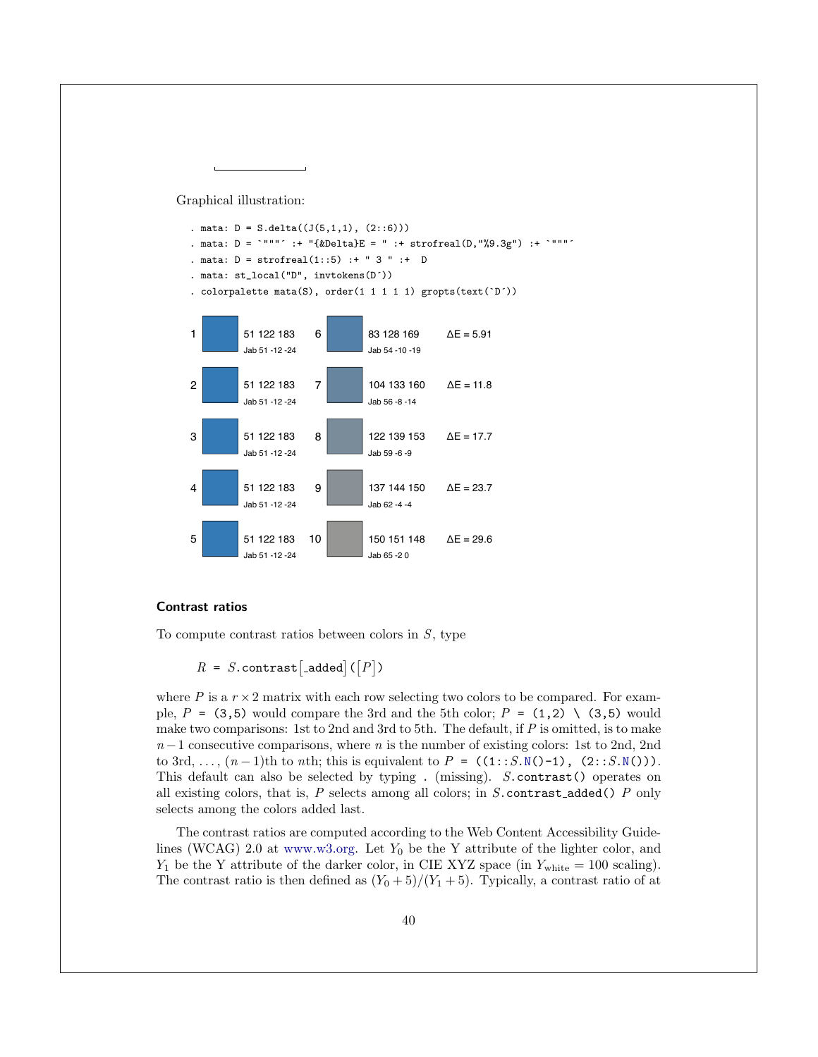Graphical illustration:



### <span id="page-40-0"></span>Contrast ratios

To compute contrast ratios between colors in  $S$ , type

 $R = S$ .contrast [\_added] ( $[P]$ )

where P is a  $r \times 2$  matrix with each row selecting two colors to be compared. For example,  $P = (3,5)$  would compare the 3rd and the 5th color;  $P = (1,2) \setminus (3,5)$  would make two comparisons: 1st to 2nd and 3rd to 5th. The default, if  $P$  is omitted, is to make  $n-1$  consecutive comparisons, where n is the number of existing colors: 1st to 2nd, 2nd to 3rd, ...,  $(n-1)$ th to *n*th; this is equivalent to  $P = ((1::S.N() - 1), (2::S.N())$  $P = ((1::S.N() - 1), (2::S.N())$  $P = ((1::S.N() - 1), (2::S.N())$ . This default can also be selected by typing . (missing). S.contrast() operates on all existing colors, that is,  $P$  selects among all colors; in  $S$  contrast added()  $P$  only selects among the colors added last.

The contrast ratios are computed according to the Web Content Accessibility Guidelines (WCAG) 2.0 at [www.w3.org.](https://www.w3.org/TR/2008/REC-WCAG20-20081211/#contrast-ratiodef) Let  $Y_0$  be the Y attribute of the lighter color, and  $Y_1$  be the Y attribute of the darker color, in CIE XYZ space (in  $Y_{\text{white}} = 100$  scaling). The contrast ratio is then defined as  $(Y_0 + 5)/(Y_1 + 5)$ . Typically, a contrast ratio of at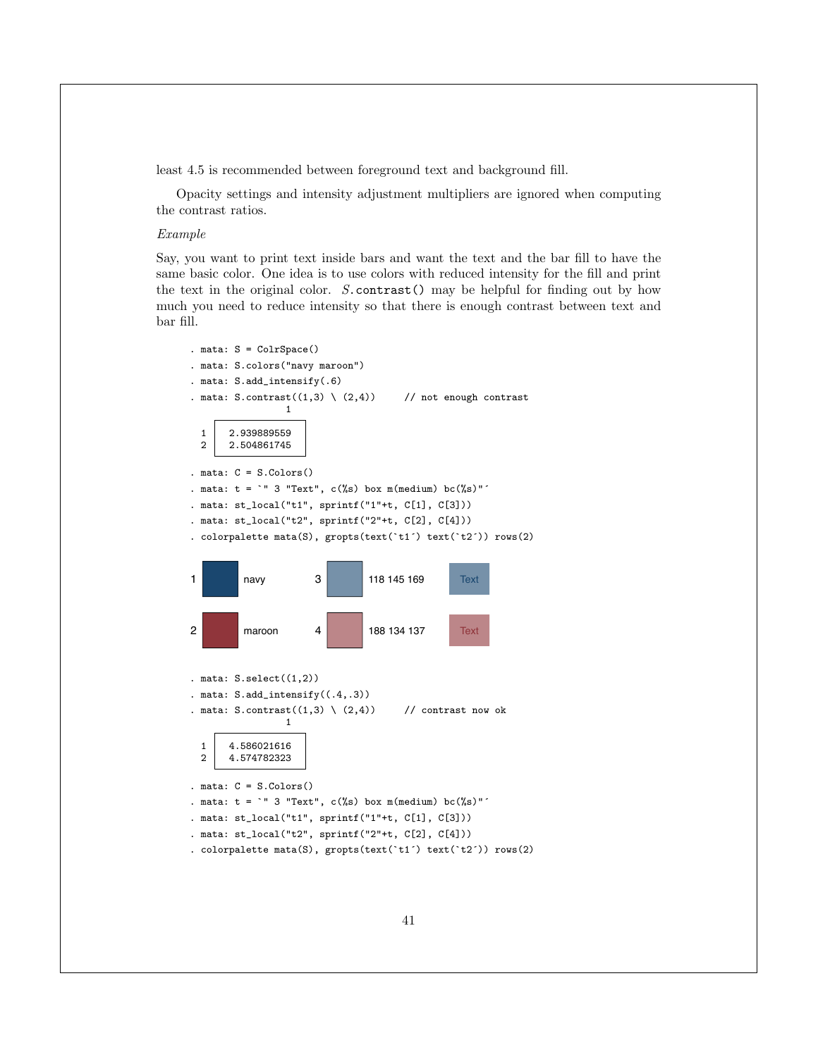least 4.5 is recommended between foreground text and background fill.

Opacity settings and intensity adjustment multipliers are ignored when computing the contrast ratios.

### Example

Say, you want to print text inside bars and want the text and the bar fill to have the same basic color. One idea is to use colors with reduced intensity for the fill and print the text in the original color.  $S$  contrast () may be helpful for finding out by how much you need to reduce intensity so that there is enough contrast between text and bar fill.

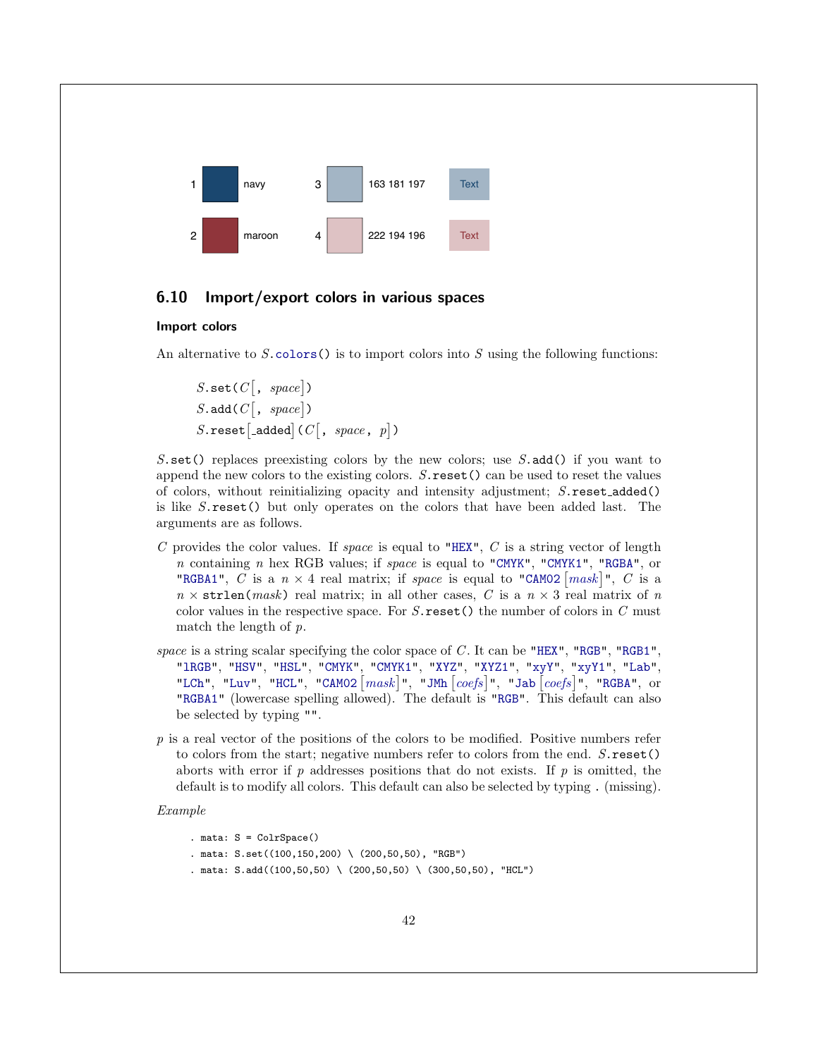

### <span id="page-42-0"></span>6.10 Import/export colors in various spaces

### <span id="page-42-1"></span>Import colors

An alternative to  $S.\text{colors}()$  is to import colors into  $S$  using the following functions:

 $S.\texttt{set}(C[, space])$  $S.\texttt{add}(C[, space])$ S.reset [\_added]  $(C[, space, p])$ 

 $S.\text{set}$  replaces preexisting colors by the new colors; use  $S.\text{add}(S)$  if you want to append the new colors to the existing colors.  $S$  reset () can be used to reset the values of colors, without reinitializing opacity and intensity adjustment; S.reset added() is like S.reset() but only operates on the colors that have been added last. The arguments are as follows.

- C provides the color values. If space is equal to ["HEX"](#page-3-1),  $C$  is a string vector of length n containing n hex RGB values; if space is equal to ["CMYK"](#page-4-3), ["CMYK1"](#page-5-0), ["RGBA"](#page-6-0), or ["RGBA1"](#page-7-1), C is a  $n \times 4$  real matrix; if space is equal to ["CAM02](#page-6-2)  $\lceil mask \rceil$  $\lceil mask \rceil$  $\lceil mask \rceil$ ", C is a  $n \times \text{strlen}(mask)$  real matrix; in all other cases, C is a  $n \times 3$  real matrix of n color values in the respective space. For  $S$  reset() the number of colors in  $C$  must match the length of  $p$ .
- space is a string scalar specifying the color space of  $C$ . It can be ["HEX"](#page-3-1), ["RGB"](#page-3-2), ["RGB1"](#page-3-3), ["lRGB"](#page-4-4), ["HSV"](#page-4-2), ["HSL"](#page-4-1), ["CMYK"](#page-4-3), ["CMYK1"](#page-5-0), ["XYZ"](#page-5-1), ["XYZ1"](#page-5-4), ["xyY"](#page-5-2), ["xyY1"](#page-5-3), ["Lab"](#page-5-5), ["LCh"](#page-5-6), ["Luv"](#page-5-7), ["HCL"](#page-6-1), "CAMO2  $\lceil mask \rceil$  $\lceil mask \rceil$  $\lceil mask \rceil$ ", ["JMh](#page-6-3)  $\lceil coefs \rceil$  $\lceil coefs \rceil$  $\lceil coefs \rceil$ ", ["Jab](#page-6-4)  $\lceil coefs \rceil$ ", ["RGBA"](#page-6-0), or ["RGBA1"](#page-7-1) (lowercase spelling allowed). The default is ["RGB"](#page-3-2). This default can also be selected by typing "".
- $p$  is a real vector of the positions of the colors to be modified. Positive numbers refer to colors from the start; negative numbers refer to colors from the end.  $S$ . reset() aborts with error if  $p$  addresses positions that do not exists. If  $p$  is omitted, the default is to modify all colors. This default can also be selected by typing . (missing).

### Example

```
. mata: S = ColrSpace()
. mata: S.set((100,150,200) \ (200,50,50), "RGB")
. mata: S.add((100, 50, 50) \setminus (200, 50, 50) \setminus (300, 50, 50), "HCL")
```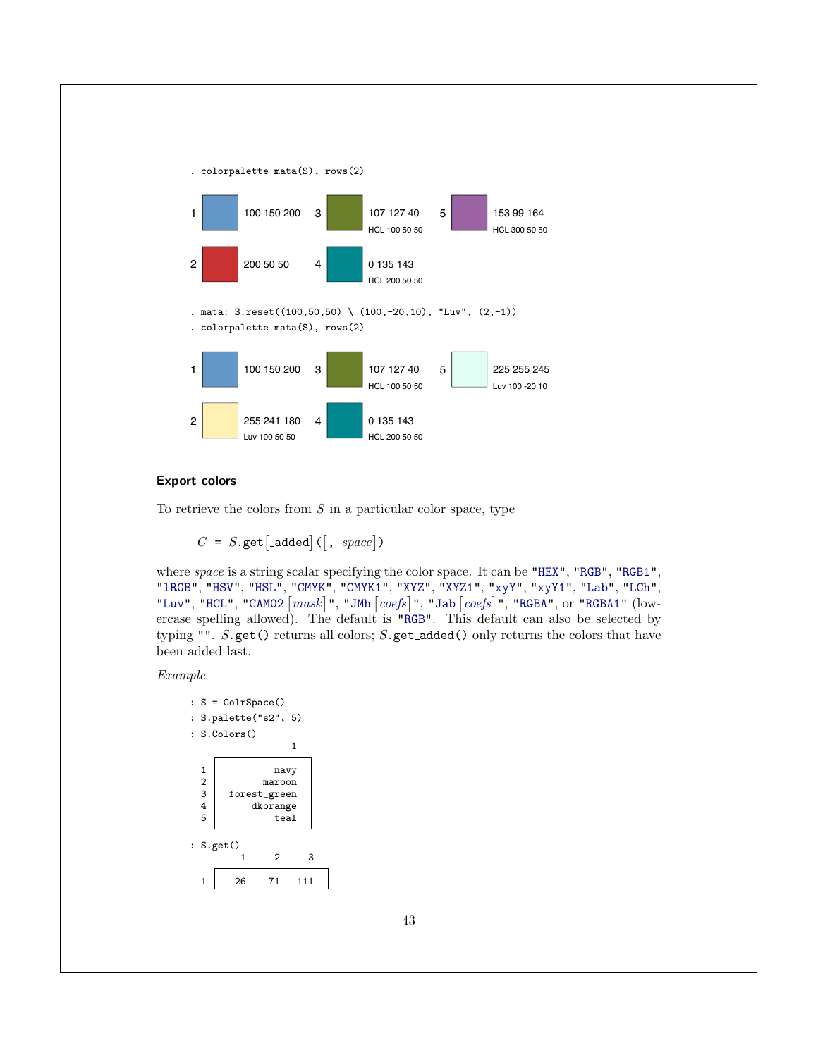

### <span id="page-43-0"></span>Export colors

To retrieve the colors from  $S$  in a particular color space, type

 $C = S.\text{get}[\text{-added}] (\mid, space])$ 

where space is a string scalar specifying the color space. It can be ["HEX"](#page-3-1), ["RGB"](#page-3-2), ["RGB1"](#page-3-3), ["lRGB"](#page-4-4), ["HSV"](#page-4-2), ["HSL"](#page-4-1), ["CMYK"](#page-4-3), ["CMYK1"](#page-5-0), ["XYZ"](#page-5-1), ["XYZ1"](#page-5-4), ["xyY"](#page-5-2), ["xyY1"](#page-5-3), ["Lab"](#page-5-5), ["LCh"](#page-5-6), ["Luv"](#page-5-7), ["HCL"](#page-6-1), "CAMO2  $\lceil mask \rceil$  $\lceil mask \rceil$  $\lceil mask \rceil$ ", ["JMh](#page-6-3)  $\lceil coefs \rceil$  $\lceil coefs \rceil$  $\lceil coefs \rceil$ ", ["Jab](#page-6-4)  $\lceil coefs \rceil$ ", ["RGBA"](#page-6-0), or ["RGBA1"](#page-7-1) (lowercase spelling allowed). The default is ["RGB"](#page-3-2). This default can also be selected by typing "".  $S.\texttt{get}()$  returns all colors;  $S.\texttt{get\_added()}$  only returns the colors that have been added last.

Example

```
: S = ColrSpace()
: S.palette("s2", 5)
: S.Colors()
                        1
  1 navy<br>2 maroon
  2 maroon<br>3 forest_green
  \begin{array}{c|c} 3 & \text{forest\_green} \\ 4 & \text{dkorange} \end{array}4 dkorange<br>5 teal
                    teal
: S.get()
            1 2 3
  1 26 71 111
```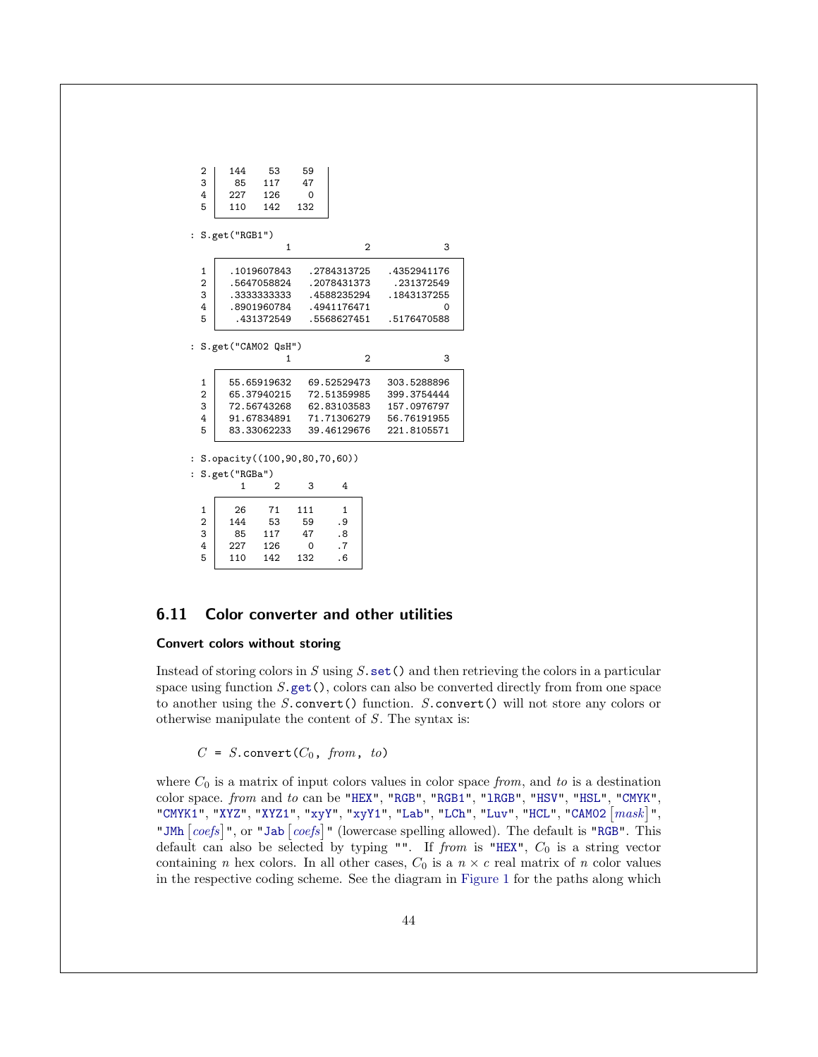| 2<br>3<br>4<br>5     | 144<br>53<br>117<br>85<br>227<br>126<br>110<br>142 | 59<br>47<br>$\Omega$<br>132 |                |             |
|----------------------|----------------------------------------------------|-----------------------------|----------------|-------------|
|                      | S.get("RGB1")                                      |                             |                |             |
|                      | $\mathbf{1}$                                       |                             | $\overline{2}$ | 3           |
| 1                    | .1019607843                                        |                             | .2784313725    | .4352941176 |
| $\overline{2}$       | .5647058824                                        |                             | .2078431373    | .231372549  |
| 3                    | . 3333333333                                       |                             | .4588235294    | .1843137255 |
| 4                    | .8901960784                                        |                             | .4941176471    | ი           |
| 5                    | . 431372549                                        |                             | .5568627451    | .5176470588 |
| $\ddot{\phantom{a}}$ | S.get("CAM02 QsH")                                 |                             |                |             |
|                      | 1                                                  |                             | $\overline{2}$ | 3           |
| $\mathbf{1}$         | 55.65919632                                        |                             | 69.52529473    | 303.5288896 |
| $\overline{2}$       | 65.37940215                                        |                             | 72.51359985    | 399.3754444 |
| 3                    | 72.56743268                                        |                             | 62.83103583    | 157.0976797 |
| 4                    | 91.67834891                                        |                             | 71.71306279    | 56.76191955 |
| 5                    | 83.33062233                                        |                             | 39.46129676    | 221.8105571 |
|                      | : $S. opacity((100, 90, 80, 70, 60))$              |                             |                |             |
|                      | $\alpha$ $\beta$ un $\alpha$ n                     |                             |                |             |

: S.get("RGBa")

|   |     | $\mathcal{D}$ | 3   |     |
|---|-----|---------------|-----|-----|
| 1 | 26  | 71            | 111 |     |
| 2 | 144 | 53            | 59  | . 9 |
| 3 | 85  | 117           | 47  | .8  |
| 4 | 227 | 126           | 0   | . 7 |
| 5 | 110 | 142           | 132 | .6  |

### <span id="page-44-0"></span>6.11 Color converter and other utilities

### <span id="page-44-1"></span>Convert colors without storing

Instead of storing colors in  $S$  using  $S$ . set () and then retrieving the colors in a particular space using function  $S$ ,  $get()$ , colors can also be converted directly from from one space to another using the S.convert() function. S.convert() will not store any colors or otherwise manipulate the content of  $S$ . The syntax is:

 $C = S$ .convert( $C_0$ , from, to)

where  $C_0$  is a matrix of input colors values in color space from, and to is a destination color space. from and to can be ["HEX"](#page-3-1), ["RGB"](#page-3-2), ["RGB1"](#page-3-3), ["lRGB"](#page-4-4), ["HSV"](#page-4-2), ["HSL"](#page-4-1), ["CMYK"](#page-4-3), ["CMYK1"](#page-5-0), ["XYZ"](#page-5-1), ["XYZ1"](#page-5-4), ["xyY"](#page-5-2), ["xyY1"](#page-5-3), ["Lab"](#page-5-5), ["LCh"](#page-5-6), ["Luv"](#page-5-7), ["HCL"](#page-6-1), "CAMO2  $\lceil mask \rceil$  $\lceil mask \rceil$  $\lceil mask \rceil$ ", ["JMh](#page-6-3)  $[coeff]$ ", or ["Jab](#page-6-4)  $[coeff]$ " (lowercase spelling allowed). The default is ["RGB"](#page-3-2). This default can also be selected by typing "". If from is ["HEX"](#page-3-1),  $C_0$  is a string vector containing n hex colors. In all other cases,  $C_0$  is a  $n \times c$  real matrix of n color values in the respective coding scheme. See the diagram in [Figure 1](#page-4-0) for the paths along which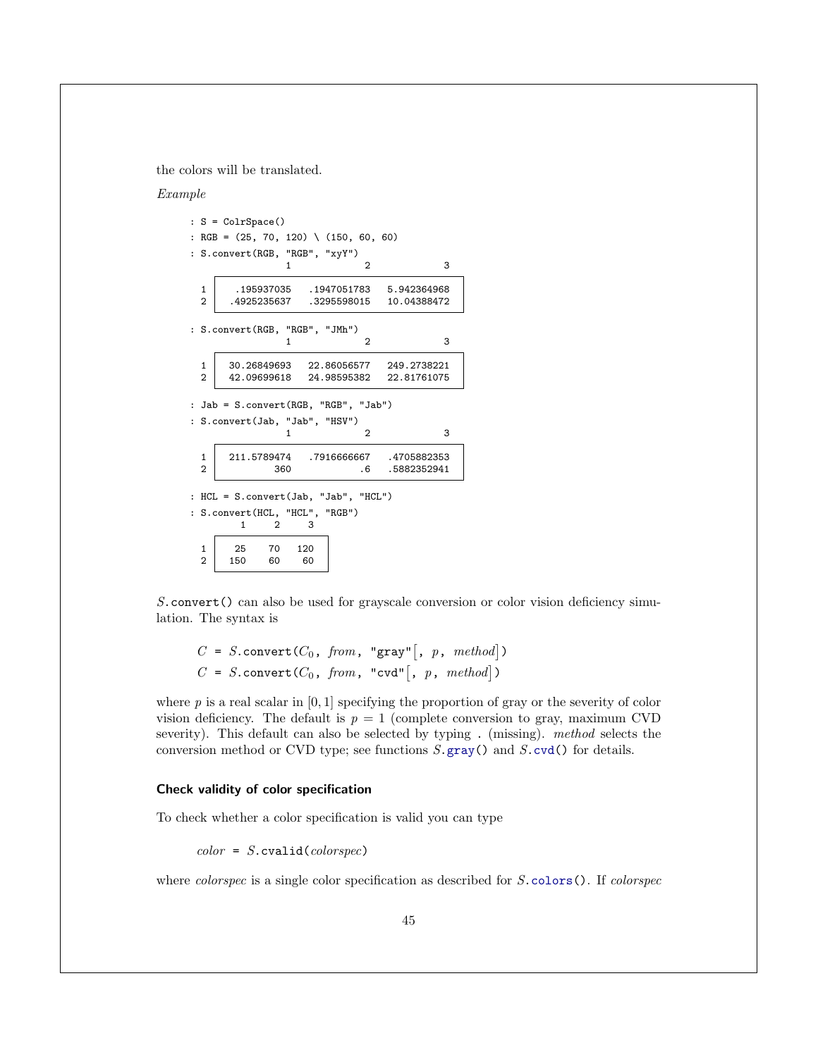the colors will be translated.

#### Example

|                                | $: S = ColrSpace()$ |                                               |                                                 |                                                                            |
|--------------------------------|---------------------|-----------------------------------------------|-------------------------------------------------|----------------------------------------------------------------------------|
|                                |                     |                                               | : RGB = $(25, 70, 120) \setminus (150, 60, 60)$ |                                                                            |
|                                |                     | : $S \text{.convert}(RGB, "RGB", "xyY")$<br>1 | 2                                               | 3                                                                          |
| $\mathbf{1}$<br>$\overline{2}$ |                     |                                               | .4925235637 .3295598015                         | .195937035 .1947051783 5.942364968<br>10.04388472                          |
|                                |                     | : S.convert(RGB, "RGB", "JMh")<br>1           | 2                                               | 3                                                                          |
| 1<br>$\overline{2}$            |                     |                                               |                                                 | 30.26849693 22.86056577 249.2738221<br>42.09699618 24.98595382 22.81761075 |
|                                |                     |                                               | : Jab = S.convert (RGB, "RGB", "Jab")           |                                                                            |
|                                |                     | : S.convert(Jab, "Jab", "HSV")<br>1           | 2                                               | 3                                                                          |
|                                |                     |                                               |                                                 |                                                                            |
| $\mathbf{1}$<br>$\overline{2}$ |                     | 360                                           |                                                 | 211.5789474 .7916666667 .4705882353<br>.6 .5882352941                      |
|                                |                     |                                               | : HCL = S.convert(Jab, "Jab", "HCL")            |                                                                            |
|                                | $\mathbf{1}$        | : S.convert(HCL, "HCL", "RGB")<br>3<br>2      |                                                 |                                                                            |

S.convert() can also be used for grayscale conversion or color vision deficiency simulation. The syntax is

```
C = S.convert(C_0, from, "gray" [, p, method])
C = S.convert(C_0, from, "cvd", p, method)
```
where  $p$  is a real scalar in  $[0, 1]$  specifying the proportion of gray or the severity of color vision deficiency. The default is  $p = 1$  (complete conversion to gray, maximum CVD severity). This default can also be selected by typing . (missing). method selects the conversion method or CVD type; see functions  $S$  gray() and  $S$  cvd() for details.

### <span id="page-45-0"></span>Check validity of color specification

To check whether a color specification is valid you can type

 $color = S.cvalid(color spec)$ 

where *colorspec* is a single color specification as described for S[.colors\(](#page-10-2)). If *colorspec*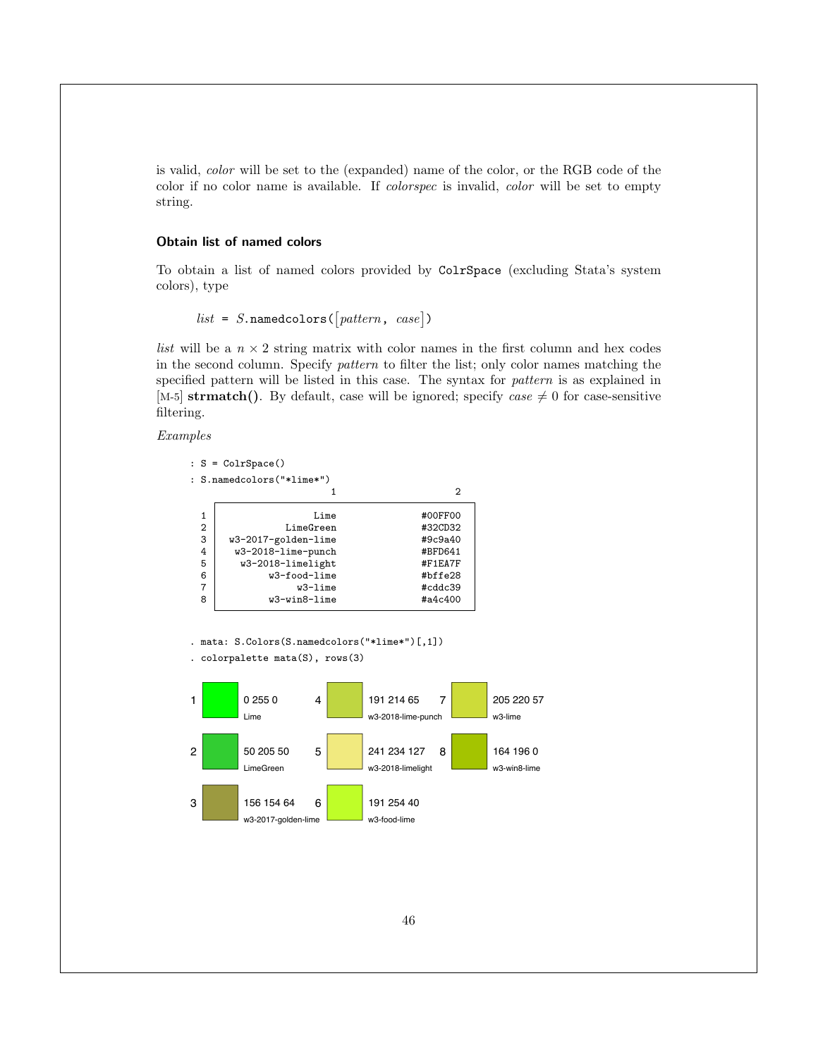is valid, color will be set to the (expanded) name of the color, or the RGB code of the color if no color name is available. If colorspec is invalid, color will be set to empty string.

### <span id="page-46-0"></span>Obtain list of named colors

To obtain a list of named colors provided by ColrSpace (excluding Stata's system colors), type

```
list = S.\texttt{namedcolors}(\begin{bmatrix} pattern, case \end{bmatrix})
```
*list* will be a  $n \times 2$  string matrix with color names in the first column and hex codes in the second column. Specify *pattern* to filter the list; only color names matching the specified pattern will be listed in this case. The syntax for pattern is as explained in [M-5] strmatch(). By default, case will be ignored; specify case  $\neq 0$  for case-sensitive filtering.

Examples

|                | $: S = ColrSpace()$            |         |  |
|----------------|--------------------------------|---------|--|
|                | $:$ S.namedcolors $("*lime*")$ |         |  |
|                |                                | 2       |  |
| 1              | Lime                           | #00FF00 |  |
| $\overline{2}$ | LimeGreen                      | #32CD32 |  |
| 3              | w3-2017-golden-lime            | #9c9a40 |  |
| 4              | w3-2018-lime-punch             | #BFD641 |  |
| 5              | w3-2018-limelight              | #F1EA7F |  |
| 6              | w3-food-lime                   | #bffe28 |  |
| 7              | w3-lime                        | #cddc39 |  |
| 8              | w3-win8-lime                   | #a4c400 |  |

. mata: S.Colors(S.namedcolors("\*lime\*")[,1])

```
. colorpalette mata(S), rows(3)
```
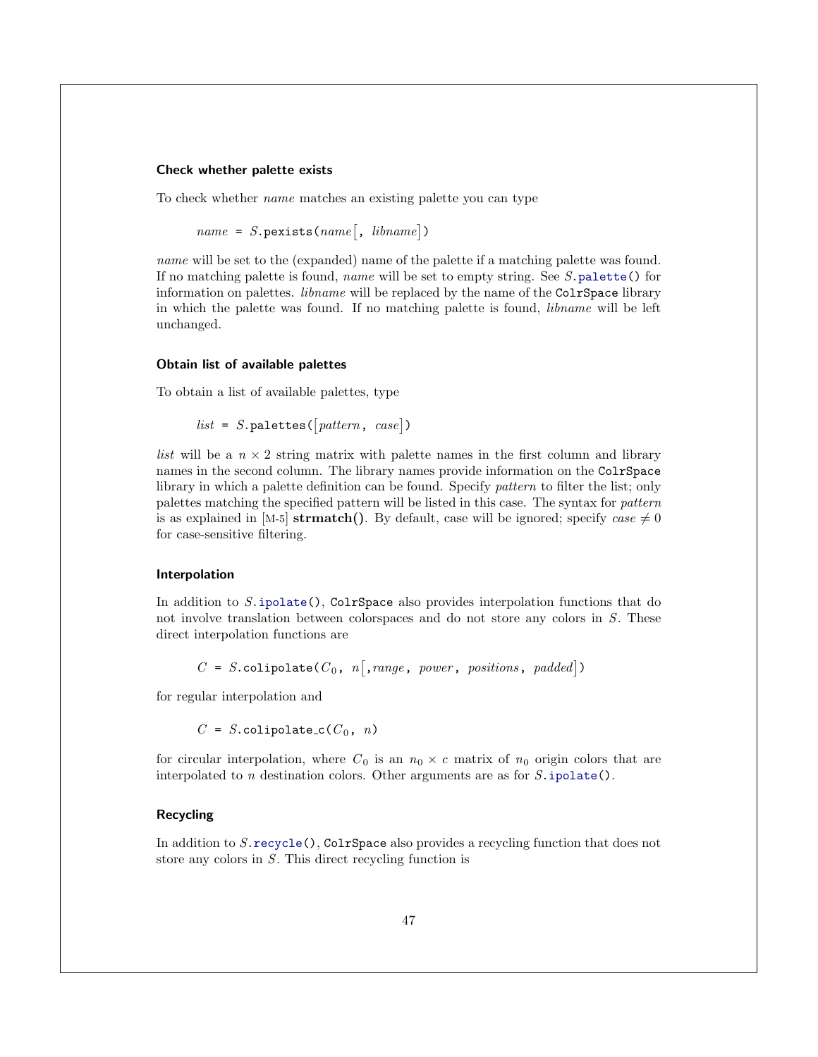### <span id="page-47-0"></span>Check whether palette exists

To check whether name matches an existing palette you can type

```
name = S.\text{pexists}(name[, \; libname])
```
name will be set to the (expanded) name of the palette if a matching palette was found. If no matching palette is found, name will be set to empty string. See S[.palette\(](#page-17-0)) for information on palettes. *libname* will be replaced by the name of the ColrSpace library in which the palette was found. If no matching palette is found, libname will be left unchanged.

### <span id="page-47-1"></span>Obtain list of available palettes

To obtain a list of available palettes, type

 $list = S.\texttt{palettes}(\lceil pattern, case\rceil)$ 

*list* will be a  $n \times 2$  string matrix with palette names in the first column and library names in the second column. The library names provide information on the ColrSpace library in which a palette definition can be found. Specify *pattern* to filter the list; only palettes matching the specified pattern will be listed in this case. The syntax for pattern is as explained in [M-5] strmatch(). By default, case will be ignored; specify case  $\neq 0$ for case-sensitive filtering.

### <span id="page-47-2"></span>Interpolation

In addition to S[.ipolate\(](#page-30-1)), ColrSpace also provides interpolation functions that do not involve translation between colorspaces and do not store any colors in S. These direct interpolation functions are

 $C = S.\text{colipolate}(C_0, n[, range, power, positions, padded])$ 

for regular interpolation and

 $C = S.\text{colipolate\_c}(C_0, n)$ 

for circular interpolation, where  $C_0$  is an  $n_0 \times c$  matrix of  $n_0$  origin colors that are interpolated to  $n$  destination colors. Other arguments are as for  $S.\texttt{ipolate}()$ .

### <span id="page-47-3"></span>Recycling

In addition to S[.recycle\(](#page-27-1)), ColrSpace also provides a recycling function that does not store any colors in S. This direct recycling function is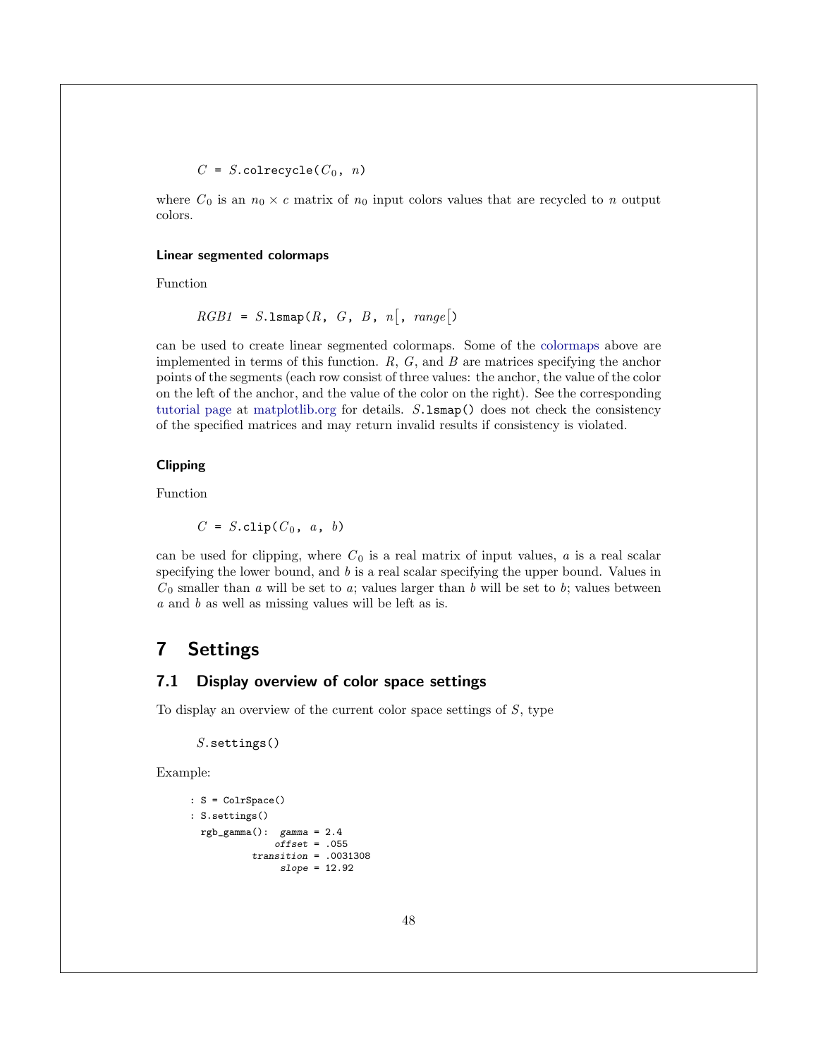$C = S.\mathtt{colrecycle}(C_0, n)$ 

where  $C_0$  is an  $n_0 \times c$  matrix of  $n_0$  input colors values that are recycled to n output colors.

#### <span id="page-48-3"></span>Linear segmented colormaps

Function

 $RGB1 = S.\text{lsmap}(R, G, B, n[, range])$ 

can be used to create linear segmented colormaps. Some of the [colormaps](#page-21-0) above are implemented in terms of this function.  $R, G$ , and  $B$  are matrices specifying the anchor points of the segments (each row consist of three values: the anchor, the value of the color on the left of the anchor, and the value of the color on the right). See the corresponding [tutorial page](https://matplotlib.org/tutorials/colors/colormap-manipulation.html#creating-linear-segmented-colormaps) at [matplotlib.org](https://matplotlib.org/) for details. S.lsmap() does not check the consistency of the specified matrices and may return invalid results if consistency is violated.

### <span id="page-48-2"></span>Clipping

Function

 $C = S$ .clip( $C_0$ , a, b)

can be used for clipping, where  $C_0$  is a real matrix of input values, a is a real scalar specifying the lower bound, and  $b$  is a real scalar specifying the upper bound. Values in  $C_0$  smaller than a will be set to a; values larger than b will be set to b; values between a and b as well as missing values will be left as is.

### <span id="page-48-0"></span>7 Settings

### <span id="page-48-1"></span>7.1 Display overview of color space settings

To display an overview of the current color space settings of  $S$ , type

 $S$ . settings $()$ 

Example:

```
: S = ColrSpace()
: S.settings()
  rgb\_gamma(): gamma = 2.4
                 \frac{5}{\text{cm}} = .055
            transition = .0031308
                  slope = 12.92
```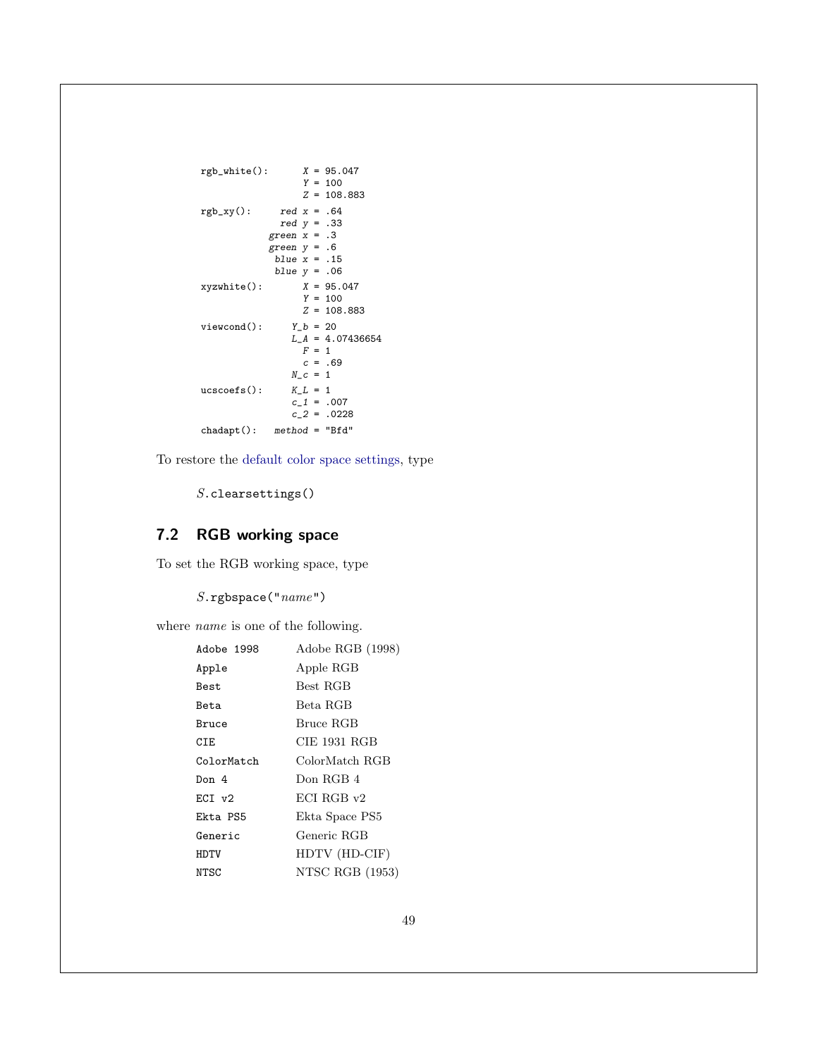```
rgb\_white():
                X = 95.047<br>Y = 100Z = 108.883rgb_xy(): red x = .64red y = .33
           green x = .3green y = .6
             blue x = .15blue y = .06xyzwhite():  X = 95.047Y = 100Z = 108.883viewcond(): Y_b = 20L_A = 4.07436654F = 1c = .69N_{-}c = 1ucscoefs(): K_L = 1c_{-1} = .007c_2 = .0228
chadapt(): method = "Bfd"
```
To restore the [default color space settings,](#page-7-2) type

S.clearsettings()

### <span id="page-49-0"></span>7.2 RGB working space

To set the RGB working space, type

 $S.\mathtt{rgbspace}("name")$ 

where *name* is one of the following.

| Adobe 1998  | Adobe RGB (1998) |
|-------------|------------------|
| Apple       | Apple RGB        |
| <b>Best</b> | Best RGB         |
| Beta        | Beta RGB         |
| Bruce       | Bruce RGB        |
| CIE         | CIE 1931 RGB     |
| ColorMatch  | ColorMatch RGB   |
| Don 4       | Don RGB 4        |
| ECI v2      | ECI RGB v2       |
| Ekta PS5    | Ekta Space PS5   |
| Generic     | Generic RGB      |
| HDTV        | HDTV (HD-CIF)    |
| NTSC        | NTSC RGB (1953)  |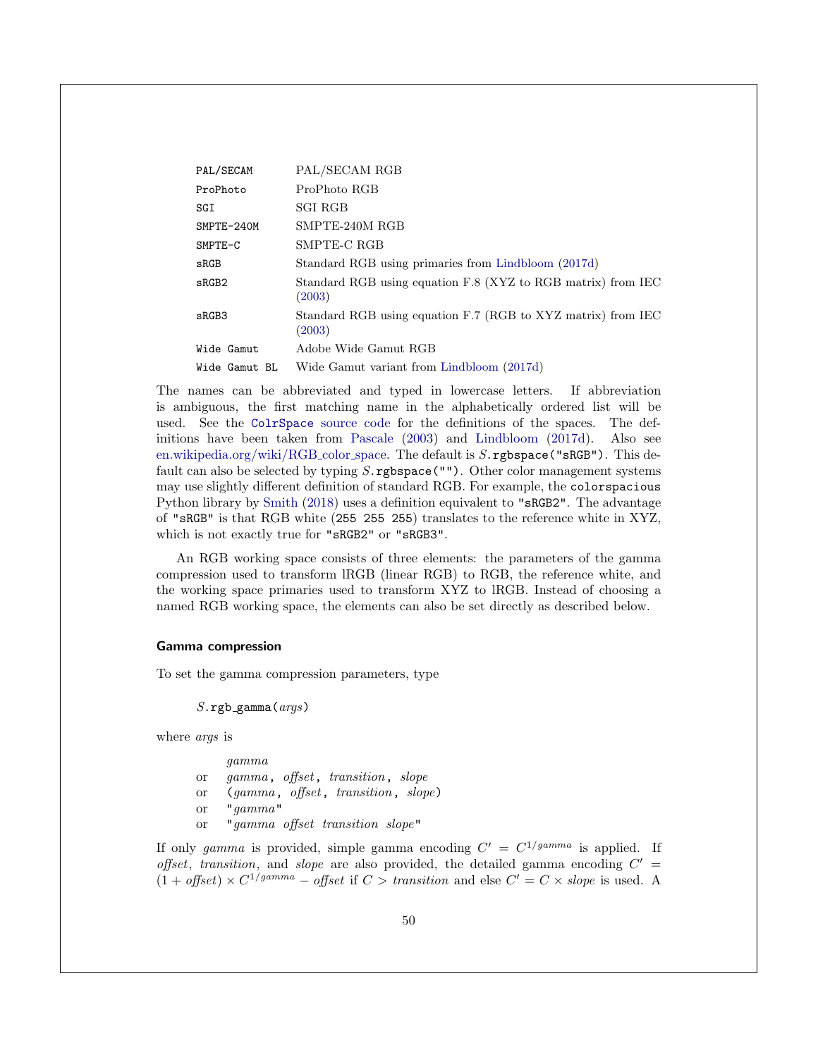| PAL/SECAM     | PAL/SECAM RGB                                                          |
|---------------|------------------------------------------------------------------------|
| ProPhoto      | ProPhoto RGB                                                           |
| SGI           | <b>SGI RGB</b>                                                         |
| SMPTE-240M    | SMPTE-240M RGB                                                         |
| $SMPTE-C$     | SMPTE-C RGB                                                            |
| $_{\tt SRGB}$ | Standard RGB using primaries from Lindbloom (2017d)                    |
| sRGB2         | Standard RGB using equation F.8 (XYZ to RGB matrix) from IEC<br>(2003) |
| sRGB3         | Standard RGB using equation F.7 (RGB to XYZ matrix) from IEC<br>(2003) |
| Wide Gamut    | Adobe Wide Gamut RGB                                                   |
| Wide Gamut BL | Wide Gamut variant from Lindbloom (2017d)                              |

The names can be abbreviated and typed in lowercase letters. If abbreviation is ambiguous, the first matching name in the alphabetically ordered list will be used. See the ColrSpace [source code](#page-57-0) for the definitions of the spaces. The definitions have been taken from [Pascale](#page-59-0) [\(2003\)](#page-59-0) and [Lindbloom](#page-58-12) [\(2017d\)](#page-58-12). Also see [en.wikipedia.org/wiki/RGB](https://en.wikipedia.org/wiki/RGB_color_space) color space. The default is S.rgbspace("sRGB"). This default can also be selected by typing  $S$ . rgbspace(""). Other color management systems may use slightly different definition of standard RGB. For example, the colorspacious Python library by [Smith](#page-59-9) [\(2018\)](#page-59-9) uses a definition equivalent to "sRGB2". The advantage of "sRGB" is that RGB white (255 255 255) translates to the reference white in XYZ, which is not exactly true for "sRGB2" or "sRGB3".

An RGB working space consists of three elements: the parameters of the gamma compression used to transform lRGB (linear RGB) to RGB, the reference white, and the working space primaries used to transform XYZ to lRGB. Instead of choosing a named RGB working space, the elements can also be set directly as described below.

### <span id="page-50-0"></span>Gamma compression

To set the gamma compression parameters, type

 $S.\texttt{rgb\_gamma}(args)$ 

where args is

|           | gamma                              |
|-----------|------------------------------------|
| <b>or</b> | gamma, offset, transition, slope   |
| <b>or</b> | (gamma, offset, transition, slope) |
| <b>or</b> | "gamma"                            |
| <b>or</b> | "gamma offset transition slope"    |

If only gamma is provided, simple gamma encoding  $C' = C^{1/gamma}$  is applied. If offset, transition, and slope are also provided, the detailed gamma encoding  $C'$  =  $(1 + \text{offset}) \times C^{1/\text{gamma}} - \text{offset}$  if  $C > \text{transition}$  and else  $C' = C \times \text{slope}$  is used. A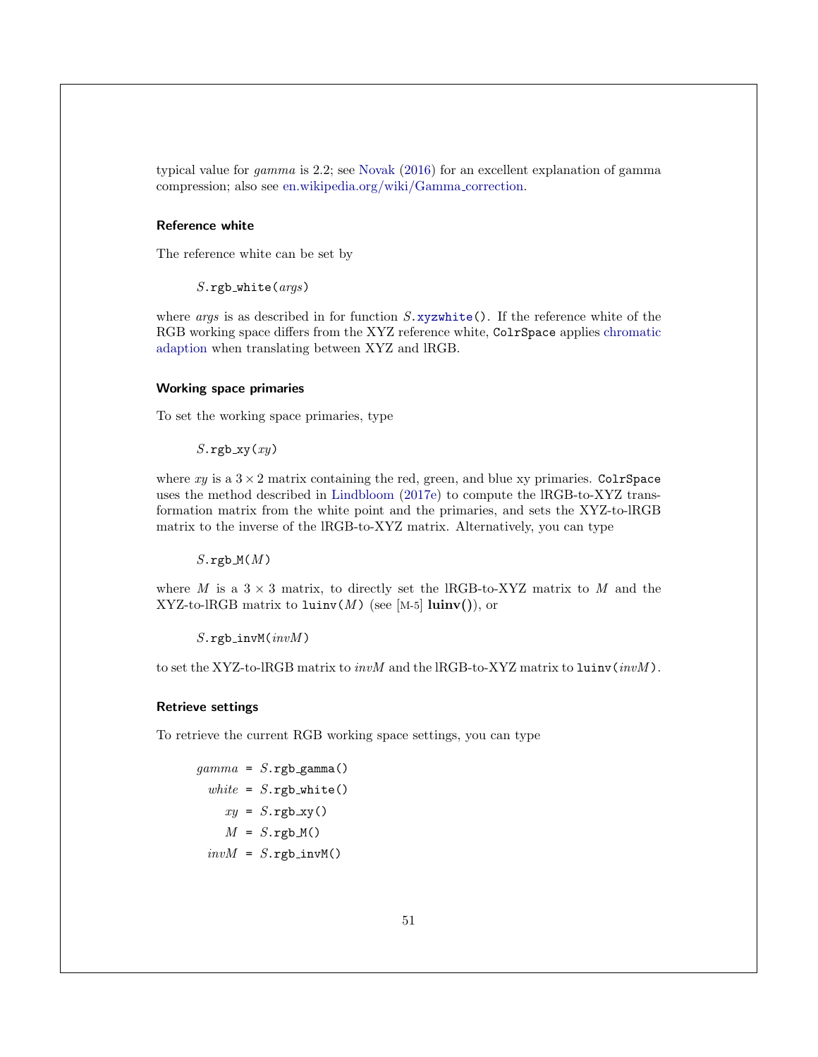typical value for gamma is 2.2; see [Novak](#page-59-10) [\(2016\)](#page-59-10) for an excellent explanation of gamma compression; also see [en.wikipedia.org/wiki/Gamma](https://en.wikipedia.org/wiki/Gamma_correction) correction.

#### <span id="page-51-1"></span>Reference white

The reference white can be set by

 $S.\texttt{rgb\_white}(args)$ 

where *args* is as described in for function  $S$ . xyzwhite(). If the reference white of the RGB working space differs from the XYZ reference white, ColrSpace applies [chromatic](#page-54-0) [adaption](#page-54-0) when translating between XYZ and lRGB.

### <span id="page-51-0"></span>Working space primaries

To set the working space primaries, type

 $S.\rmb{rgb}$ \_xy $(xy)$ 

where  $xy$  is a  $3 \times 2$  matrix containing the red, green, and blue xy primaries. ColrSpace uses the method described in [Lindbloom](#page-58-14) [\(2017e\)](#page-58-14) to compute the lRGB-to-XYZ transformation matrix from the white point and the primaries, and sets the XYZ-to-lRGB matrix to the inverse of the lRGB-to-XYZ matrix. Alternatively, you can type

 $S.\mathsf{rgb}_\mathcal{M}(M)$ 

where M is a  $3 \times 3$  matrix, to directly set the IRGB-to-XYZ matrix to M and the XYZ-to-lRGB matrix to  $l$ uinv $(M)$  (see [M-5] luinv()), or

 $S.\texttt{rgb\_invM}(invM)$ 

to set the XYZ-to-lRGB matrix to *invM* and the lRGB-to-XYZ matrix to luinv(*invM*).

#### Retrieve settings

To retrieve the current RGB working space settings, you can type

```
gamma = S.\texttt{rgb\_gamma}()white = S.\texttt{rgb}_white()
      xy = S.\text{rgb}\xspace_\text{xy}()M = S.\texttt{rgb}_M()invM = S.\texttt{rgb\_invM}()
```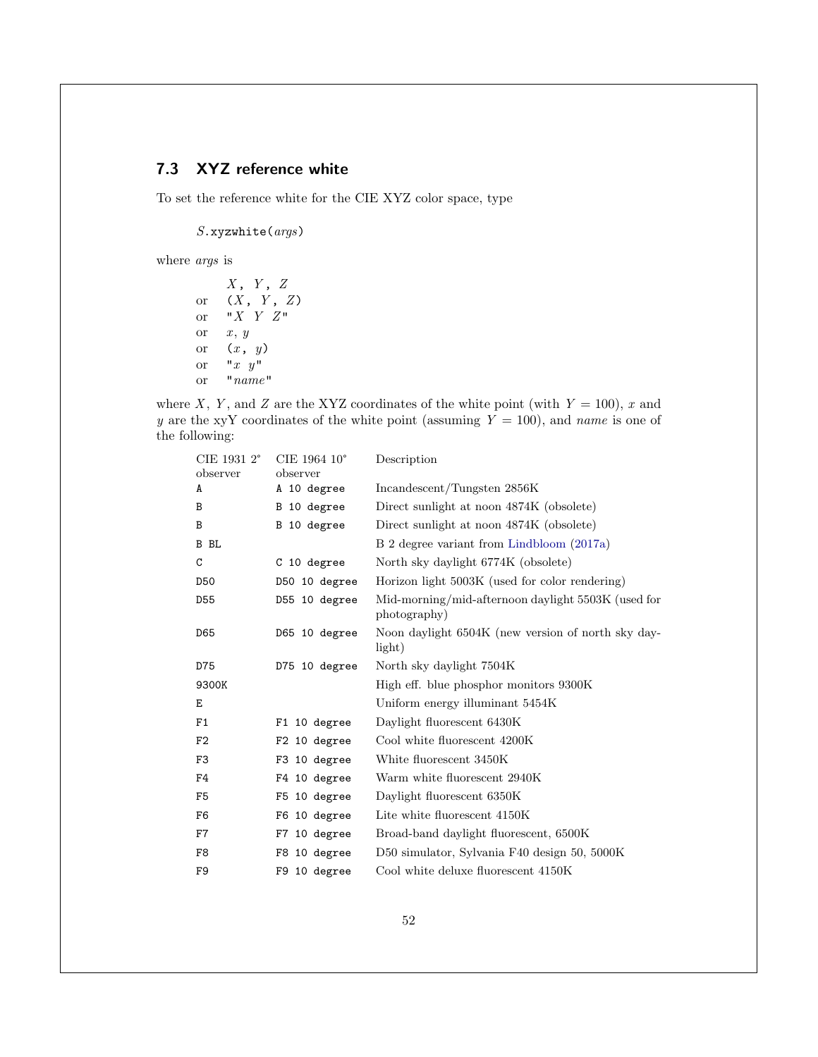### <span id="page-52-0"></span>7.3 XYZ reference white

To set the reference white for the CIE XYZ color space, type

S.xyzwhite(args)

where args is

 $X$ ,  $Y$ ,  $Z$ or  $(X, Y, Z)$ or  $"X Y Z"$ or  $x, y$ or  $(x, y)$ or  $"x y"$ or "name"

where X, Y, and Z are the XYZ coordinates of the white point (with  $Y = 100$ ), x and y are the xyY coordinates of the white point (assuming  $Y = 100$ ), and name is one of the following:

| CIE 1931 2°    | CIE 1964 10°  | Description                                                        |
|----------------|---------------|--------------------------------------------------------------------|
| observer       | observer      |                                                                    |
| A              | A 10 degree   | Incandescent/Tungsten 2856K                                        |
| B              | B 10 degree   | Direct sunlight at noon 4874K (obsolete)                           |
| B              | B 10 degree   | Direct sunlight at noon 4874K (obsolete)                           |
| B BL           |               | B 2 degree variant from Lindbloom (2017a)                          |
| C              | C 10 degree   | North sky daylight 6774K (obsolete)                                |
| <b>D50</b>     | D50 10 degree | Horizon light 5003K (used for color rendering)                     |
| D55            | D55 10 degree | Mid-morning/mid-afternoon daylight 5503K (used for<br>photography) |
| D65            | D65 10 degree | Noon daylight 6504K (new version of north sky day-<br>light)       |
| D75            | D75 10 degree | North sky daylight 7504K                                           |
| 9300K          |               | High eff. blue phosphor monitors 9300K                             |
| E              |               | Uniform energy illuminant 5454K                                    |
| F1             | F1 10 degree  | Daylight fluorescent 6430K                                         |
| F2             | F2 10 degree  | Cool white fluorescent 4200K                                       |
| F <sub>3</sub> | F3 10 degree  | White fluorescent 3450K                                            |
| F4             | F4 10 degree  | Warm white fluorescent 2940K                                       |
| F <sub>5</sub> | F5 10 degree  | Daylight fluorescent 6350K                                         |
| F6             | F6 10 degree  | Lite white fluorescent 4150K                                       |
| F7             | F7 10 degree  | Broad-band daylight fluorescent, 6500K                             |
| F8             | F8 10 degree  | D50 simulator, Sylvania F40 design 50, 5000K                       |
| F9             | F9 10 degree  | Cool white deluxe fluorescent 4150K                                |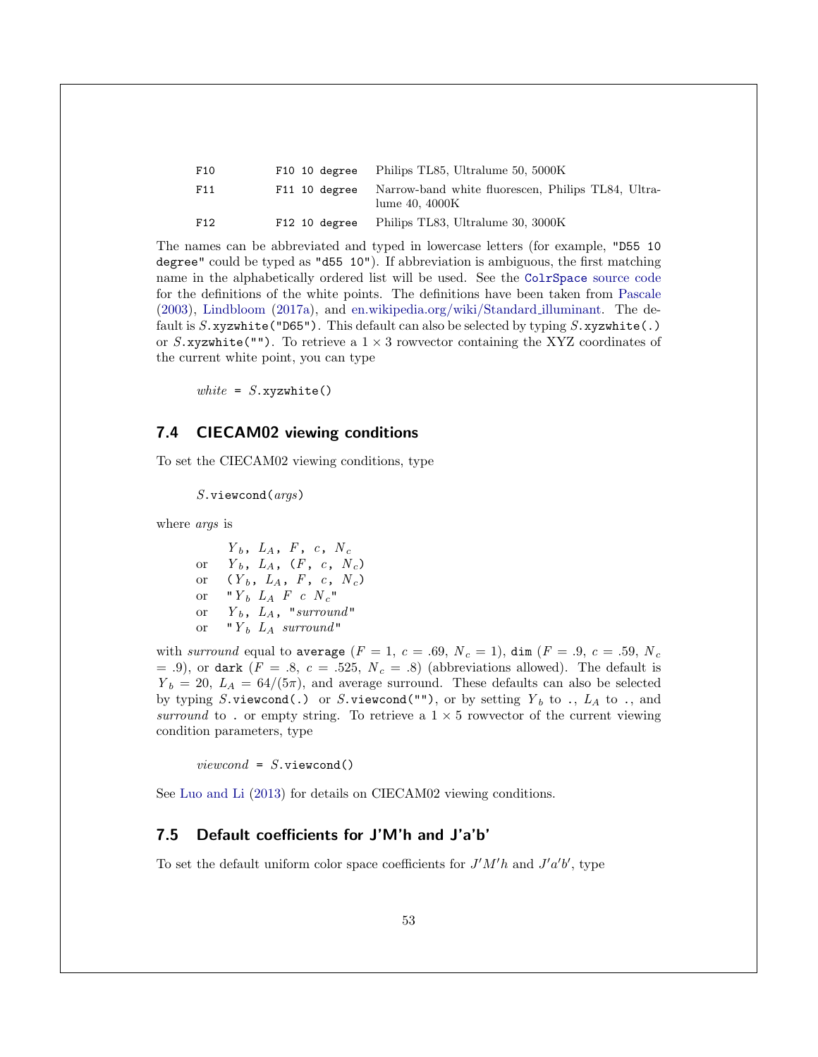| F10 | F10 10 degree | Philips TL85, Ultralume 50, 5000K                                     |
|-----|---------------|-----------------------------------------------------------------------|
| F11 | F11 10 degree | Narrow-band white fluorescen, Philips TL84, Ultra-<br>lume $40.4000K$ |
| F12 | F12 10 degree | Philips TL83, Ultralume 30, 3000K                                     |

The names can be abbreviated and typed in lowercase letters (for example, "D55 10 degree" could be typed as "d55 10"). If abbreviation is ambiguous, the first matching name in the alphabetically ordered list will be used. See the ColrSpace [source code](#page-57-0) for the definitions of the white points. The definitions have been taken from [Pascale](#page-59-0) [\(2003\)](#page-59-0), [Lindbloom](#page-58-15) [\(2017a\)](#page-58-15), and [en.wikipedia.org/wiki/Standard](https://en.wikipedia.org/wiki/Standard_illuminant) illuminant. The default is  $S$ .xyzwhite("D65"). This default can also be selected by typing  $S$ .xyzwhite(.) or S.xyzwhite(""). To retrieve a  $1 \times 3$  rowvector containing the XYZ coordinates of the current white point, you can type

white =  $S$ . xyzwhite()

### <span id="page-53-0"></span>7.4 CIECAM02 viewing conditions

To set the CIECAM02 viewing conditions, type

 $S.\texttt{viewcond}(args)$ 

where *args* is

 $Y_b$ ,  $L_A$ ,  $F$ ,  $c$ ,  $N_c$ or  $Y_b$ ,  $L_A$ ,  $(F, c, N_c)$ or  $(Y_b, L_A, F, c, N_c)$ or " $Y_b$   $L_A$   $F$   $c$   $N_c$ " or  $Y_b$ ,  $L_A$ , "surround" or " $Y_b$  L<sub>A</sub> surround"

with surround equal to average  $(F = 1, c = .69, N_c = 1)$ , dim  $(F = .9, c = .59, N_c$ = .9), or dark  $(F = .8, c = .525, N_c = .8)$  (abbreviations allowed). The default is  $Y_b = 20, L_A = 64/(5\pi)$ , and average surround. These defaults can also be selected by typing S.viewcond(.) or S.viewcond(""), or by setting  $Y_b$  to .,  $L_A$  to ., and surround to . or empty string. To retrieve a  $1 \times 5$  rowvector of the current viewing condition parameters, type

 $viewcond = S.\v{viewcond()}$ 

See [Luo and Li](#page-59-1) [\(2013\)](#page-59-1) for details on CIECAM02 viewing conditions.

### <span id="page-53-1"></span>7.5 Default coefficients for J'M'h and J'a'b'

To set the default uniform color space coefficients for  $J'M'h$  and  $J'a'b'$ , type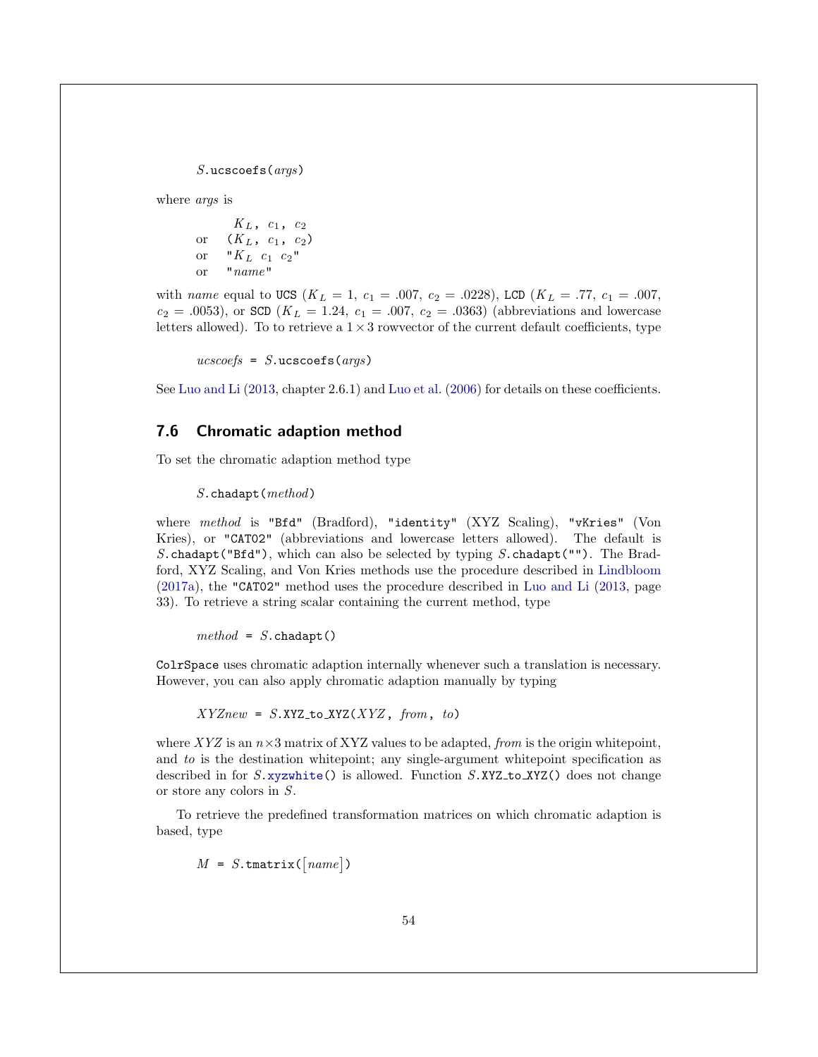$S.\text{ucscoefs}(arg)$ 

where *args* is

 $K_L$ ,  $c_1$ ,  $c_2$ or  $(K_L, c_1, c_2)$ or " $K_L$   $c_1$   $c_2$ " or  $"name"$ 

with name equal to UCS ( $K_L = 1$ ,  $c_1 = .007$ ,  $c_2 = .0228$ ), LCD ( $K_L = .77$ ,  $c_1 = .007$ ,  $c_2 = .0053$ ), or SCD ( $K_L = 1.24$ ,  $c_1 = .007$ ,  $c_2 = .0363$ ) (abbreviations and lowercase letters allowed). To to retrieve a  $1 \times 3$  rowvector of the current default coefficients, type

 $ucscoefs = S.\text{ucscoefs}(args)$ 

See [Luo and Li](#page-59-1) [\(2013,](#page-59-1) chapter 2.6.1) and [Luo et al.](#page-58-1) [\(2006\)](#page-58-1) for details on these coefficients.

### <span id="page-54-0"></span>7.6 Chromatic adaption method

To set the chromatic adaption method type

S.chadapt(method)

where method is "Bfd" (Bradford), "identity" (XYZ Scaling), "vKries" (Von Kries), or "CAT02" (abbreviations and lowercase letters allowed). The default is S.chadapt("Bfd"), which can also be selected by typing S.chadapt(""). The Bradford, XYZ Scaling, and Von Kries methods use the procedure described in [Lindbloom](#page-58-15) [\(2017a\)](#page-58-15), the "CAT02" method uses the procedure described in [Luo and Li](#page-59-1) [\(2013,](#page-59-1) page 33). To retrieve a string scalar containing the current method, type

 $method = S.\text{chadapt}()$ 

ColrSpace uses chromatic adaption internally whenever such a translation is necessary. However, you can also apply chromatic adaption manually by typing

 $XYZnew = S.XYZ_to_XYZ(XYZ, from, to)$ 

where XYZ is an  $n \times 3$  matrix of XYZ values to be adapted, from is the origin white point, and to is the destination whitepoint; any single-argument whitepoint specification as described in for  $S.\texttt{xyzwhite}()$  is allowed. Function  $S.\texttt{XYZ}\left(\right)$  does not change or store any colors in S.

To retrieve the predefined transformation matrices on which chromatic adaption is based, type

 $M = S$ . tmatrix ( $\lceil name \rceil$ )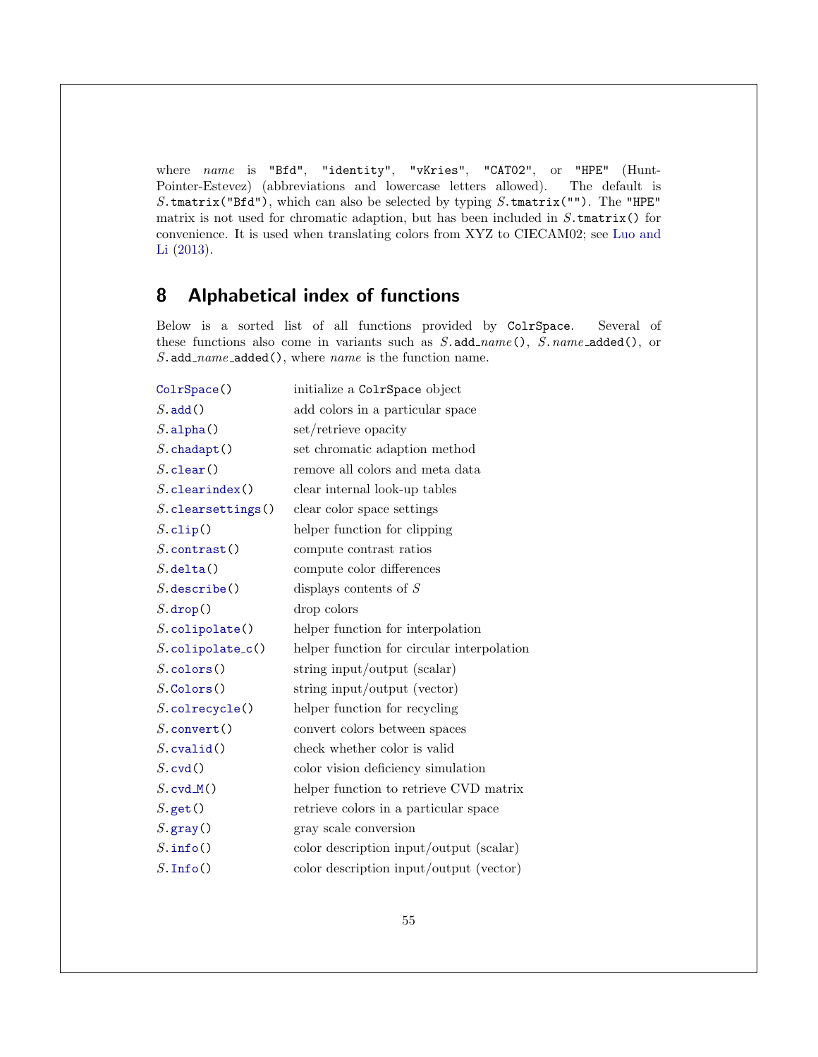where name is "Bfd", "identity", "vKries", "CAT02", or "HPE" (Hunt-Pointer-Estevez) (abbreviations and lowercase letters allowed). The default is S.tmatrix("Bfd"), which can also be selected by typing  $S$ .tmatrix(""). The "HPE" matrix is not used for chromatic adaption, but has been included in  $S$ .tmatrix() for convenience. It is used when translating colors from XYZ to CIECAM02; see [Luo and](#page-59-1) [Li](#page-59-1) [\(2013\)](#page-59-1).

# <span id="page-55-0"></span>8 Alphabetical index of functions

Below is a sorted list of all functions provided by ColrSpace. Several of these functions also come in variants such as  $S$ . add\_name(),  $S$ . name\_added(), or  $S.\texttt{add_name}\_\texttt{added}(),$  where name is the function name.

| initialize a ColrSpace object              |
|--------------------------------------------|
| add colors in a particular space           |
| set/retrieve opacity                       |
| set chromatic adaption method              |
| remove all colors and meta data            |
| clear internal look-up tables              |
| clear color space settings                 |
| helper function for clipping               |
| compute contrast ratios                    |
| compute color differences                  |
| displays contents of $S$                   |
| drop colors                                |
| helper function for interpolation          |
| helper function for circular interpolation |
| string input/output (scalar)               |
| string input/output (vector)               |
| helper function for recycling              |
| convert colors between spaces              |
| check whether color is valid               |
| color vision deficiency simulation         |
| helper function to retrieve CVD matrix     |
| retrieve colors in a particular space      |
| gray scale conversion                      |
| color description input/output (scalar)    |
| color description input/output (vector)    |
|                                            |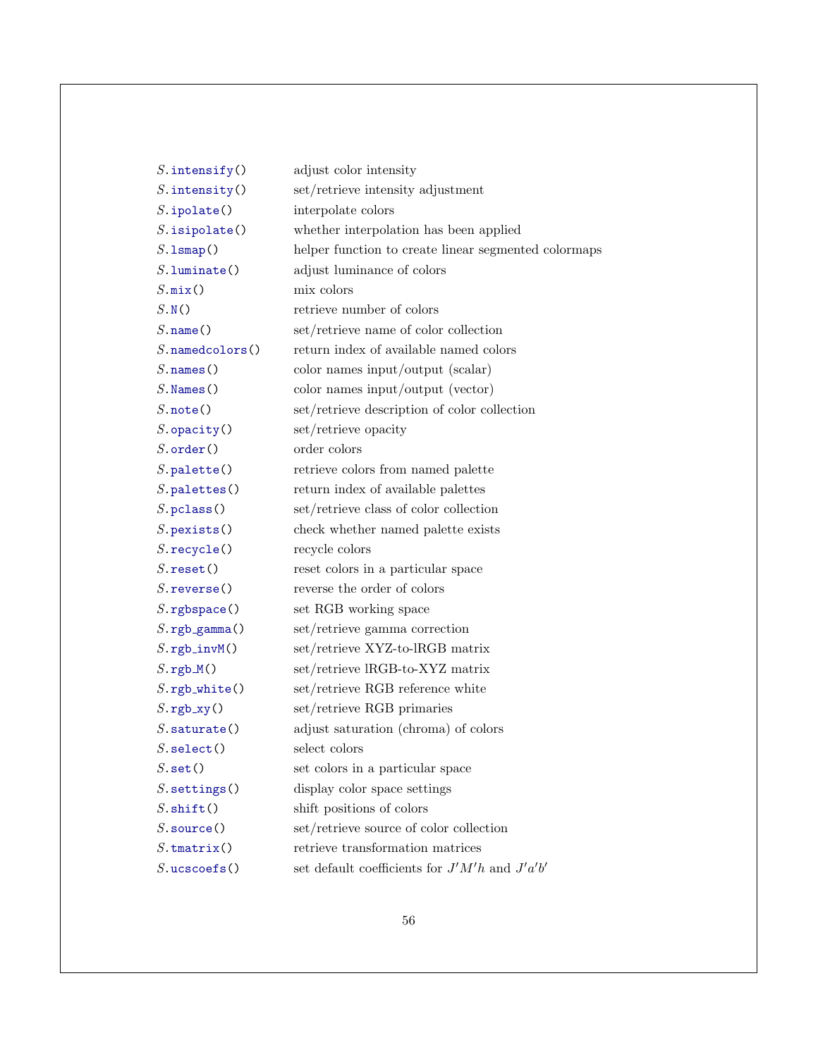| $S.\infty()$                          | adjust color intensity                               |
|---------------------------------------|------------------------------------------------------|
| $S.\text{intensity}()$                | set/retrieve intensity adjustment                    |
| $S.\texttt{ipolate}()$                | interpolate colors                                   |
| $S.\mathtt{isipolate}()$              | whether interpolation has been applied               |
| $S.\texttt{lsmap}()$                  | helper function to create linear segmented colormaps |
| $S.\texttt{luminate}()$               | adjust luminance of colors                           |
| $S.\texttt{mix}()$                    | mix colors                                           |
| S.N()                                 | retrieve number of colors                            |
| $S.\texttt{name}()$                   | set/retrieve name of color collection                |
| $S.\texttt{namedcolors}()$            | return index of available named colors               |
| $S.\texttt{names}()$                  | color names input/output (scalar)                    |
| $S$ . Names ()                        | color names input/output (vector)                    |
| $S.\texttt{note}()$                   | set/retrieve description of color collection         |
| $S.\texttt{opacity}()$                | set/retrieve opacity                                 |
| $S.\text{order}()$                    | order colors                                         |
| $S.\texttt{palette}()$                | retrieve colors from named palette                   |
| $S.\texttt{palettes}()$               | return index of available palettes                   |
| $S.\texttt{pclass}()$                 | set/retrieve class of color collection               |
| $S.\texttt{pexists}()$                | check whether named palette exists                   |
| $S.\mathtt{recycle}()$                | recycle colors                                       |
| $S.\text{reset}()$                    | reset colors in a particular space                   |
| $S.\mathtt{reverse}()$                | reverse the order of colors                          |
| $S.\mathtt{rgbspace}()$               | set RGB working space                                |
| $S.\texttt{rgb\_gamma}()$             | set/retrieve gamma correction                        |
| $S.\texttt{rgb\_invM}()$              | set/retrieve XYZ-to-lRGB matrix                      |
| $S.\,\texttt{rgb}_\mathcal{M}()$      | set/retrieve lRGB-to-XYZ matrix                      |
| $S.\texttt{rgb}$ <sub>-</sub> white() | set/retrieve RGB reference white                     |
| $S.\texttt{rgb}\xspace_\texttt{xy}()$ | set/retrieve RGB primaries                           |
| $S.\mathtt{saturate}()$               | adjust saturation (chroma) of colors                 |
| $S.\mathtt{select}()$                 | select colors                                        |
| $S.\mathtt{set}()$                    | set colors in a particular space                     |
| $S$ . settings $()$                   | display color space settings                         |
| $S.$ shift $()$                       | shift positions of colors                            |
| $S.\mathtt{source}()$                 | set/retrieve source of color collection              |
| $S.\mathtt{tmatrix}()$                | retrieve transformation matrices                     |
| $S.\text{ucscoefs}()$                 | set default coefficients for $J'M'h$ and $J'a'b'$    |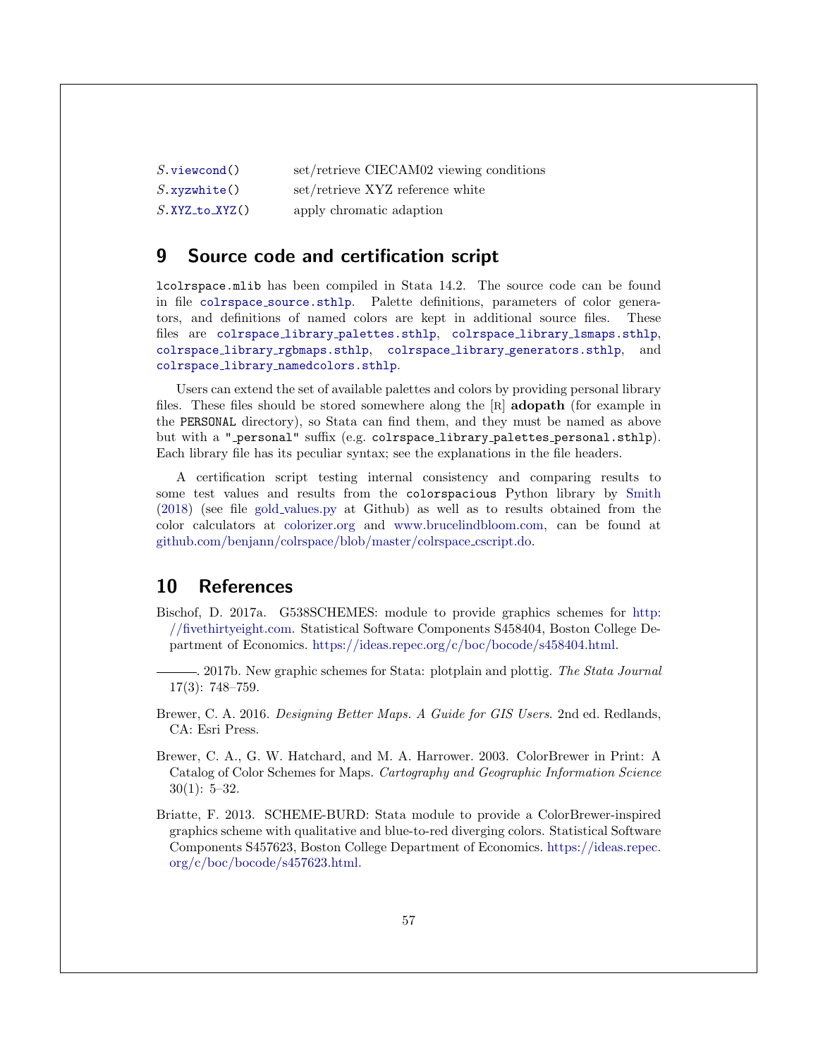| $S.\mathtt{viewcond}()$ | set/retrieve CIECAM02 viewing conditions |
|-------------------------|------------------------------------------|
| $S$ .xyzwhite()         | set/retrieve XYZ reference white         |
| $S$ . XYZ_to_XYZ()      | apply chromatic adaption                 |

### <span id="page-57-0"></span>9 Source code and certification script

lcolrspace.mlib has been compiled in Stata 14.2. The source code can be found in file colrspace [source.sthlp](https://github.com/benjann/colrspace/blob/master/colrspace_source.sthlp). Palette definitions, parameters of color generators, and definitions of named colors are kept in additional source files. These files are colrspace library [palettes.sthlp](https://github.com/benjann/colrspace/blob/master/colrspace_library_palettes.sthlp), colrspace library [lsmaps.sthlp](https://github.com/benjann/colrspace/blob/master/colrspace_library_lsmaps.sthlp), colrspace library [rgbmaps.sthlp](https://github.com/benjann/colrspace/blob/master/colrspace_library_rgbmaps.sthlp), colrspace library [generators.sthlp](https://github.com/benjann/colrspace/blob/master/colrspace_library_generators.sthlp), and colrspace library [namedcolors.sthlp](https://github.com/benjann/colrspace/blob/master/colrspace_library_namedcolors.sthlp).

Users can extend the set of available palettes and colors by providing personal library files. These files should be stored somewhere along the [R] adopath (for example in the PERSONAL directory), so Stata can find them, and they must be named as above but with a "\_personal" suffix (e.g. colrspace\_library\_palettes\_personal.sthlp). Each library file has its peculiar syntax; see the explanations in the file headers.

A certification script testing internal consistency and comparing results to some test values and results from the colorspacious Python library by [Smith](#page-59-9) [\(2018\)](#page-59-9) (see file gold [values.py](https://github.com/njsmith/colorspacious/blob/master/colorspacious/gold_values.py) at Github) as well as to results obtained from the color calculators at [colorizer.org](http://colorizer.org/) and [www.brucelindbloom.com,](http://www.brucelindbloom.com/index.html?ColorCalculator.html) can be found at [github.com/benjann/colrspace/blob/master/colrspace](https://github.com/benjann/colrspace/blob/master/colrspace_cscript.do) cscript.do.

### <span id="page-57-1"></span>10 References

<span id="page-57-3"></span>Bischof, D. 2017a. G538SCHEMES: module to provide graphics schemes for [http:](http://fivethirtyeight.com) [//fivethirtyeight.com.](http://fivethirtyeight.com) Statistical Software Components S458404, Boston College Department of Economics. [https://ideas.repec.org/c/boc/bocode/s458404.html.](https://ideas.repec.org/c/boc/bocode/s458404.html)

<span id="page-57-2"></span>-. 2017b. New graphic schemes for Stata: plotplain and plottig. The Stata Journal 17(3): 748–759.

<span id="page-57-5"></span>Brewer, C. A. 2016. Designing Better Maps. A Guide for GIS Users. 2nd ed. Redlands, CA: Esri Press.

<span id="page-57-6"></span>Brewer, C. A., G. W. Hatchard, and M. A. Harrower. 2003. ColorBrewer in Print: A Catalog of Color Schemes for Maps. Cartography and Geographic Information Science  $30(1): 5-32.$ 

<span id="page-57-4"></span>Briatte, F. 2013. SCHEME-BURD: Stata module to provide a ColorBrewer-inspired graphics scheme with qualitative and blue-to-red diverging colors. Statistical Software Components S457623, Boston College Department of Economics. [https://ideas.repec.](https://ideas.repec.org/c/boc/bocode/s457623.html) [org/c/boc/bocode/s457623.html.](https://ideas.repec.org/c/boc/bocode/s457623.html)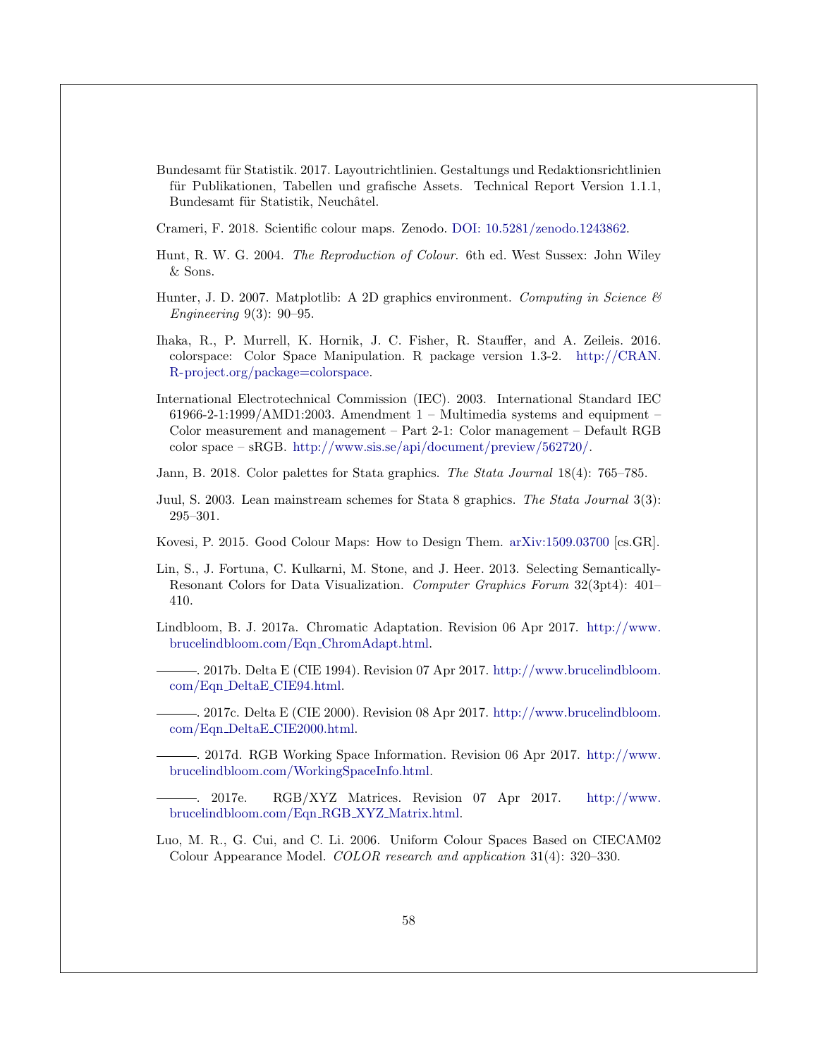<span id="page-58-4"></span>Bundesamt für Statistik. 2017. Layoutrichtlinien. Gestaltungs und Redaktionsrichtlinien für Publikationen, Tabellen und grafische Assets. Technical Report Version 1.1.1, Bundesamt für Statistik, Neuchâtel.

<span id="page-58-7"></span>Crameri, F. 2018. Scientific colour maps. Zenodo. [DOI: 10.5281/zenodo.1243862.](https://doi.org/10.5281/zenodo.1243862)

- <span id="page-58-10"></span>Hunt, R. W. G. 2004. The Reproduction of Colour. 6th ed. West Sussex: John Wiley & Sons.
- <span id="page-58-5"></span>Hunter, J. D. 2007. Matplotlib: A 2D graphics environment. Computing in Science  $\mathcal{B}$ Engineering 9(3): 90–95.
- <span id="page-58-8"></span>Ihaka, R., P. Murrell, K. Hornik, J. C. Fisher, R. Stauffer, and A. Zeileis. 2016. colorspace: Color Space Manipulation. R package version 1.3-2. [http://CRAN.](http://CRAN.R-project.org/package=colorspace) [R-project.org/package=colorspace.](http://CRAN.R-project.org/package=colorspace)
- <span id="page-58-13"></span>International Electrotechnical Commission (IEC). 2003. International Standard IEC  $61966-2-1:1999/AMD1:2003.$  Amendment 1 – Multimedia systems and equipment – Color measurement and management – Part 2-1: Color management – Default RGB color space – sRGB. [http://www.sis.se/api/document/preview/562720/.](http://www.sis.se/api/document/preview/562720/)
- <span id="page-58-0"></span>Jann, B. 2018. Color palettes for Stata graphics. The Stata Journal 18(4): 765–785.
- <span id="page-58-2"></span>Juul, S. 2003. Lean mainstream schemes for Stata 8 graphics. The Stata Journal 3(3): 295–301.
- <span id="page-58-6"></span>Kovesi, P. 2015. Good Colour Maps: How to Design Them. [arXiv:1509.03700](https://arxiv.org/abs/1509.03700) [cs.GR].
- <span id="page-58-3"></span>Lin, S., J. Fortuna, C. Kulkarni, M. Stone, and J. Heer. 2013. Selecting Semantically-Resonant Colors for Data Visualization. Computer Graphics Forum 32(3pt4): 401– 410.
- <span id="page-58-15"></span><span id="page-58-9"></span>Lindbloom, B. J. 2017a. Chromatic Adaptation. Revision 06 Apr 2017. [http://www.](http://www.brucelindbloom.com/Eqn_ChromAdapt.html) [brucelindbloom.com/Eqn](http://www.brucelindbloom.com/Eqn_ChromAdapt.html) ChromAdapt.html.
	- . 2017b. Delta E (CIE 1994). Revision 07 Apr 2017. [http://www.brucelindbloom.](http://www.brucelindbloom.com/Eqn_DeltaE_CIE94.html) com/Eqn DeltaE [CIE94.html.](http://www.brucelindbloom.com/Eqn_DeltaE_CIE94.html)

<span id="page-58-11"></span>. 2017c. Delta E (CIE 2000). Revision 08 Apr 2017. [http://www.brucelindbloom.](http://www.brucelindbloom.com/Eqn_DeltaE_CIE2000.html) com/Eqn DeltaE [CIE2000.html.](http://www.brucelindbloom.com/Eqn_DeltaE_CIE2000.html)

<span id="page-58-12"></span>. 2017d. RGB Working Space Information. Revision 06 Apr 2017. [http://www.](http://www.brucelindbloom.com/WorkingSpaceInfo.html) [brucelindbloom.com/WorkingSpaceInfo.html.](http://www.brucelindbloom.com/WorkingSpaceInfo.html)

<span id="page-58-14"></span>. 2017e. RGB/XYZ Matrices. Revision 07 Apr 2017. [http://www.](http://www.brucelindbloom.com/Eqn_RGB_XYZ_Matrix.html) [brucelindbloom.com/Eqn](http://www.brucelindbloom.com/Eqn_RGB_XYZ_Matrix.html) RGB XYZ Matrix.html.

<span id="page-58-1"></span>Luo, M. R., G. Cui, and C. Li. 2006. Uniform Colour Spaces Based on CIECAM02 Colour Appearance Model. COLOR research and application 31(4): 320–330.